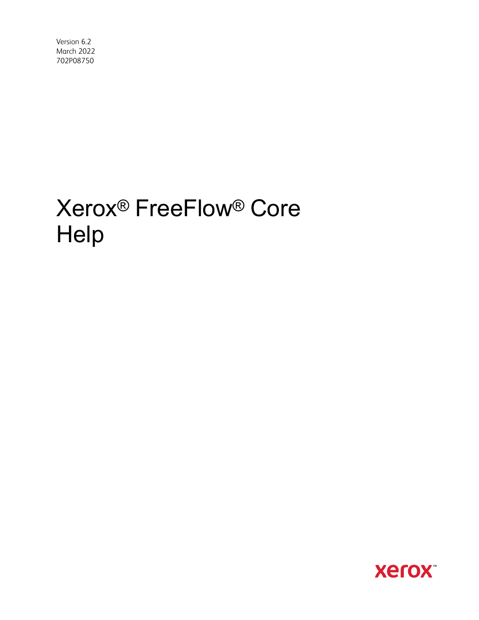Version 6.2 March 2022 702P08750

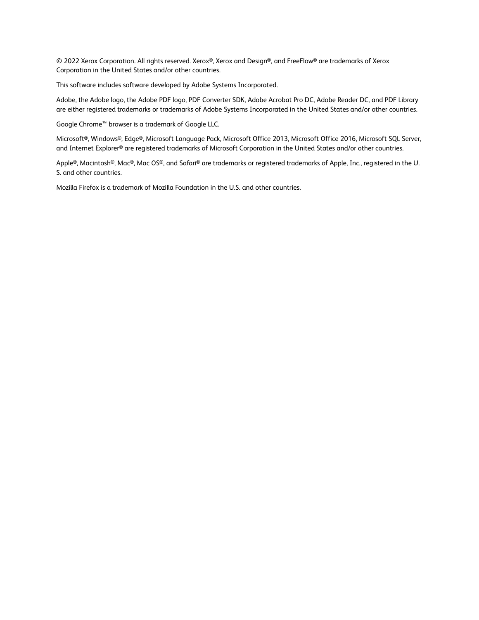© 2022 Xerox Corporation. All rights reserved. Xerox®, Xerox and Design®, and FreeFlow® are trademarks of Xerox Corporation in the United States and/or other countries.

This software includes software developed by Adobe Systems Incorporated.

Adobe, the Adobe logo, the Adobe PDF logo, PDF Converter SDK, Adobe Acrobat Pro DC, Adobe Reader DC, and PDF Library are either registered trademarks or trademarks of Adobe Systems Incorporated in the United States and/or other countries.

Google Chrome™ browser is a trademark of Google LLC.

Microsoft®, Windows®, Edge®, Microsoft Language Pack, Microsoft Office 2013, Microsoft Office 2016, Microsoft SQL Server, and Internet Explorer® are registered trademarks of Microsoft Corporation in the United States and/or other countries.

Apple®, Macintosh®, Mac®, Mac OS®, and Safari® are trademarks or registered trademarks of Apple, Inc., registered in the U. S. and other countries.

Mozilla Firefox is a trademark of Mozilla Foundation in the U.S. and other countries.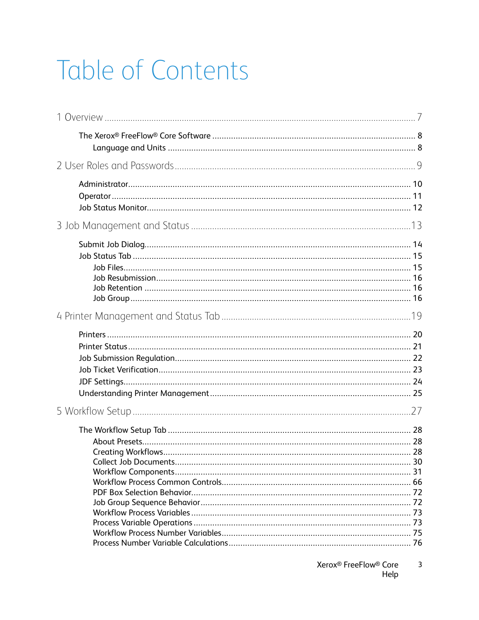# Table of Contents

Xerox<sup>®</sup> FreeFlow<sup>®</sup> Core  $\overline{\mathbf{3}}$ Help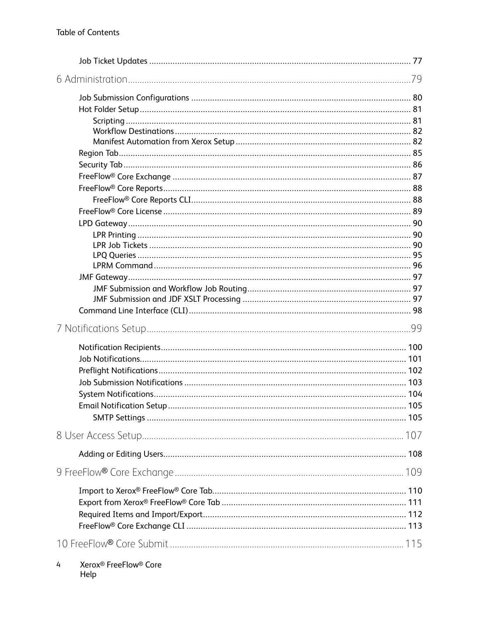| Xerox <sup>®</sup> FreeFlow <sup>®</sup> Core<br>4 |  |
|----------------------------------------------------|--|

Help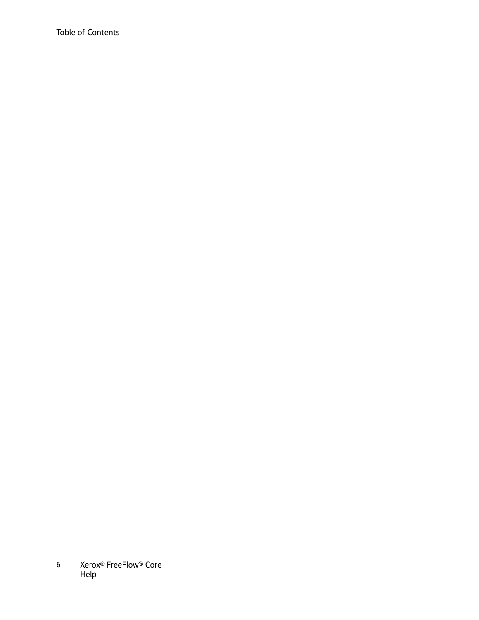Table of Contents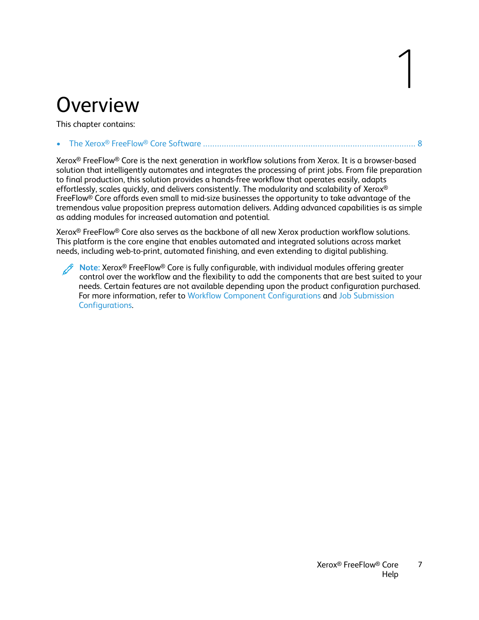# <span id="page-6-0"></span>Overview

This chapter contains:

• [The](#page-7-0) Xerox® FreeFlow® Core Software [...........................................................................................](#page-7-0) 8

Xerox® FreeFlow® Core is the next generation in workflow solutions from Xerox. It is a browser-based solution that intelligently automates and integrates the processing of print jobs. From file preparation to final production, this solution provides a hands-free workflow that operates easily, adapts effortlessly, scales quickly, and delivers consistently. The modularity and scalability of Xerox® FreeFlow® Core affords even small to mid-size businesses the opportunity to take advantage of the tremendous value proposition prepress automation delivers. Adding advanced capabilities is as simple as adding modules for increased automation and potential.

Xerox® FreeFlow® Core also serves as the backbone of all new Xerox production workflow solutions. This platform is the core engine that enables automated and integrated solutions across market needs, including web-to-print, automated finishing, and even extending to digital publishing.

**Note:** Xerox® FreeFlow® Core is fully configurable, with individual modules offering greater control over the workflow and the flexibility to add the components that are best suited to your needs. Certain features are not available depending upon the product configuration purchased. For more information, refer to Workflow Component [Configurations](#page-30-1) and Job [Submission](#page-79-0) [Configurations.](#page-79-0)

1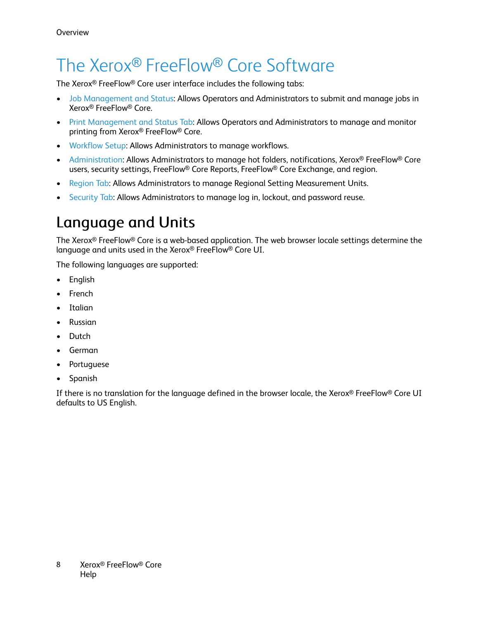# <span id="page-7-0"></span>The Xerox® FreeFlow® Core Software

The Xerox® FreeFlow® Core user interface includes the following tabs:

- Job [Management](#page-12-0) and Status: Allows Operators and Administrators to submit and manage jobs in Xerox® FreeFlow® Core.
- Print [Management](#page-18-0) and Status Tab: Allows Operators and Administrators to manage and monitor printing from Xerox® FreeFlow® Core.
- [Workflow](#page-26-0) Setup: Allows Administrators to manage workflows.
- [Administration:](#page-78-0) Allows Administrators to manage hot folders, notifications, Xerox® FreeFlow® Core users, security settings, FreeFlow® Core Reports, FreeFlow® Core Exchange, and region.
- [Region](#page-84-0) Tab: Allows Administrators to manage Regional Setting Measurement Units.
- [Security](#page-85-0) Tab: Allows Administrators to manage log in, lockout, and password reuse.

## <span id="page-7-1"></span>Language and Units

The Xerox® FreeFlow® Core is a web-based application. The web browser locale settings determine the language and units used in the Xerox® FreeFlow® Core UI.

The following languages are supported:

- English
- **French**
- Italian
- Russian
- Dutch
- German
- Portuguese
- Spanish

If there is no translation for the language defined in the browser locale, the Xerox® FreeFlow® Core UI defaults to US English.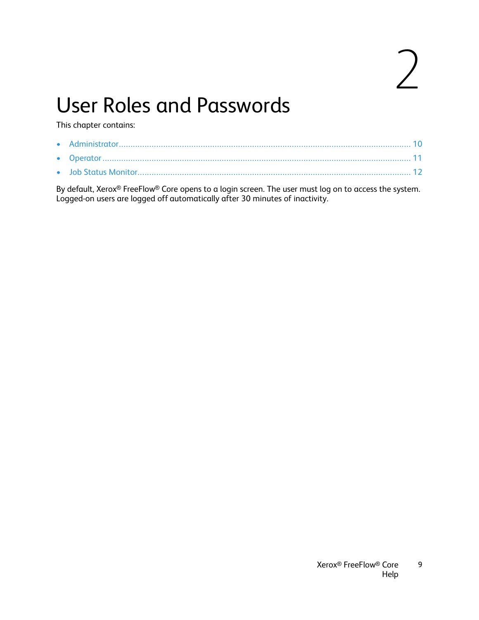# 2

# <span id="page-8-0"></span>User Roles and Passwords

This chapter contains:

By default, Xerox® FreeFlow® Core opens to a login screen. The user must log on to access the system. Logged-on users are logged off automatically after 30 minutes of inactivity.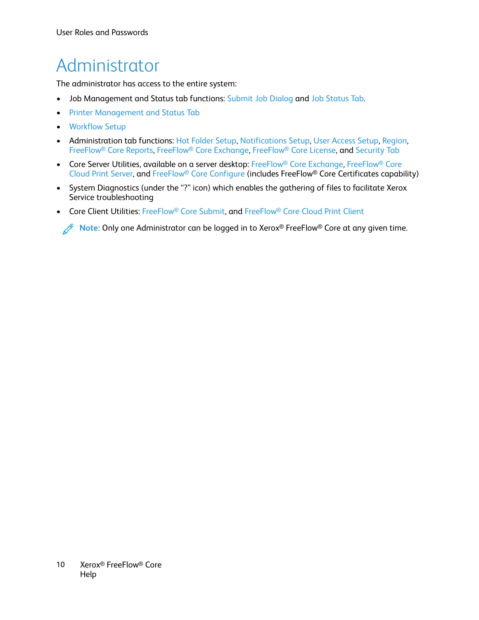## <span id="page-9-0"></span>Administrator

The administrator has access to the entire system:

- Job Management and Status tab functions: [Submit](#page-13-0) Job Dialog and Job [Status](#page-14-0) Tab.
- Printer [Management](#page-18-0) and Status Tab
- [Workflow](#page-26-0) Setup
- Administration tab functions: Hot [Folder](#page-80-0) Setup, [Notifications](#page-98-0) Setup, User [Access](#page-106-0) Setup, [Region](#page-84-0), [FreeFlow](#page-87-0)® Core Reports, FreeFlow® Core [Exchange](#page-86-0), [FreeFlow](#page-88-0)® Core License, and [Security](#page-85-0) Tab
- Core Server Utilities, available on a server desktop: FreeFlow® Core [Exchange,](#page-86-0) [FreeFlow](#page-119-1)® Core Cloud Print [Server,](#page-119-1) and FreeFlow® Core [Configure](#page-122-0) (includes FreeFlow® Core Certificates capability)
- System Diagnostics (under the "?" icon) which enables the gathering of files to facilitate Xerox Service troubleshooting
- Core Client Utilities: [FreeFlow](#page-114-0)® Core Submit, and [FreeFlow](#page-119-0)® Core Cloud Print Client

**Note:** Only one Administrator can be logged in to Xerox<sup>®</sup> FreeFlow<sup>®</sup> Core at any given time.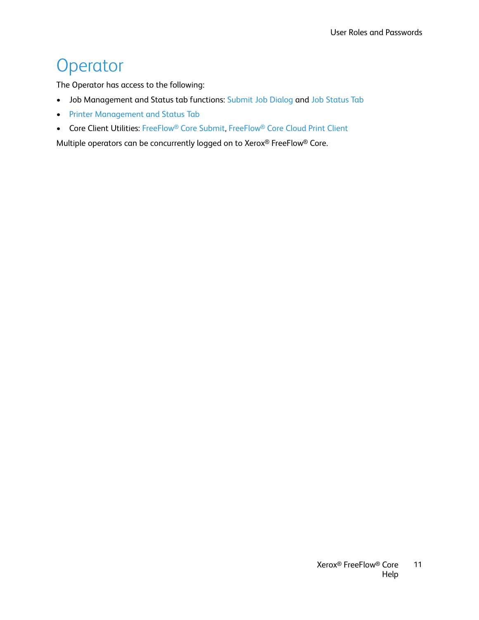# <span id="page-10-0"></span>**Operator**

The Operator has access to the following:

- Job Management and Status tab functions: [Submit](#page-13-0) Job Dialog and Job [Status](#page-14-0) Tab
- Printer [Management](#page-18-0) and Status Tab
- Core Client Utilities: [FreeFlow](#page-114-0)® Core Submit, [FreeFlow](#page-119-0)® Core Cloud Print Client

Multiple operators can be concurrently logged on to Xerox® FreeFlow® Core.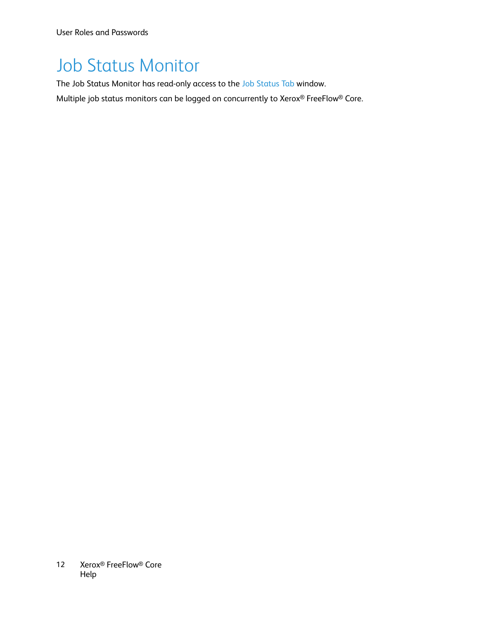User Roles and [Passwords](#page-8-0)

## <span id="page-11-0"></span>Job Status Monitor

The Job Status Monitor has read-only access to the Job [Status](#page-14-0) Tab window. Multiple job status monitors can be logged on concurrently to Xerox® FreeFlow® Core.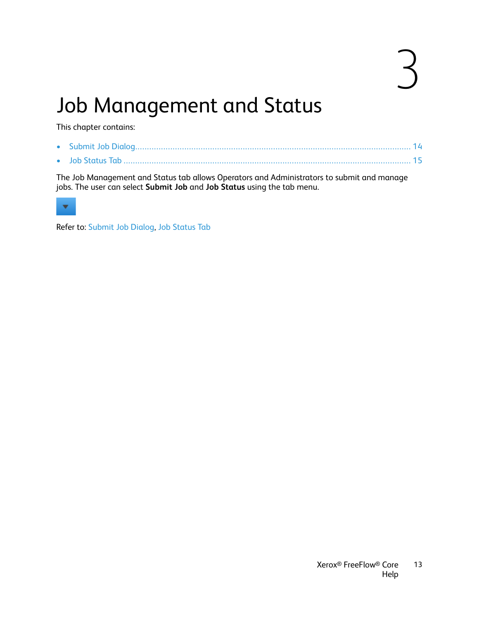# <span id="page-12-0"></span>Job Management and Status

This chapter contains:

The Job Management and Status tab allows Operators and Administrators to submit and manage jobs. The user can select **Submit Job** and **Job Status** using the tab menu.



Refer to: [Submit](#page-13-0) Job Dialog, Job [Status](#page-14-0) Tab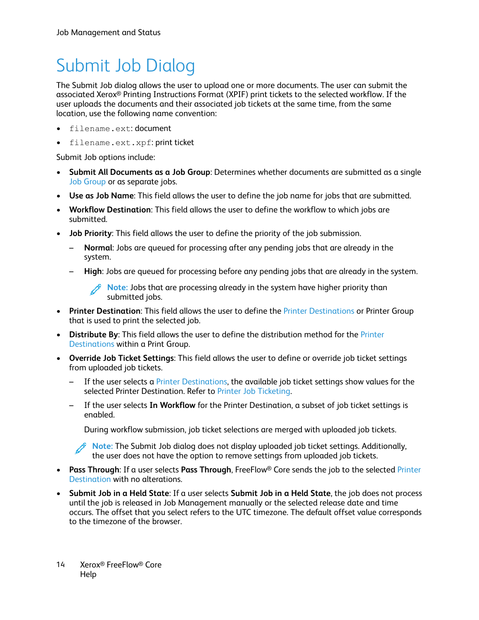# <span id="page-13-0"></span>Submit Job Dialog

The Submit Job dialog allows the user to upload one or more documents. The user can submit the associated Xerox® Printing Instructions Format (XPIF) print tickets to the selected workflow. If the user uploads the documents and their associated job tickets at the same time, from the same location, use the following name convention:

- filename.ext: document
- filename.ext.xpf: print ticket

Submit Job options include:

- **Submit All Documents as a Job Group**: Determines whether documents are submitted as a single Job [Group](#page-15-2) or as separate jobs.
- **Use as Job Name**: This field allows the user to define the job name for jobs that are submitted.
- **Workflow Destination**: This field allows the user to define the workflow to which jobs are submitted.
- **Job Priority**: This field allows the user to define the priority of the job submission.
	- **Normal**: Jobs are queued for processing after any pending jobs that are already in the system.
	- **High**: Jobs are queued for processing before any pending jobs that are already in the system.

**Note:** Jobs that are processing already in the system have higher priority than submitted jobs.

- **Printer Destination**: This field allows the user to define the Printer [Destinations](#page-61-0) or Printer Group that is used to print the selected job.
- **Distribute By**: This field allows the user to define the distribution method for the [Printer](#page-61-0) [Destinations](#page-61-0) within a Print Group.
- **Override Job Ticket Settings**: This field allows the user to define or override job ticket settings from uploaded job tickets.
	- $-$  If the user selects a Printer [Destinations](#page-61-0), the available job ticket settings show values for the selected Printer Destination. Refer to Printer Job [Ticketing](#page-62-0).
	- If the user selects **In Workflow** for the Printer Destination, a subset of job ticket settings is enabled.

During workflow submission, job ticket selections are merged with uploaded job tickets.

**Note:** The Submit Job dialog does not display uploaded job ticket settings. Additionally, the user does not have the option to remove settings from uploaded job tickets.

- **Pass Through**: If a user selects **Pass Through**, FreeFlow® Core sends the job to the selected [Printer](#page-61-0) [Destination](#page-61-0) with no alterations.
- **Submit Job in a Held State**: If a user selects **Submit Job in a Held State**, the job does not process until the job is released in Job Management manually or the selected release date and time occurs. The offset that you select refers to the UTC timezone. The default offset value corresponds to the timezone of the browser.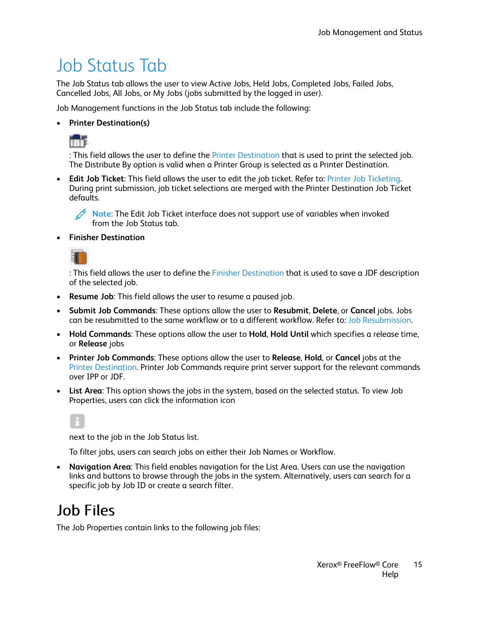# <span id="page-14-0"></span>Job Status Tab

The Job Status tab allows the user to view Active Jobs, Held Jobs, Completed Jobs, Failed Jobs, Cancelled Jobs, All Jobs, or My Jobs (jobs submitted by the logged in user).

Job Management functions in the Job Status tab include the following:

• **Printer Destination(s)**



: This field allows the user to define the Printer [Destination](#page-61-0) that is used to print the selected job. The Distribute By option is valid when a Printer Group is selected as a Printer Destination.

• **Edit Job Ticket**: This field allows the user to edit the job ticket. Refer to: Printer Job [Ticketing.](#page-62-0) During print submission, job ticket selections are merged with the Printer Destination Job Ticket defaults.

**Note:** The Edit Job Ticket interface does not support use of variables when invoked from the Job Status tab.

• **Finisher Destination**



: This field allows the user to define the Finisher [Destination](#page-64-0) that is used to save a JDF description of the selected job.

- **Resume Job**: This field allows the user to resume a paused job.
- **Submit Job Commands**: These options allow the user to **Resubmit**, **Delete**, or **Cancel** jobs. Jobs can be resubmitted to the same workflow or to a different workflow. Refer to: Job [Resubmission.](#page-15-0)
- **Hold Commands**: These options allow the user to **Hold**, **Hold Until** which specifies a release time, or **Release** jobs
- **Printer Job Commands**: These options allow the user to **Release**, **Hold**, or **Cancel** jobs at the Printer [Destination.](#page-61-0) Printer Job Commands require print server support for the relevant commands over IPP or JDF.
- **List Area**: This option shows the jobs in the system, based on the selected status. To view Job Properties, users can click the information icon



next to the job in the Job Status list.

To filter jobs, users can search jobs on either their Job Names or Workflow.

• **Navigation Area**: This field enables navigation for the List Area. Users can use the navigation links and buttons to browse through the jobs in the system. Alternatively, users can search for a specific job by Job ID or create a search filter.

### <span id="page-14-1"></span>Job Files

The Job Properties contain links to the following job files: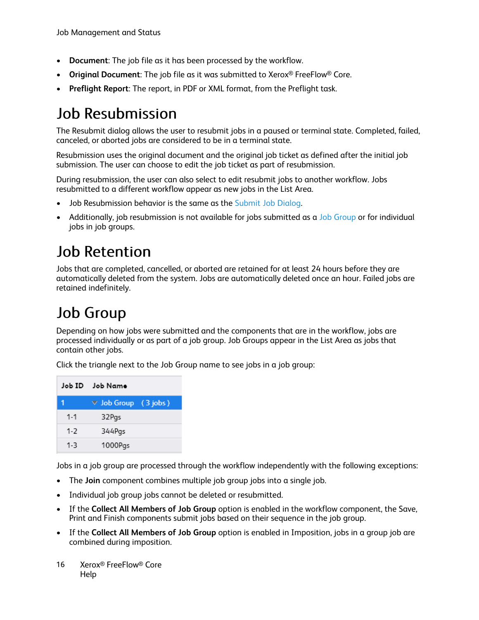- **Document**: The job file as it has been processed by the workflow.
- **Original Document**: The job file as it was submitted to Xerox® FreeFlow® Core.
- **Preflight Report**: The report, in PDF or XML format, from the Preflight task.

## <span id="page-15-0"></span>Job Resubmission

The Resubmit dialog allows the user to resubmit jobs in a paused or terminal state. Completed, failed, canceled, or aborted jobs are considered to be in a terminal state.

Resubmission uses the original document and the original job ticket as defined after the initial job submission. The user can choose to edit the job ticket as part of resubmission.

During resubmission, the user can also select to edit resubmit jobs to another workflow. Jobs resubmitted to a different workflow appear as new jobs in the List Area.

- Job Resubmission behavior is the same as the [Submit](#page-13-0) Job Dialog.
- Additionally, job resubmission is not available for jobs submitted as a Job [Group](#page-15-2) or for individual jobs in job groups.

## <span id="page-15-1"></span>Job Retention

Jobs that are completed, cancelled, or aborted are retained for at least 24 hours before they are automatically deleted from the system. Jobs are automatically deleted once an hour. Failed jobs are retained indefinitely.

## <span id="page-15-2"></span>Job Group

Depending on how jobs were submitted and the components that are in the workflow, jobs are processed individually or as part of a job group. Job Groups appear in the List Area as jobs that contain other jobs.

Click the triangle next to the Job Group name to see jobs in a job group:

|         | Job ID Job Name                    |  |
|---------|------------------------------------|--|
|         | $\triangledown$ Job Group (3 jobs) |  |
| $1 - 1$ | 32Pgs                              |  |
| $1 - 2$ | 344Pgs                             |  |
| $1-3$   | 1000Pgs                            |  |

Jobs in a job group are processed through the workflow independently with the following exceptions:

- The **Join** component combines multiple job group jobs into a single job.
- Individual job group jobs cannot be deleted or resubmitted.
- If the **Collect All Members of Job Group** option is enabled in the workflow component, the Save, Print and Finish components submit jobs based on their sequence in the job group.
- If the **Collect All Members of Job Group** option is enabled in Imposition, jobs in a group job are combined during imposition.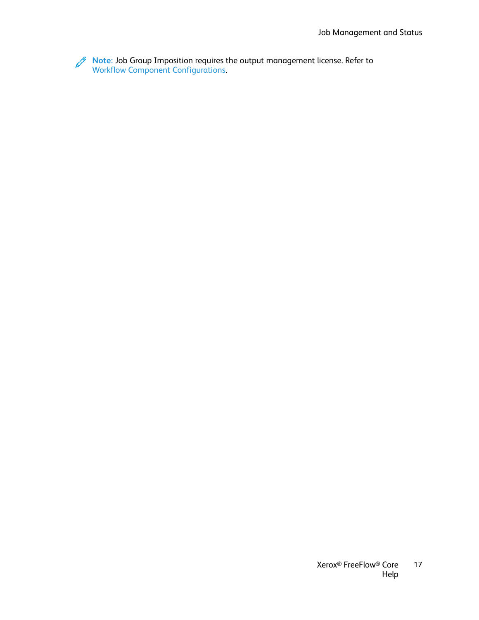**Note:** Job Group Imposition requires the output management license. Refer to Workflow Component [Configurations](#page-30-1).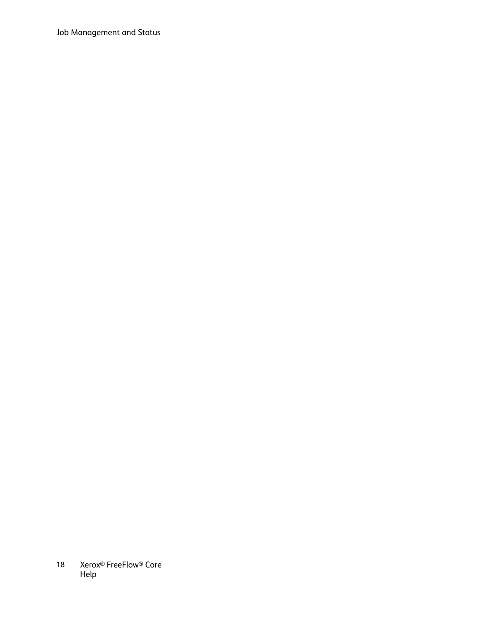Job [Management](#page-12-0) and Status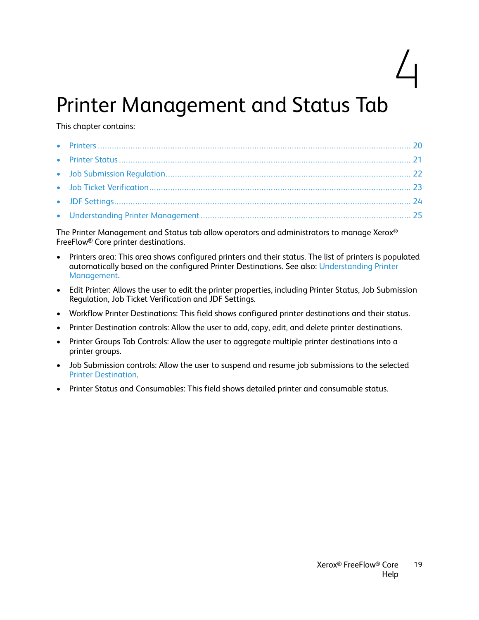# 4

# <span id="page-18-0"></span>Printer Management and Status Tab

This chapter contains:

The Printer Management and Status tab allow operators and administrators to manage Xerox® FreeFlow® Core printer destinations.

- Printers area: This area shows configured printers and their status. The list of printers is populated automatically based on the configured Printer Destinations. See also: [Understanding](#page-24-0) Printer [Management.](#page-24-0)
- Edit Printer: Allows the user to edit the printer properties, including Printer Status, Job Submission Regulation, Job Ticket Verification and JDF Settings.
- Workflow Printer Destinations: This field shows configured printer destinations and their status.
- Printer Destination controls: Allow the user to add, copy, edit, and delete printer destinations.
- Printer Groups Tab Controls: Allow the user to aggregate multiple printer destinations into a printer groups.
- Job Submission controls: Allow the user to suspend and resume job submissions to the selected Printer [Destination.](#page-61-0)
- Printer Status and Consumables: This field shows detailed printer and consumable status.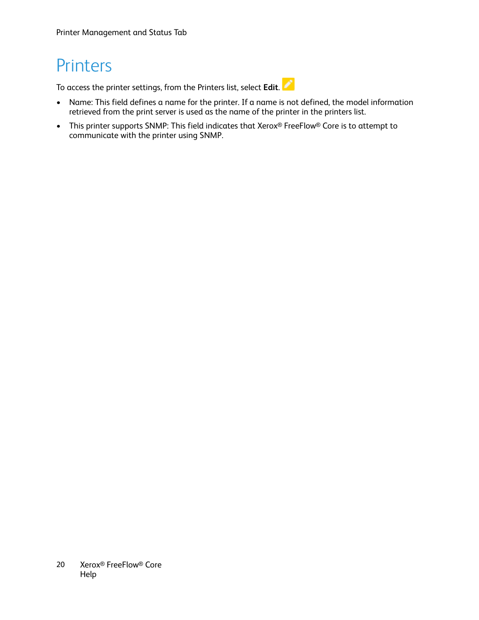## <span id="page-19-0"></span>**Printers**

To access the printer settings, from the Printers list, select **Edit**.



- Name: This field defines a name for the printer. If a name is not defined, the model information retrieved from the print server is used as the name of the printer in the printers list.
- This printer supports SNMP: This field indicates that Xerox® FreeFlow® Core is to attempt to communicate with the printer using SNMP.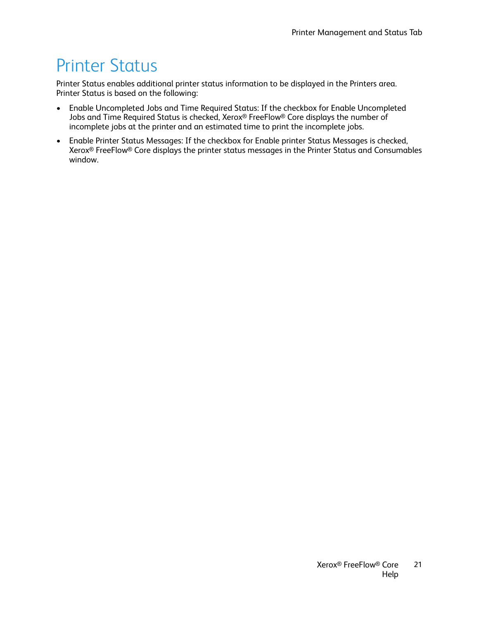# <span id="page-20-0"></span>Printer Status

Printer Status enables additional printer status information to be displayed in the Printers area. Printer Status is based on the following:

- Enable Uncompleted Jobs and Time Required Status: If the checkbox for Enable Uncompleted Jobs and Time Required Status is checked, Xerox® FreeFlow® Core displays the number of incomplete jobs at the printer and an estimated time to print the incomplete jobs.
- Enable Printer Status Messages: If the checkbox for Enable printer Status Messages is checked, Xerox® FreeFlow® Core displays the printer status messages in the Printer Status and Consumables window.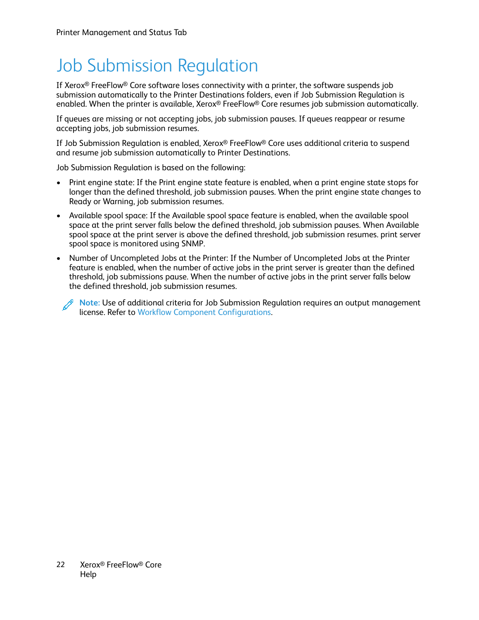# <span id="page-21-0"></span>Job Submission Regulation

If Xerox® FreeFlow® Core software loses connectivity with a printer, the software suspends job submission automatically to the Printer Destinations folders, even if Job Submission Regulation is enabled. When the printer is available, Xerox® FreeFlow® Core resumes job submission automatically.

If queues are missing or not accepting jobs, job submission pauses. If queues reappear or resume accepting jobs, job submission resumes.

If Job Submission Regulation is enabled, Xerox® FreeFlow® Core uses additional criteria to suspend and resume job submission automatically to Printer Destinations.

Job Submission Regulation is based on the following:

- Print engine state: If the Print engine state feature is enabled, when a print engine state stops for longer than the defined threshold, job submission pauses. When the print engine state changes to Ready or Warning, job submission resumes.
- Available spool space: If the Available spool space feature is enabled, when the available spool space at the print server falls below the defined threshold, job submission pauses. When Available spool space at the print server is above the defined threshold, job submission resumes. print server spool space is monitored using SNMP.
- Number of Uncompleted Jobs at the Printer: If the Number of Uncompleted Jobs at the Printer feature is enabled, when the number of active jobs in the print server is greater than the defined threshold, job submissions pause. When the number of active jobs in the print server falls below the defined threshold, job submission resumes.

**Note:** Use of additional criteria for Job Submission Regulation requires an output management license. Refer to Workflow Component [Configurations](#page-30-1).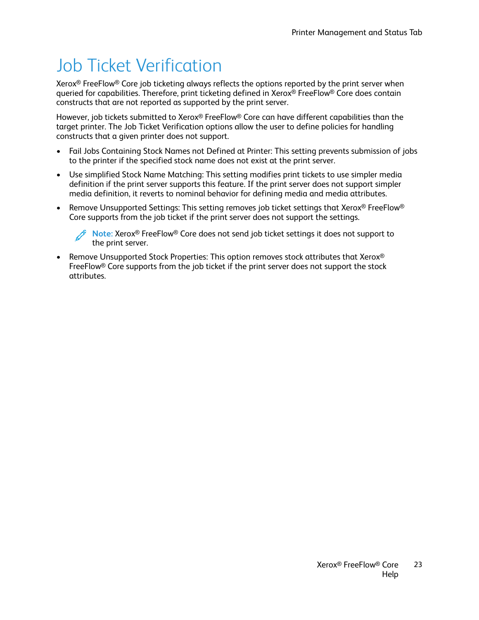# <span id="page-22-0"></span>Job Ticket Verification

Xerox® FreeFlow® Core job ticketing always reflects the options reported by the print server when queried for capabilities. Therefore, print ticketing defined in Xerox® FreeFlow® Core does contain constructs that are not reported as supported by the print server.

However, job tickets submitted to Xerox® FreeFlow® Core can have different capabilities than the target printer. The Job Ticket Verification options allow the user to define policies for handling constructs that a given printer does not support.

- Fail Jobs Containing Stock Names not Defined at Printer: This setting prevents submission of jobs to the printer if the specified stock name does not exist at the print server.
- Use simplified Stock Name Matching: This setting modifies print tickets to use simpler media definition if the print server supports this feature. If the print server does not support simpler media definition, it reverts to nominal behavior for defining media and media attributes.
- Remove Unsupported Settings: This setting removes job ticket settings that Xerox® FreeFlow® Core supports from the job ticket if the print server does not support the settings.

**Note:** Xerox® FreeFlow® Core does not send job ticket settings it does not support to the print server.

• Remove Unsupported Stock Properties: This option removes stock attributes that Xerox® FreeFlow® Core supports from the job ticket if the print server does not support the stock attributes.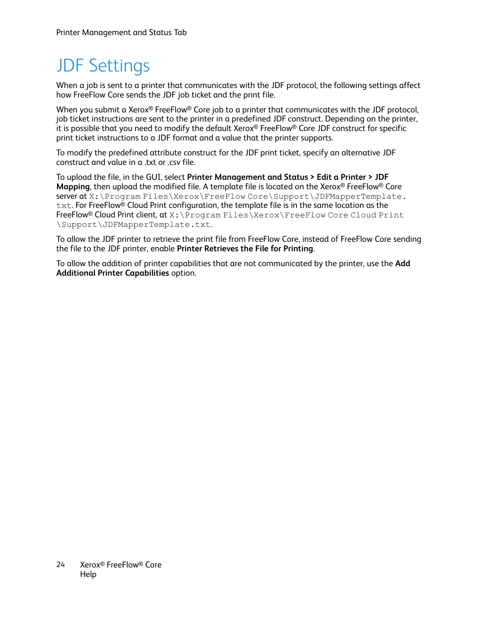# <span id="page-23-0"></span>JDF Settings

When a job is sent to a printer that communicates with the JDF protocol, the following settings affect how FreeFlow Core sends the JDF job ticket and the print file.

When you submit a Xerox<sup>®</sup> FreeFlow<sup>®</sup> Core job to a printer that communicates with the JDF protocol, job ticket instructions are sent to the printer in a predefined JDF construct. Depending on the printer, it is possible that you need to modify the default Xerox® FreeFlow® Core JDF construct for specific print ticket instructions to a JDF format and a value that the printer supports.

To modify the predefined attribute construct for the JDF print ticket, specify an alternative JDF construct and value in a .txt or .csv file.

To upload the file, in the GUI, select **Printer Management and Status > Edit a Printer > JDF Mapping**, then upload the modified file. A template file is located on the Xerox® FreeFlow® Core server at X:\Program Files\Xerox\FreeFlow Core\Support\JDFMapperTemplate. txt. For FreeFlow® Cloud Print configuration, the template file is in the same location as the FreeFlow® Cloud Print client, at X:\Program Files\Xerox\FreeFlow Core Cloud Print \Support\JDFMapperTemplate.txt.

To allow the JDF printer to retrieve the print file from FreeFlow Core, instead of FreeFlow Core sending the file to the JDF printer, enable **Printer Retrieves the File for Printing**.

To allow the addition of printer capabilities that are not communicated by the printer, use the **Add Additional Printer Capabilities** option.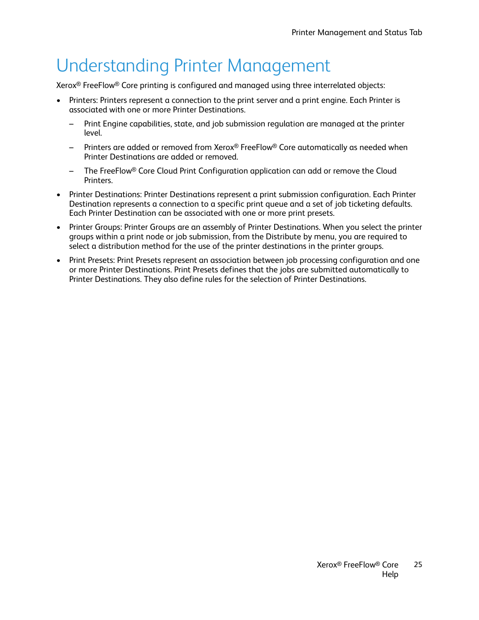# <span id="page-24-0"></span>Understanding Printer Management

Xerox® FreeFlow® Core printing is configured and managed using three interrelated objects:

- Printers: Printers represent a connection to the print server and a print engine. Each Printer is associated with one or more Printer Destinations.
	- Print Engine capabilities, state, and job submission regulation are managed at the printer level.
	- Printers are added or removed from Xerox® FreeFlow® Core automatically as needed when Printer Destinations are added or removed.
	- The FreeFlow® Core Cloud Print Configuration application can add or remove the Cloud Printers.
- Printer Destinations: Printer Destinations represent a print submission configuration. Each Printer Destination represents a connection to a specific print queue and a set of job ticketing defaults. Each Printer Destination can be associated with one or more print presets.
- Printer Groups: Printer Groups are an assembly of Printer Destinations. When you select the printer groups within a print node or job submission, from the Distribute by menu, you are required to select a distribution method for the use of the printer destinations in the printer groups.
- Print Presets: Print Presets represent an association between job processing configuration and one or more Printer Destinations. Print Presets defines that the jobs are submitted automatically to Printer Destinations. They also define rules for the selection of Printer Destinations.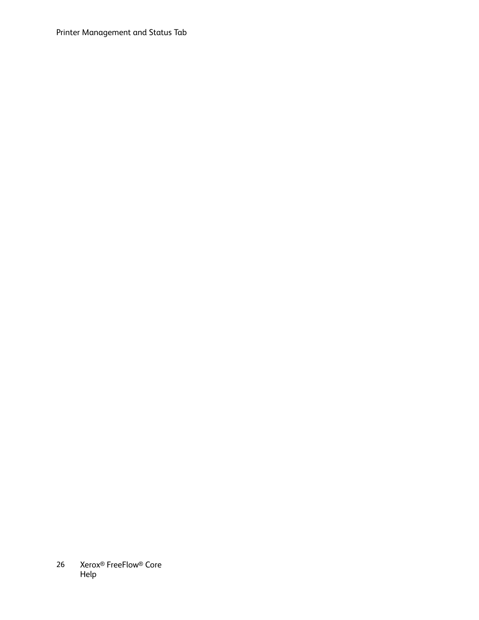Printer [Management](#page-18-0) and Status Tab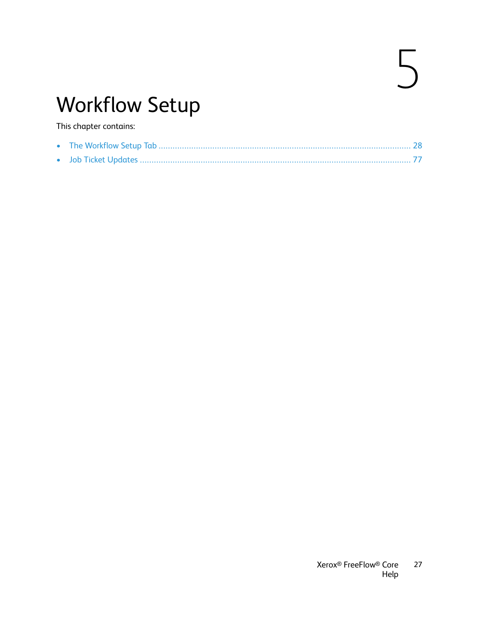# $\overline{5}$

# <span id="page-26-0"></span>**Workflow Setup**

This chapter contains: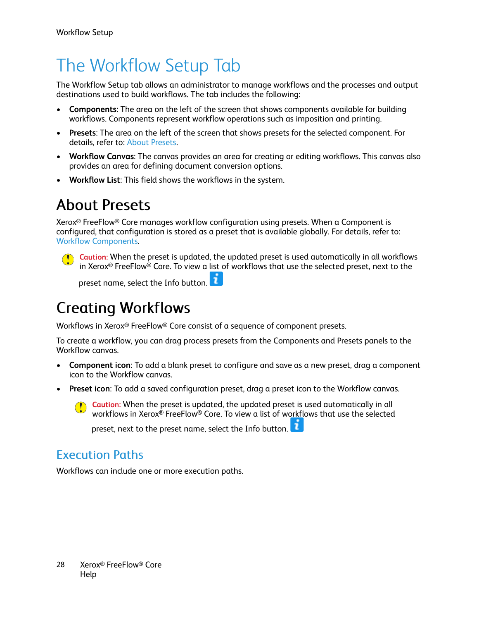# <span id="page-27-0"></span>The Workflow Setup Tab

The Workflow Setup tab allows an administrator to manage workflows and the processes and output destinations used to build workflows. The tab includes the following:

- **Components**: The area on the left of the screen that shows components available for building workflows. Components represent workflow operations such as imposition and printing.
- **Presets**: The area on the left of the screen that shows presets for the selected component. For details, refer to: About [Presets](#page-27-1).
- **Workflow Canvas**: The canvas provides an area for creating or editing workflows. This canvas also provides an area for defining document conversion options.
- **Workflow List**: This field shows the workflows in the system.

## <span id="page-27-1"></span>About Presets

Xerox<sup>®</sup> FreeFlow<sup>®</sup> Core manages workflow configuration using presets. When a Component is configured, that configuration is stored as a preset that is available globally. For details, refer to: Workflow [Components](#page-30-0).



**Caution:** When the preset is updated, the updated preset is used automatically in all workflows in Xerox® FreeFlow® Core. To view a list of workflows that use the selected preset, next to the

preset name, select the Info button.

## <span id="page-27-2"></span>Creating Workflows

Workflows in Xerox® FreeFlow® Core consist of a sequence of component presets.

To create a workflow, you can drag process presets from the Components and Presets panels to the Workflow canvas.

- **Component icon**: To add a blank preset to configure and save as a new preset, drag a component icon to the Workflow canvas.
- **Preset icon**: To add a saved configuration preset, drag a preset icon to the Workflow canvas.

**Caution:** When the preset is updated, the updated preset is used automatically in all workflows in Xerox® FreeFlow® Core. To view a list of workflows that use the selected

preset, next to the preset name, select the Info button.

### Execution Paths

Workflows can include one or more execution paths.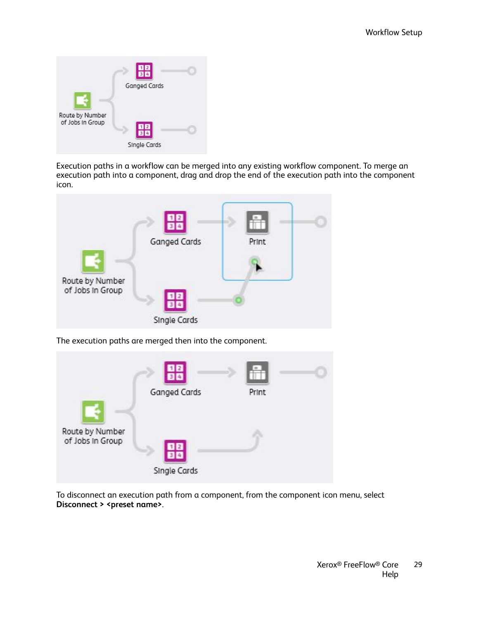

Execution paths in a workflow can be merged into any existing workflow component. To merge an execution path into a component, drag and drop the end of the execution path into the component icon.



The execution paths are merged then into the component.



To disconnect an execution path from a component, from the component icon menu, select **Disconnect > <preset name>.**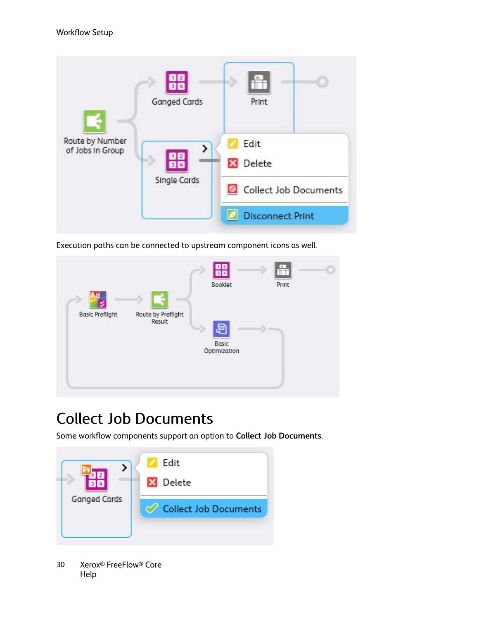

Execution paths can be connected to upstream component icons as well.



## <span id="page-29-0"></span>Collect Job Documents

Some workflow components support an option to **Collect Job Documents**.

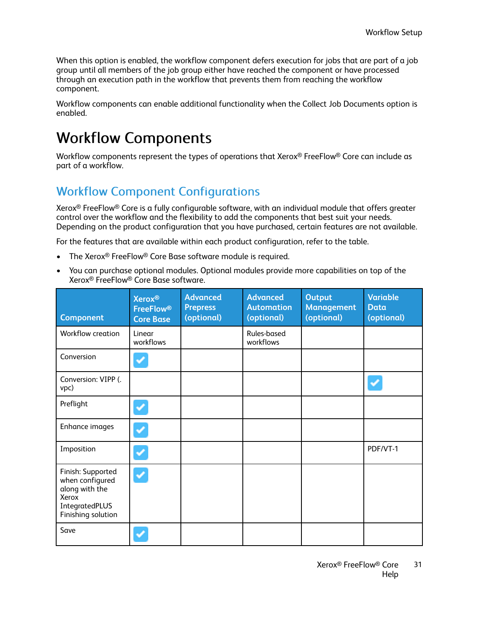When this option is enabled, the workflow component defers execution for jobs that are part of a job group until all members of the job group either have reached the component or have processed through an execution path in the workflow that prevents them from reaching the workflow component.

Workflow components can enable additional functionality when the Collect Job Documents option is enabled.

## <span id="page-30-0"></span>Workflow Components

Workflow components represent the types of operations that Xerox<sup>®</sup> FreeFlow<sup>®</sup> Core can include as part of a workflow.

### <span id="page-30-1"></span>Workflow Component Configurations

Xerox® FreeFlow® Core is a fully configurable software, with an individual module that offers greater control over the workflow and the flexibility to add the components that best suit your needs. Depending on the product configuration that you have purchased, certain features are not available.

For the features that are available within each product configuration, refer to the table.

- The Xerox<sup>®</sup> FreeFlow<sup>®</sup> Core Base software module is required.
- You can purchase optional modules. Optional modules provide more capabilities on top of the Xerox® FreeFlow® Core Base software.

| <b>Component</b>                                                                                        | <b>Xerox®</b><br>FreeFlow <sup>®</sup><br><b>Core Base</b> | <b>Advanced</b><br><b>Prepress</b><br>(optional) | <b>Advanced</b><br><b>Automation</b><br>(optional) | <b>Output</b><br><b>Management</b><br>(optional) | <b>Variable</b><br>Data<br>(optional) |
|---------------------------------------------------------------------------------------------------------|------------------------------------------------------------|--------------------------------------------------|----------------------------------------------------|--------------------------------------------------|---------------------------------------|
| Workflow creation                                                                                       | Linear<br>workflows                                        |                                                  | Rules-based<br>workflows                           |                                                  |                                       |
| Conversion                                                                                              |                                                            |                                                  |                                                    |                                                  |                                       |
| Conversion: VIPP (.<br>vpc)                                                                             |                                                            |                                                  |                                                    |                                                  |                                       |
| Preflight                                                                                               |                                                            |                                                  |                                                    |                                                  |                                       |
| Enhance images                                                                                          |                                                            |                                                  |                                                    |                                                  |                                       |
| Imposition                                                                                              |                                                            |                                                  |                                                    |                                                  | PDF/VT-1                              |
| Finish: Supported<br>when configured<br>along with the<br>Xerox<br>IntegratedPLUS<br>Finishing solution |                                                            |                                                  |                                                    |                                                  |                                       |
| Save                                                                                                    |                                                            |                                                  |                                                    |                                                  |                                       |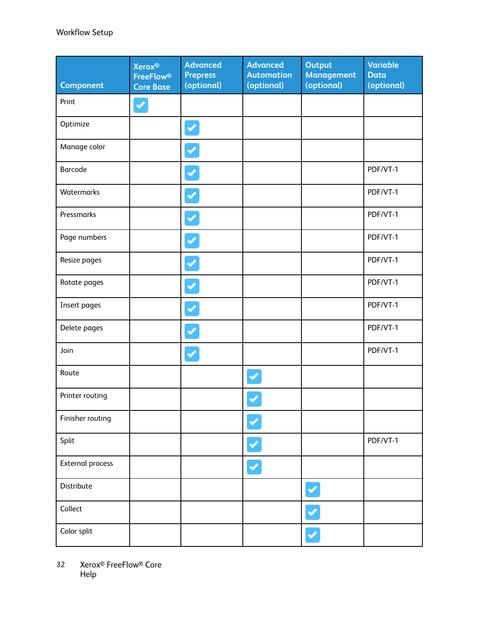| <b>Component</b>        | <b>Xerox®</b><br><b>FreeFlow®</b><br><b>Core Base</b> | <b>Advanced</b><br><b>Prepress</b><br>(optional) | <b>Advanced</b><br><b>Automation</b><br>(optional) | <b>Output</b><br>Management<br>(optional) | Variable<br><b>Data</b><br>(optional) |
|-------------------------|-------------------------------------------------------|--------------------------------------------------|----------------------------------------------------|-------------------------------------------|---------------------------------------|
| Print                   | ميہ                                                   |                                                  |                                                    |                                           |                                       |
| Optimize                |                                                       |                                                  |                                                    |                                           |                                       |
| Manage color            |                                                       |                                                  |                                                    |                                           |                                       |
| Barcode                 |                                                       |                                                  |                                                    |                                           | PDF/VT-1                              |
| Watermarks              |                                                       |                                                  |                                                    |                                           | PDF/VT-1                              |
| Pressmarks              |                                                       | ✔                                                |                                                    |                                           | PDF/VT-1                              |
| Page numbers            |                                                       |                                                  |                                                    |                                           | PDF/VT-1                              |
| Resize pages            |                                                       |                                                  |                                                    |                                           | PDF/VT-1                              |
| Rotate pages            |                                                       |                                                  |                                                    |                                           | PDF/VT-1                              |
| Insert pages            |                                                       |                                                  |                                                    |                                           | PDF/VT-1                              |
| Delete pages            |                                                       |                                                  |                                                    |                                           | PDF/VT-1                              |
| Join                    |                                                       | ✔                                                |                                                    |                                           | PDF/VT-1                              |
| Route                   |                                                       |                                                  | ✔                                                  |                                           |                                       |
| Printer routing         |                                                       |                                                  |                                                    |                                           |                                       |
| Finisher routing        |                                                       |                                                  | V                                                  |                                           |                                       |
| Split                   |                                                       |                                                  | $\checkmark$                                       |                                           | PDF/VT-1                              |
| <b>External process</b> |                                                       |                                                  | $\mathcal{S}$                                      |                                           |                                       |
| Distribute              |                                                       |                                                  |                                                    |                                           |                                       |
| Collect                 |                                                       |                                                  |                                                    |                                           |                                       |
| Color split             |                                                       |                                                  |                                                    |                                           |                                       |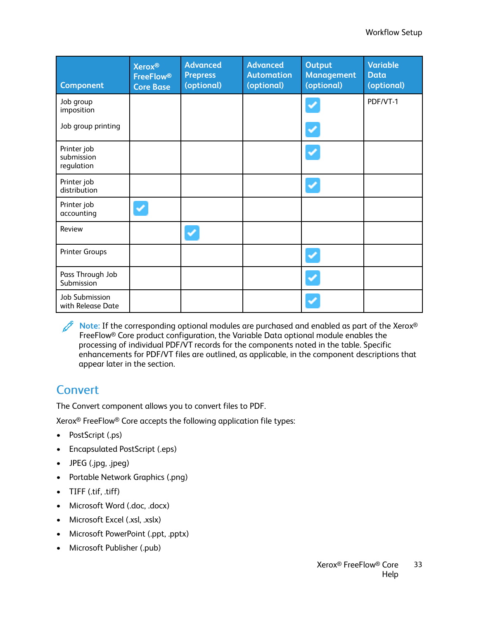| <b>Component</b>                        | <b>Xerox®</b><br>FreeFlow <sup>®</sup><br><b>Core Base</b> | <b>Advanced</b><br><b>Prepress</b><br>(optional) | <b>Advanced</b><br><b>Automation</b><br>(optional) | <b>Output</b><br><b>Management</b><br>(optional) | <b>Variable</b><br><b>Data</b><br>(optional) |
|-----------------------------------------|------------------------------------------------------------|--------------------------------------------------|----------------------------------------------------|--------------------------------------------------|----------------------------------------------|
| Job group<br>imposition                 |                                                            |                                                  |                                                    |                                                  | PDF/VT-1                                     |
| Job group printing                      |                                                            |                                                  |                                                    |                                                  |                                              |
| Printer job<br>submission<br>regulation |                                                            |                                                  |                                                    |                                                  |                                              |
| Printer job<br>distribution             |                                                            |                                                  |                                                    |                                                  |                                              |
| Printer job<br>accounting               |                                                            |                                                  |                                                    |                                                  |                                              |
| Review                                  |                                                            |                                                  |                                                    |                                                  |                                              |
| <b>Printer Groups</b>                   |                                                            |                                                  |                                                    |                                                  |                                              |
| Pass Through Job<br>Submission          |                                                            |                                                  |                                                    |                                                  |                                              |
| Job Submission<br>with Release Date     |                                                            |                                                  |                                                    |                                                  |                                              |

**Note:** If the corresponding optional modules are purchased and enabled as part of the Xerox® FreeFlow® Core product configuration, the Variable Data optional module enables the processing of individual PDF/VT records for the components noted in the table. Specific enhancements for PDF/VT files are outlined, as applicable, in the component descriptions that appear later in the section.

### **Convert**

The Convert component allows you to convert files to PDF.

Xerox® FreeFlow® Core accepts the following application file types:

- PostScript (.ps)
- Encapsulated PostScript (.eps)
- JPEG (.jpg, .jpeg)
- Portable Network Graphics (.png)
- TIFF (.tif, .tiff)
- Microsoft Word (.doc, .docx)
- Microsoft Excel (.xsl, .xslx)
- Microsoft PowerPoint (.ppt, .pptx)
- Microsoft Publisher (.pub)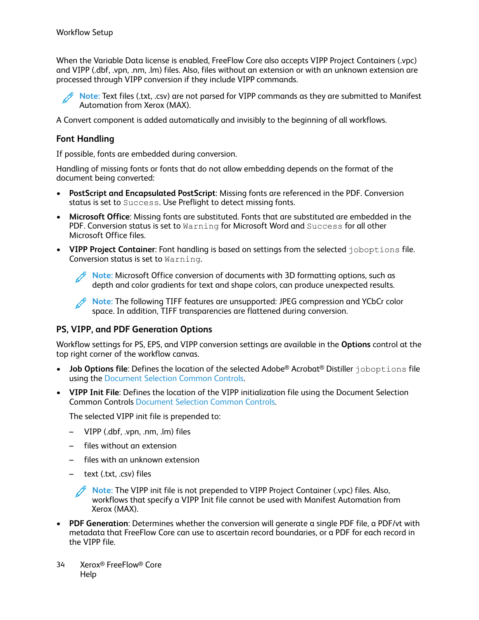When the Variable Data license is enabled, FreeFlow Core also accepts VIPP Project Containers (.vpc) and VIPP (.dbf, .vpn, .nm, .lm) files. Also, files without an extension or with an unknown extension are processed through VIPP conversion if they include VIPP commands.

**Note:** Text files (.txt, .csv) are not parsed for VIPP commands as they are submitted to Manifest Automation from Xerox (MAX).

A Convert component is added automatically and invisibly to the beginning of all workflows.

### **Font Handling**

If possible, fonts are embedded during conversion.

Handling of missing fonts or fonts that do not allow embedding depends on the format of the document being converted:

- **PostScript and Encapsulated PostScript**: Missing fonts are referenced in the PDF. Conversion status is set to Success. Use Preflight to detect missing fonts.
- **Microsoft Office**: Missing fonts are substituted. Fonts that are substituted are embedded in the PDF. Conversion status is set to Warning for Microsoft Word and Success for all other Microsoft Office files.
- **VIPP Project Container**: Font handling is based on settings from the selected joboptions file. Conversion status is set to Warning.

**Note:** Microsoft Office conversion of documents with 3D formatting options, such as depth and color gradients for text and shape colors, can produce unexpected results.

**Note:** The following TIFF features are unsupported: JPEG compression and YCbCr color space. In addition, TIFF transparencies are flattened during conversion.

### **PS, VIPP, and PDF Generation Options**

Workflow settings for PS, EPS, and VIPP conversion settings are available in the **Options** control at the top right corner of the workflow canvas.

- **Job Options file**: Defines the location of the selected Adobe® Acrobat® Distiller joboptions file using the [Document](#page-70-0) Selection Common Controls.
- **VIPP Init File**: Defines the location of the VIPP initialization file using the Document Selection Common Controls [Document](#page-70-0) Selection Common Controls.

The selected VIPP init file is prepended to:

- VIPP (.dbf, .vpn, .nm, .lm) files
- files without an extension
- files with an unknown extension
- text (.txt, .csv) files
- **Note:** The VIPP init file is not prepended to VIPP Project Container (.vpc) files. Also, workflows that specify a VIPP Init file cannot be used with Manifest Automation from Xerox (MAX).
- **PDF Generation**: Determines whether the conversion will generate a single PDF file, a PDF/vt with metadata that FreeFlow Core can use to ascertain record boundaries, or a PDF for each record in the VIPP file.
- 34 Xerox® FreeFlow® Core Help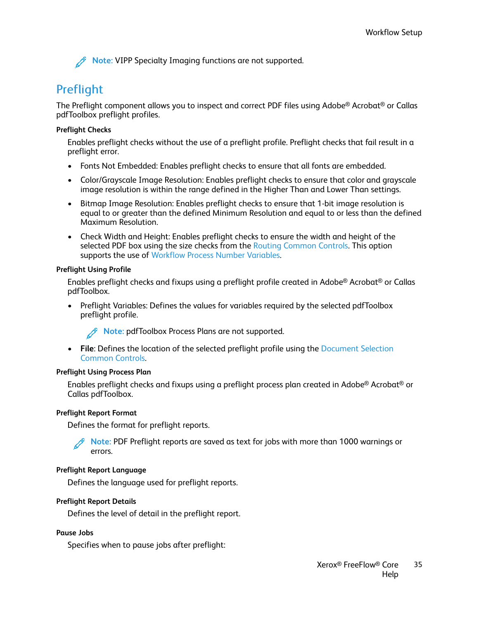**Note:** VIPP Specialty Imaging functions are not supported.

### Preflight

The Preflight component allows you to inspect and correct PDF files using Adobe® Acrobat® or Callas pdfToolbox preflight profiles.

### **Preflight Checks**

Enables preflight checks without the use of a preflight profile. Preflight checks that fail result in a preflight error.

- Fonts Not Embedded: Enables preflight checks to ensure that all fonts are embedded.
- Color/Grayscale Image Resolution: Enables preflight checks to ensure that color and grayscale image resolution is within the range defined in the Higher Than and Lower Than settings.
- Bitmap Image Resolution: Enables preflight checks to ensure that 1-bit image resolution is equal to or greater than the defined Minimum Resolution and equal to or less than the defined Maximum Resolution.
- Check Width and Height: Enables preflight checks to ensure the width and height of the selected PDF box using the size checks from the Routing [Common](#page-65-1) Controls. This option supports the use of [Workflow](#page-74-0) Process Number Variables.

### **Preflight Using Profile**

Enables preflight checks and fixups using a preflight profile created in Adobe® Acrobat® or Callas pdfToolbox.

• Preflight Variables: Defines the values for variables required by the selected pdfToolbox preflight profile.

**Note:** pdfToolbox Process Plans are not supported.

• **File**: Defines the location of the selected preflight profile using the [Document](#page-70-0) Selection [Common](#page-70-0) Controls.

### **Preflight Using Process Plan**

Enables preflight checks and fixups using a preflight process plan created in Adobe® Acrobat® or Callas pdfToolbox.

### **Preflight Report Format**

Defines the format for preflight reports.

**Note:** PDF Preflight reports are saved as text for jobs with more than 1000 warnings or errors.

### **Preflight Report Language**

Defines the language used for preflight reports.

### **Preflight Report Details**

Defines the level of detail in the preflight report.

### **Pause Jobs**

Specifies when to pause jobs after preflight: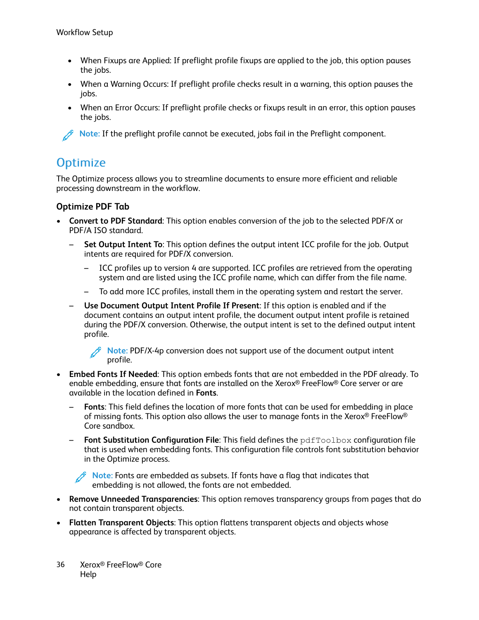- When Fixups are Applied: If preflight profile fixups are applied to the job, this option pauses the jobs.
- When a Warning Occurs: If preflight profile checks result in a warning, this option pauses the jobs.
- When an Error Occurs: If preflight profile checks or fixups result in an error, this option pauses the jobs.

**Note:** If the preflight profile cannot be executed, jobs fail in the Preflight component.

### **Optimize**

The Optimize process allows you to streamline documents to ensure more efficient and reliable processing downstream in the workflow.

### **Optimize PDF Tab**

- **Convert to PDF Standard**: This option enables conversion of the job to the selected PDF/X or PDF/A ISO standard.
	- **Set Output Intent To**: This option defines the output intent ICC profile for the job. Output intents are required for PDF/X conversion.
		- ICC profiles up to version 4 are supported. ICC profiles are retrieved from the operating system and are listed using the ICC profile name, which can differ from the file name.
		- To add more ICC profiles, install them in the operating system and restart the server.
	- **Use Document Output Intent Profile If Present**: If this option is enabled and if the document contains an output intent profile, the document output intent profile is retained during the PDF/X conversion. Otherwise, the output intent is set to the defined output intent profile.

**Note:** PDF/X-4p conversion does not support use of the document output intent profile.

- **Embed Fonts If Needed**: This option embeds fonts that are not embedded in the PDF already. To enable embedding, ensure that fonts are installed on the Xerox® FreeFlow® Core server or are available in the location defined in **Fonts**.
	- **Fonts**: This field defines the location of more fonts that can be used for embedding in place of missing fonts. This option also allows the user to manage fonts in the Xerox® FreeFlow® Core sandbox.
	- **Font Substitution Configuration File**: This field defines the pdfToolbox configuration file that is used when embedding fonts. This configuration file controls font substitution behavior in the Optimize process.

**Note:** Fonts are embedded as subsets. If fonts have a flag that indicates that embedding is not allowed, the fonts are not embedded.

- **Remove Unneeded Transparencies**: This option removes transparency groups from pages that do not contain transparent objects.
- **Flatten Transparent Objects**: This option flattens transparent objects and objects whose appearance is affected by transparent objects.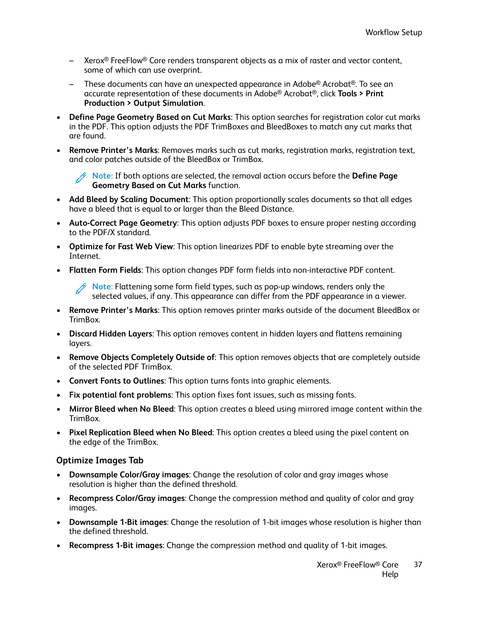- $-$  Xerox<sup>®</sup> FreeFlow<sup>®</sup> Core renders transparent objects as a mix of raster and vector content, some of which can use overprint.
- $-$  These documents can have an unexpected appearance in Adobe® Acrobat®. To see an accurate representation of these documents in Adobe® Acrobat®, click **Tools > Print Production > Output Simulation**.
- **Define Page Geometry Based on Cut Marks**: This option searches for registration color cut marks in the PDF. This option adjusts the PDF TrimBoxes and BleedBoxes to match any cut marks that are found.
- **Remove Printer's Marks**: Removes marks such as cut marks, registration marks, registration text, and color patches outside of the BleedBox or TrimBox.

**Note:** If both options are selected, the removal action occurs before the **Define Page Geometry Based on Cut Marks** function.

- **Add Bleed by Scaling Document**: This option proportionally scales documents so that all edges have a bleed that is equal to or larger than the Bleed Distance.
- **Auto-Correct Page Geometry**: This option adjusts PDF boxes to ensure proper nesting according to the PDF/X standard.
- **Optimize for Fast Web View**: This option linearizes PDF to enable byte streaming over the Internet.
- **Flatten Form Fields**: This option changes PDF form fields into non-interactive PDF content.

**Note:** Flattening some form field types, such as pop-up windows, renders only the selected values, if any. This appearance can differ from the PDF appearance in a viewer.

- **Remove Printer's Marks**: This option removes printer marks outside of the document BleedBox or TrimBox.
- **Discard Hidden Layers**: This option removes content in hidden layers and flattens remaining layers.
- **Remove Objects Completely Outside of**: This option removes objects that are completely outside of the selected PDF TrimBox.
- **Convert Fonts to Outlines**: This option turns fonts into graphic elements.
- **Fix potential font problems**: This option fixes font issues, such as missing fonts.
- **Mirror Bleed when No Bleed**: This option creates a bleed using mirrored image content within the TrimBox.
- **Pixel Replication Bleed when No Bleed**: This option creates a bleed using the pixel content on the edge of the TrimBox.

### **Optimize Images Tab**

- **Downsample Color/Gray images**: Change the resolution of color and gray images whose resolution is higher than the defined threshold.
- **Recompress Color/Gray images**: Change the compression method and quality of color and gray images.
- **Downsample 1-Bit images**: Change the resolution of 1-bit images whose resolution is higher than the defined threshold.
- **Recompress 1-Bit images**: Change the compression method and quality of 1-bit images.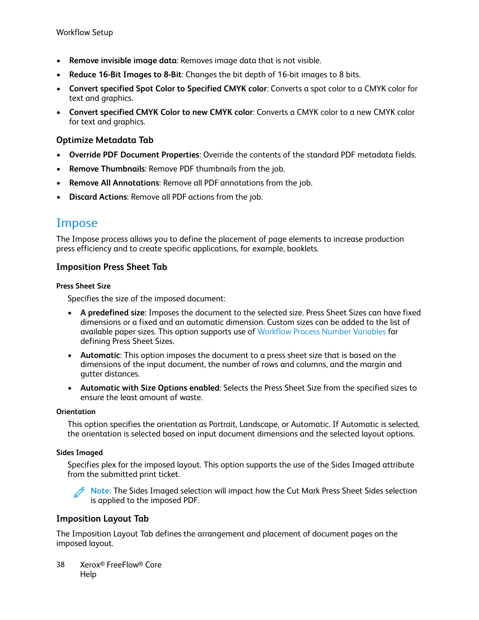- **Remove invisible image data**: Removes image data that is not visible.
- **Reduce 16-Bit Images to 8-Bit**: Changes the bit depth of 16-bit images to 8 bits.
- **Convert specified Spot Color to Specified CMYK color**: Converts a spot color to a CMYK color for text and graphics.
- **Convert specified CMYK Color to new CMYK color**: Converts a CMYK color to a new CMYK color for text and graphics.

### **Optimize Metadata Tab**

- **Override PDF Document Properties**: Override the contents of the standard PDF metadata fields.
- **Remove Thumbnails**: Remove PDF thumbnails from the job.
- **Remove All Annotations**: Remove all PDF annotations from the job.
- **Discard Actions**: Remove all PDF actions from the job.

### Impose

The Impose process allows you to define the placement of page elements to increase production press efficiency and to create specific applications, for example, booklets.

### **Imposition Press Sheet Tab**

#### **Press Sheet Size**

Specifies the size of the imposed document:

- **A predefined size**: Imposes the document to the selected size. Press Sheet Sizes can have fixed dimensions or a fixed and an automatic dimension. Custom sizes can be added to the list of available paper sizes. This option supports use of [Workflow](#page-74-0) Process Number Variables for defining Press Sheet Sizes.
- **Automatic**: This option imposes the document to a press sheet size that is based on the dimensions of the input document, the number of rows and columns, and the margin and gutter distances.
- **Automatic with Size Options enabled**: Selects the Press Sheet Size from the specified sizes to ensure the least amount of waste.

#### **Orientation**

This option specifies the orientation as Portrait, Landscape, or Automatic. If Automatic is selected, the orientation is selected based on input document dimensions and the selected layout options.

### **Sides Imaged**

Specifies plex for the imposed layout. This option supports the use of the Sides Imaged attribute from the submitted print ticket.

**Note:** The Sides Imaged selection will impact how the Cut Mark Press Sheet Sides selection is applied to the imposed PDF.

### **Imposition Layout Tab**

The Imposition Layout Tab defines the arrangement and placement of document pages on the imposed layout.

38 Xerox® FreeFlow® Core Help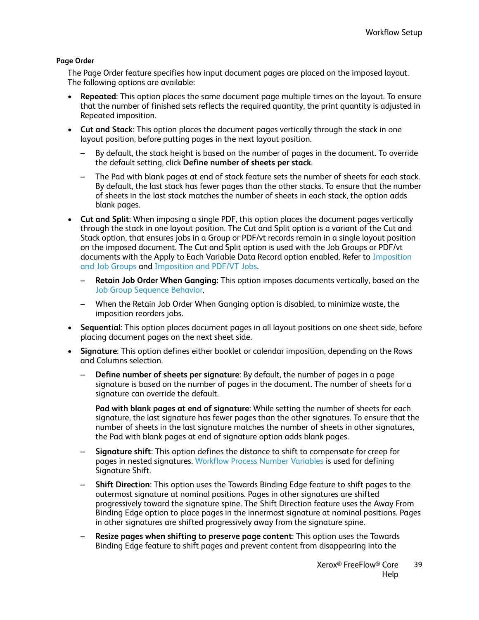#### **Page Order**

The Page Order feature specifies how input document pages are placed on the imposed layout. The following options are available:

- **Repeated**: This option places the same document page multiple times on the layout. To ensure that the number of finished sets reflects the required quantity, the print quantity is adjusted in Repeated imposition.
- **Cut and Stack**: This option places the document pages vertically through the stack in one layout position, before putting pages in the next layout position.
	- By default, the stack height is based on the number of pages in the document. To override the default setting, click **Define number of sheets per stack**.
	- The Pad with blank pages at end of stack feature sets the number of sheets for each stack. By default, the last stack has fewer pages than the other stacks. To ensure that the number of sheets in the last stack matches the number of sheets in each stack, the option adds blank pages.
- **Cut and Split**: When imposing a single PDF, this option places the document pages vertically through the stack in one layout position. The Cut and Split option is a variant of the Cut and Stack option, that ensures jobs in a Group or PDF/vt records remain in a single layout position on the imposed document. The Cut and Split option is used with the Job Groups or PDF/vt documents with the Apply to Each Variable Data Record option enabled. Refer to [Imposition](#page-43-0) and Job [Groups](#page-43-0) and [Imposition](#page-44-0) and PDF/VT Jobs.
	- **Retain Job Order When Ganging:** This option imposes documents vertically, based on the Job Group [Sequence](#page-71-0) Behavior.
	- When the Retain Job Order When Ganging option is disabled, to minimize waste, the imposition reorders jobs.
- **Sequential**: This option places document pages in all layout positions on one sheet side, before placing document pages on the next sheet side.
- **Signature**: This option defines either booklet or calendar imposition, depending on the Rows and Columns selection.
	- **Define number of sheets per signature**: By default, the number of pages in a page signature is based on the number of pages in the document. The number of sheets for a signature can override the default.

**Pad with blank pages at end of signature**: While setting the number of sheets for each signature, the last signature has fewer pages than the other signatures. To ensure that the number of sheets in the last signature matches the number of sheets in other signatures, the Pad with blank pages at end of signature option adds blank pages.

- **Signature shift**: This option defines the distance to shift to compensate for creep for pages in nested signatures. [Workflow](#page-74-0) Process Number Variables is used for defining Signature Shift.
- **Shift Direction**: This option uses the Towards Binding Edge feature to shift pages to the outermost signature at nominal positions. Pages in other signatures are shifted progressively toward the signature spine. The Shift Direction feature uses the Away From Binding Edge option to place pages in the innermost signature at nominal positions. Pages in other signatures are shifted progressively away from the signature spine.
- **Resize pages when shifting to preserve page content**: This option uses the Towards Binding Edge feature to shift pages and prevent content from disappearing into the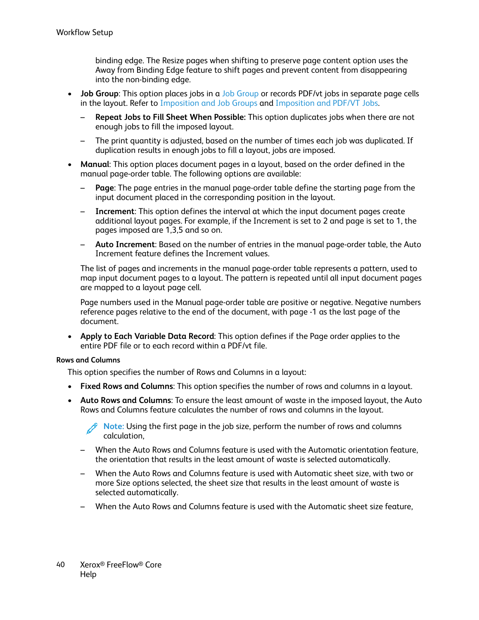binding edge. The Resize pages when shifting to preserve page content option uses the Away from Binding Edge feature to shift pages and prevent content from disappearing into the non-binding edge.

- **Job Group**: This option places jobs in a Job [Group](#page-15-0) or records PDF/vt jobs in separate page cells in the layout. Refer to [Imposition](#page-43-0) and Job Groups and [Imposition](#page-44-0) and PDF/VT Jobs.
	- **Repeat Jobs to Fill Sheet When Possible:** This option duplicates jobs when there are not enough jobs to fill the imposed layout.
	- The print quantity is adjusted, based on the number of times each job was duplicated. If duplication results in enough jobs to fill a layout, jobs are imposed.
- **Manual**: This option places document pages in a layout, based on the order defined in the manual page-order table. The following options are available:
	- **Page**: The page entries in the manual page-order table define the starting page from the input document placed in the corresponding position in the layout.
	- **Increment**: This option defines the interval at which the input document pages create additional layout pages. For example, if the Increment is set to 2 and page is set to 1, the pages imposed are 1,3,5 and so on.
	- **Auto Increment**: Based on the number of entries in the manual page-order table, the Auto Increment feature defines the Increment values.

The list of pages and increments in the manual page-order table represents a pattern, used to map input document pages to a layout. The pattern is repeated until all input document pages are mapped to a layout page cell.

Page numbers used in the Manual page-order table are positive or negative. Negative numbers reference pages relative to the end of the document, with page -1 as the last page of the document.

• **Apply to Each Variable Data Record**: This option defines if the Page order applies to the entire PDF file or to each record within a PDF/vt file.

#### **Rows and Columns**

This option specifies the number of Rows and Columns in a layout:

- **Fixed Rows and Columns**: This option specifies the number of rows and columns in a layout.
- **Auto Rows and Columns**: To ensure the least amount of waste in the imposed layout, the Auto Rows and Columns feature calculates the number of rows and columns in the layout.

**Note:** Using the first page in the job size, perform the number of rows and columns calculation,

- When the Auto Rows and Columns feature is used with the Automatic orientation feature, the orientation that results in the least amount of waste is selected automatically.
- When the Auto Rows and Columns feature is used with Automatic sheet size, with two or more Size options selected, the sheet size that results in the least amount of waste is selected automatically.
- When the Auto Rows and Columns feature is used with the Automatic sheet size feature,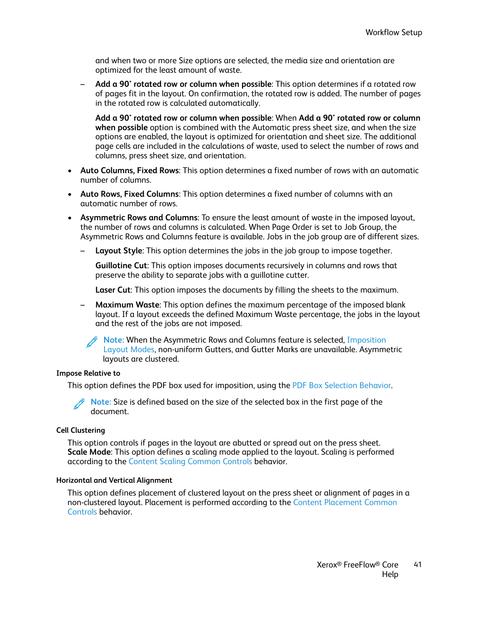and when two or more Size options are selected, the media size and orientation are optimized for the least amount of waste.

– **Add a 90° rotated row or column when possible**: This option determines if a rotated row of pages fit in the layout. On confirmation, the rotated row is added. The number of pages in the rotated row is calculated automatically.

**Add a 90° rotated row or column when possible**: When **Add a 90° rotated row or column when possible** option is combined with the Automatic press sheet size, and when the size options are enabled, the layout is optimized for orientation and sheet size. The additional page cells are included in the calculations of waste, used to select the number of rows and columns, press sheet size, and orientation.

- **Auto Columns, Fixed Rows**: This option determines a fixed number of rows with an automatic number of columns.
- **Auto Rows, Fixed Columns**: This option determines a fixed number of columns with an automatic number of rows.
- **Asymmetric Rows and Columns**: To ensure the least amount of waste in the imposed layout, the number of rows and columns is calculated. When Page Order is set to Job Group, the Asymmetric Rows and Columns feature is available. Jobs in the job group are of different sizes.
	- **Layout Style**: This option determines the jobs in the job group to impose together.

**Guillotine Cut**: This option imposes documents recursively in columns and rows that preserve the ability to separate jobs with a guillotine cutter.

**Laser Cut**: This option imposes the documents by filling the sheets to the maximum.

– **Maximum Waste**: This option defines the maximum percentage of the imposed blank layout. If a layout exceeds the defined Maximum Waste percentage, the jobs in the layout and the rest of the jobs are not imposed.

**Note:** When the Asymmetric Rows and Columns feature is selected, [Imposition](#page-42-0) [Layout](#page-42-0) Modes, non-uniform Gutters, and Gutter Marks are unavailable. Asymmetric layouts are clustered.

#### **Impose Relative to**

This option defines the PDF box used for imposition, using the PDF Box [Selection](#page-71-1) Behavior.

**Note:** Size is defined based on the size of the selected box in the first page of the document.

#### **Cell Clustering**

This option controls if pages in the layout are abutted or spread out on the press sheet. **Scale Mode**: This option defines a scaling mode applied to the layout. Scaling is performed according to the Content Scaling [Common](#page-70-0) Controls behavior.

#### **Horizontal and Vertical Alignment**

This option defines placement of clustered layout on the press sheet or alignment of pages in a non-clustered layout. Placement is performed according to the Content [Placement](#page-68-0) Common [Controls](#page-68-0) behavior.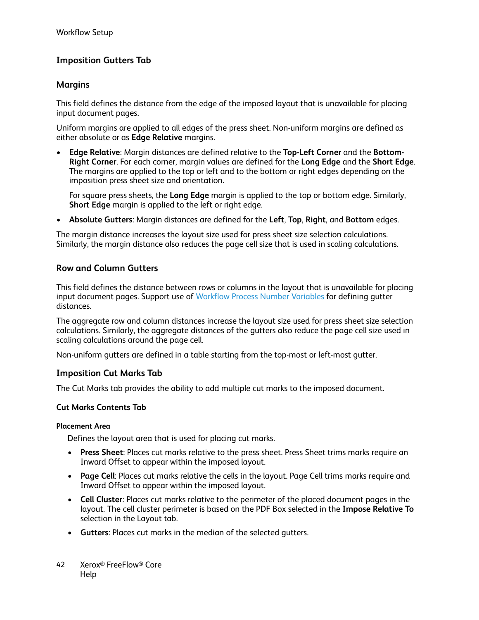### **Imposition Gutters Tab**

### **Margins**

This field defines the distance from the edge of the imposed layout that is unavailable for placing input document pages.

Uniform margins are applied to all edges of the press sheet. Non-uniform margins are defined as either absolute or as **Edge Relative** margins.

• **Edge Relative**: Margin distances are defined relative to the **Top-Left Corner** and the **Bottom-Right Corner**. For each corner, margin values are defined for the **Long Edge** and the **Short Edge**. The margins are applied to the top or left and to the bottom or right edges depending on the imposition press sheet size and orientation.

For square press sheets, the **Long Edge** margin is applied to the top or bottom edge. Similarly, **Short Edge** margin is applied to the left or right edge.

• **Absolute Gutters**: Margin distances are defined for the **Left**, **Top**, **Right**, and **Bottom** edges.

The margin distance increases the layout size used for press sheet size selection calculations. Similarly, the margin distance also reduces the page cell size that is used in scaling calculations.

### **Row and Column Gutters**

This field defines the distance between rows or columns in the layout that is unavailable for placing input document pages. Support use of [Workflow](#page-74-0) Process Number Variables for defining gutter distances.

The aggregate row and column distances increase the layout size used for press sheet size selection calculations. Similarly, the aggregate distances of the gutters also reduce the page cell size used in scaling calculations around the page cell.

Non-uniform gutters are defined in a table starting from the top-most or left-most gutter.

### **Imposition Cut Marks Tab**

The Cut Marks tab provides the ability to add multiple cut marks to the imposed document.

#### **Cut Marks Contents Tab**

#### **Placement Area**

Defines the layout area that is used for placing cut marks.

- **Press Sheet**: Places cut marks relative to the press sheet. Press Sheet trims marks require an Inward Offset to appear within the imposed layout.
- **Page Cell**: Places cut marks relative the cells in the layout. Page Cell trims marks require and Inward Offset to appear within the imposed layout.
- **Cell Cluster**: Places cut marks relative to the perimeter of the placed document pages in the layout. The cell cluster perimeter is based on the PDF Box selected in the **Impose Relative To** selection in the Layout tab.
- **Gutters**: Places cut marks in the median of the selected gutters.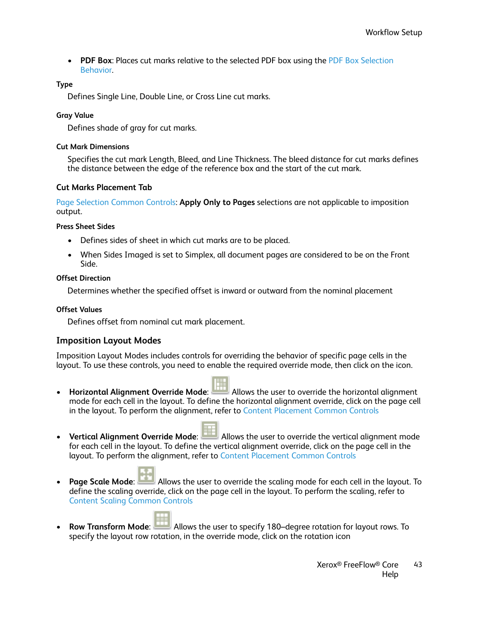• **PDF Box**: Places cut marks relative to the selected PDF box using the PDF Box [Selection](#page-71-1) [Behavior](#page-71-1).

#### **Type**

Defines Single Line, Double Line, or Cross Line cut marks.

### **Gray Value**

Defines shade of gray for cut marks.

#### **Cut Mark Dimensions**

Specifies the cut mark Length, Bleed, and Line Thickness. The bleed distance for cut marks defines the distance between the edge of the reference box and the start of the cut mark.

### **Cut Marks Placement Tab**

Page Selection [Common](#page-68-1) Controls: **Apply Only to Pages** selections are not applicable to imposition output.

#### **Press Sheet Sides**

- Defines sides of sheet in which cut marks are to be placed.
- When Sides Imaged is set to Simplex, all document pages are considered to be on the Front Side.

#### **Offset Direction**

Determines whether the specified offset is inward or outward from the nominal placement

#### **Offset Values**

Defines offset from nominal cut mark placement.

### <span id="page-42-0"></span>**Imposition Layout Modes**

Imposition Layout Modes includes controls for overriding the behavior of specific page cells in the layout. To use these controls, you need to enable the required override mode, then click on the icon.

- **Horizontal Alignment Override Mode**: Allows the user to override the horizontal alignment mode for each cell in the layout. To define the horizontal alignment override, click on the page cell in the layout. To perform the alignment, refer to Content [Placement](#page-68-0) Common Controls
- **Vertical Alignment Override Mode**: Allows the user to override the vertical alignment mode for each cell in the layout. To define the vertical alignment override, click on the page cell in the layout. To perform the alignment, refer to Content [Placement](#page-68-0) Common Controls
- **Page Scale Mode**: Allows the user to override the scaling mode for each cell in the layout. To define the scaling override, click on the page cell in the layout. To perform the scaling, refer to Content Scaling [Common](#page-70-0) Controls
- **Row Transform Mode**: Allows the user to specify 180–degree rotation for layout rows. To specify the layout row rotation, in the override mode, click on the rotation icon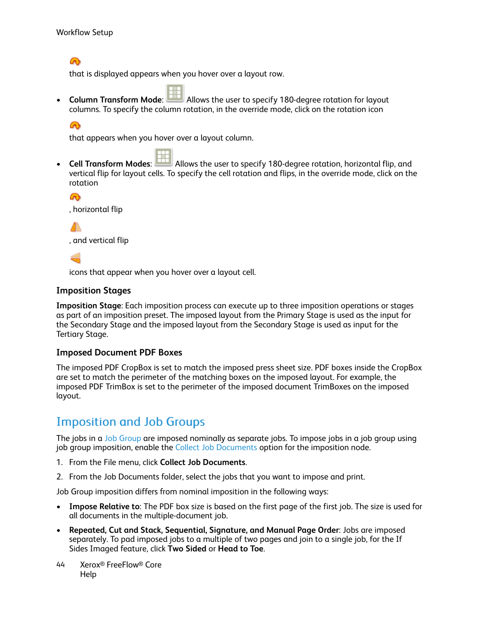œ

that is displayed appears when you hover over a layout row.

**Column Transform Mode:** Allows the user to specify 180-degree rotation for layout columns. To specify the column rotation, in the override mode, click on the rotation icon

### $\Omega$

that appears when you hover over a layout column.

- **Cell Transform Modes**: Allows the user to specify 180-degree rotation, horizontal flip, and vertical flip for layout cells. To specify the cell rotation and flips, in the override mode, click on the rotation
	- œ





, and vertical flip



icons that appear when you hover over a layout cell.

### **Imposition Stages**

**Imposition Stage**: Each imposition process can execute up to three imposition operations or stages as part of an imposition preset. The imposed layout from the Primary Stage is used as the input for the Secondary Stage and the imposed layout from the Secondary Stage is used as input for the Tertiary Stage.

### **Imposed Document PDF Boxes**

The imposed PDF CropBox is set to match the imposed press sheet size. PDF boxes inside the CropBox are set to match the perimeter of the matching boxes on the imposed layout. For example, the imposed PDF TrimBox is set to the perimeter of the imposed document TrimBoxes on the imposed layout.

### <span id="page-43-0"></span>Imposition and Job Groups

The jobs in a Job [Group](#page-15-0) are imposed nominally as separate jobs. To impose jobs in a job group using job group imposition, enable the Collect Job [Documents](#page-29-0) option for the imposition node.

- 1. From the File menu, click **Collect Job Documents**.
- 2. From the Job Documents folder, select the jobs that you want to impose and print.

Job Group imposition differs from nominal imposition in the following ways:

- **Impose Relative to**: The PDF box size is based on the first page of the first job. The size is used for all documents in the multiple-document job.
- **Repeated, Cut and Stack, Sequential, Signature, and Manual Page Order**: Jobs are imposed separately. To pad imposed jobs to a multiple of two pages and join to a single job, for the If Sides Imaged feature, click **Two Sided** or **Head to Toe**.
- 44 Xerox® FreeFlow® Core **Help**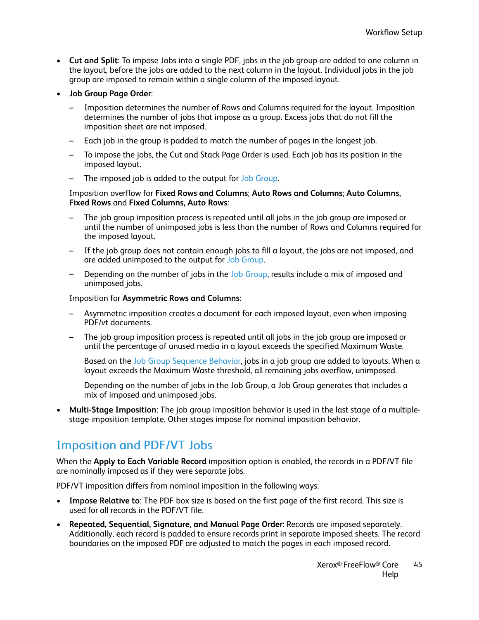- **Cut and Split**: To impose Jobs into a single PDF, jobs in the job group are added to one column in the layout, before the jobs are added to the next column in the layout. Individual jobs in the job group are imposed to remain within a single column of the imposed layout.
- **Job Group Page Order**:
	- Imposition determines the number of Rows and Columns required for the layout. Imposition determines the number of jobs that impose as a group. Excess jobs that do not fill the imposition sheet are not imposed.
	- Each job in the group is padded to match the number of pages in the longest job.
	- To impose the jobs, the Cut and Stack Page Order is used. Each job has its position in the imposed layout.
	- The imposed job is added to the output for Job [Group.](#page-15-0)

#### Imposition overflow for **Fixed Rows and Columns**; **Auto Rows and Columns**; **Auto Columns, Fixed Rows** and **Fixed Columns, Auto Rows**:

- The job group imposition process is repeated until all jobs in the job group are imposed or until the number of unimposed jobs is less than the number of Rows and Columns required for the imposed layout.
- If the job group does not contain enough jobs to fill a layout, the jobs are not imposed, and are added unimposed to the output for Job [Group](#page-15-0).
- Depending on the number of jobs in the Job [Group,](#page-15-0) results include a mix of imposed and unimposed jobs.

#### Imposition for **Asymmetric Rows and Columns**:

- Asymmetric imposition creates a document for each imposed layout, even when imposing PDF/vt documents.
- The job group imposition process is repeated until all jobs in the job group are imposed or until the percentage of unused media in a layout exceeds the specified Maximum Waste.

Based on the Job Group [Sequence](#page-71-0) Behavior, jobs in a job group are added to layouts. When a layout exceeds the Maximum Waste threshold, all remaining jobs overflow, unimposed.

Depending on the number of jobs in the Job Group, a Job Group generates that includes a mix of imposed and unimposed jobs.

• **Multi-Stage Imposition**: The job group imposition behavior is used in the last stage of a multiplestage imposition template. Other stages impose for nominal imposition behavior.

### <span id="page-44-0"></span>Imposition and PDF/VT Jobs

When the **Apply to Each Variable Record** imposition option is enabled, the records in a PDF/VT file are nominally imposed as if they were separate jobs.

PDF/VT imposition differs from nominal imposition in the following ways:

- **Impose Relative to**: The PDF box size is based on the first page of the first record. This size is used for all records in the PDF/VT file.
- **Repeated, Sequential, Signature, and Manual Page Order**: Records are imposed separately. Additionally, each record is padded to ensure records print in separate imposed sheets. The record boundaries on the imposed PDF are adjusted to match the pages in each imposed record.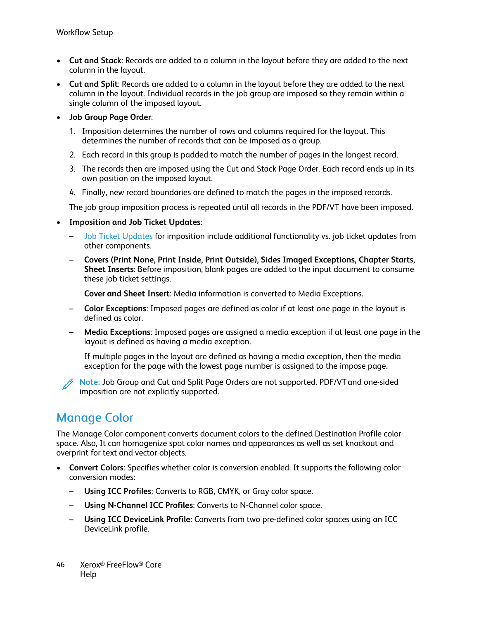- **Cut and Stack**: Records are added to a column in the layout before they are added to the next column in the layout.
- **Cut and Split**: Records are added to a column in the layout before they are added to the next column in the layout. Individual records in the job group are imposed so they remain within a single column of the imposed layout.
- **Job Group Page Order**:
	- 1. Imposition determines the number of rows and columns required for the layout. This determines the number of records that can be imposed as a group.
	- 2. Each record in this group is padded to match the number of pages in the longest record.
	- 3. The records then are imposed using the Cut and Stack Page Order. Each record ends up in its own position on the imposed layout.
	- 4. Finally, new record boundaries are defined to match the pages in the imposed records.

The job group imposition process is repeated until all records in the PDF/VT have been imposed.

- **Imposition and Job Ticket Updates**:
	- Job Ticket [Updates](#page-76-0) for imposition include additional functionality vs. job ticket updates from other components.
	- **Covers (Print None, Print Inside, Print Outside), Sides Imaged Exceptions, Chapter Starts, Sheet Inserts**: Before imposition, blank pages are added to the input document to consume these job ticket settings.

**Cover and Sheet Insert**: Media information is converted to Media Exceptions.

- **Color Exceptions**: Imposed pages are defined as color if at least one page in the layout is defined as color.
- **Media Exceptions**: Imposed pages are assigned a media exception if at least one page in the layout is defined as having a media exception.

If multiple pages in the layout are defined as having a media exception, then the media exception for the page with the lowest page number is assigned to the impose page.

**Note:** Job Group and Cut and Split Page Orders are not supported. PDF/VTand one-sided imposition are not explicitly supported.

## Manage Color

The Manage Color component converts document colors to the defined Destination Profile color space. Also, It can homogenize spot color names and appearances as well as set knockout and overprint for text and vector objects.

- **Convert Colors**: Specifies whether color is conversion enabled. It supports the following color conversion modes:
	- **Using ICC Profiles**: Converts to RGB, CMYK, or Gray color space.
	- **Using N-Channel ICC Profiles**: Converts to N-Channel color space.
	- **Using ICC DeviceLink Profile**: Converts from two pre-defined color spaces using an ICC DeviceLink profile.
- 46 Xerox® FreeFlow® Core Help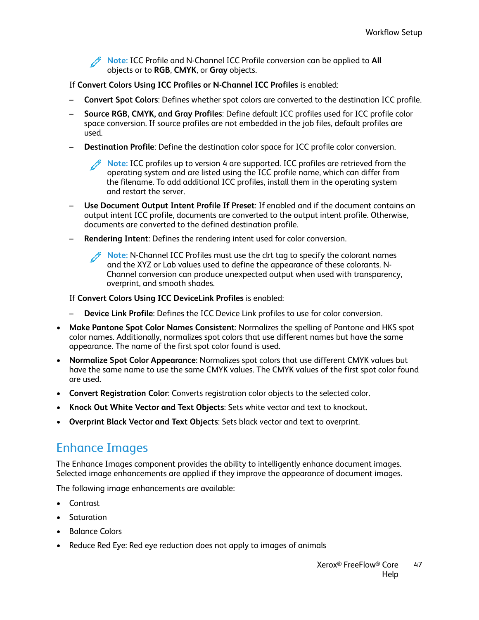**Note:** ICC Profile and N-Channel ICC Profile conversion can be applied to **All** objects or to **RGB**, **CMYK**, or **Gray** objects.

If **Convert Colors Using ICC Profiles or N-Channel ICC Profiles** is enabled:

- **Convert Spot Colors**: Defines whether spot colors are converted to the destination ICC profile.
- **Source RGB, CMYK, and Gray Profiles**: Define default ICC profiles used for ICC profile color space conversion. If source profiles are not embedded in the job files, default profiles are used.
- **Destination Profile**: Define the destination color space for ICC profile color conversion.

**Note:** ICC profiles up to version 4 are supported. ICC profiles are retrieved from the operating system and are listed using the ICC profile name, which can differ from the filename. To add additional ICC profiles, install them in the operating system and restart the server.

- **Use Document Output Intent Profile If Preset**: If enabled and if the document contains an output intent ICC profile, documents are converted to the output intent profile. Otherwise, documents are converted to the defined destination profile.
- **Rendering Intent**: Defines the rendering intent used for color conversion.
	- **Note:** N-Channel ICC Profiles must use the clrt tag to specify the colorant names and the XYZ or Lab values used to define the appearance of these colorants. N-Channel conversion can produce unexpected output when used with transparency, overprint, and smooth shades.

If **Convert Colors Using ICC DeviceLink Profiles** is enabled:

- **Device Link Profile**: Defines the ICC Device Link profiles to use for color conversion.
- **Make Pantone Spot Color Names Consistent**: Normalizes the spelling of Pantone and HKS spot color names. Additionally, normalizes spot colors that use different names but have the same appearance. The name of the first spot color found is used.
- **Normalize Spot Color Appearance**: Normalizes spot colors that use different CMYK values but have the same name to use the same CMYK values. The CMYK values of the first spot color found are used.
- **Convert Registration Color**: Converts registration color objects to the selected color.
- **Knock Out White Vector and Text Objects**: Sets white vector and text to knockout.
- **Overprint Black Vector and Text Objects**: Sets black vector and text to overprint.

### Enhance Images

The Enhance Images component provides the ability to intelligently enhance document images. Selected image enhancements are applied if they improve the appearance of document images.

The following image enhancements are available:

- Contrast
- **Saturation**
- Balance Colors
- Reduce Red Eye: Red eye reduction does not apply to images of animals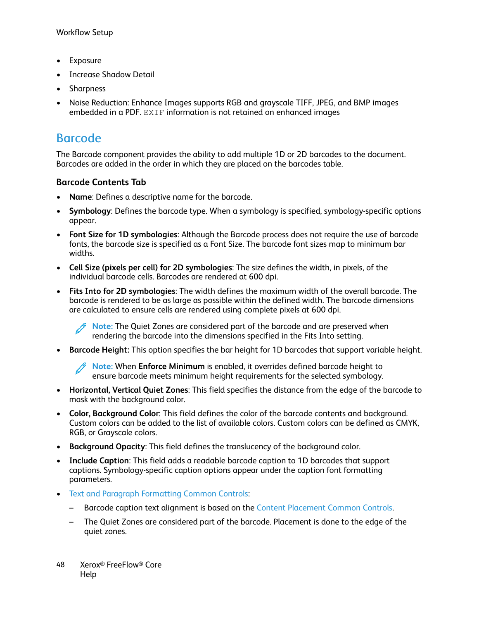- Exposure
- Increase Shadow Detail
- **Sharpness**
- Noise Reduction: Enhance Images supports RGB and grayscale TIFF, JPEG, and BMP images embedded in a PDF. EXIF information is not retained on enhanced images

### Barcode

The Barcode component provides the ability to add multiple 1D or 2D barcodes to the document. Barcodes are added in the order in which they are placed on the barcodes table.

### **Barcode Contents Tab**

- **Name**: Defines a descriptive name for the barcode.
- **Symbology**: Defines the barcode type. When a symbology is specified, symbology-specific options appear.
- **Font Size for 1D symbologies**: Although the Barcode process does not require the use of barcode fonts, the barcode size is specified as a Font Size. The barcode font sizes map to minimum bar widths.
- **Cell Size (pixels per cell) for 2D symbologies**: The size defines the width, in pixels, of the individual barcode cells. Barcodes are rendered at 600 dpi.
- **Fits Into for 2D symbologies**: The width defines the maximum width of the overall barcode. The barcode is rendered to be as large as possible within the defined width. The barcode dimensions are calculated to ensure cells are rendered using complete pixels at 600 dpi.

**Note:** The Quiet Zones are considered part of the barcode and are preserved when rendering the barcode into the dimensions specified in the Fits Into setting.

• **Barcode Height:** This option specifies the bar height for 1D barcodes that support variable height.

**Note:** When **Enforce Minimum** is enabled, it overrides defined barcode height to ensure barcode meets minimum height requirements for the selected symbology.

- **Horizontal, Vertical Quiet Zones**: This field specifies the distance from the edge of the barcode to mask with the background color.
- **Color, Background Color**: This field defines the color of the barcode contents and background. Custom colors can be added to the list of available colors. Custom colors can be defined as CMYK, RGB, or Grayscale colors.
- **Background Opacity**: This field defines the translucency of the background color.
- **Include Caption**: This field adds a readable barcode caption to 1D barcodes that support captions. Symbology-specific caption options appear under the caption font formatting parameters.
- Text and Paragraph [Formatting](#page-69-0) Common Controls:
	- Barcode caption text alignment is based on the Content [Placement](#page-68-0) Common Controls.
	- The Quiet Zones are considered part of the barcode. Placement is done to the edge of the quiet zones.
- 48 Xerox® FreeFlow® Core Help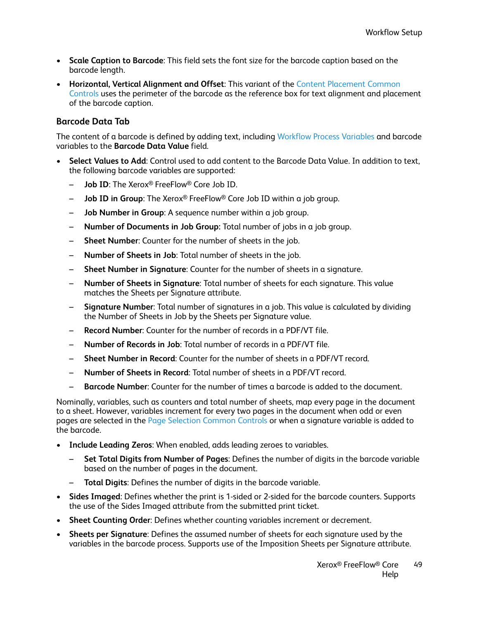- **Scale Caption to Barcode**: This field sets the font size for the barcode caption based on the barcode length.
- **Horizontal, Vertical Alignment and Offset**: This variant of the Content [Placement](#page-68-0) Common [Controls](#page-68-0) uses the perimeter of the barcode as the reference box for text alignment and placement of the barcode caption.

### **Barcode Data Tab**

The content of a barcode is defined by adding text, including [Workflow](#page-72-0) Process Variables and barcode variables to the **Barcode Data Value** field.

- **Select Values to Add**: Control used to add content to the Barcode Data Value. In addition to text, the following barcode variables are supported:
	- **Job ID**: The Xerox® FreeFlow® Core Job ID.
	- **Job ID in Group**: The Xerox® FreeFlow® Core Job ID within a job group.
	- **Job Number in Group**: A sequence number within a job group.
	- **Number of Documents in Job Group:** Total number of jobs in a job group.
	- **Sheet Number**: Counter for the number of sheets in the job.
	- **Number of Sheets in Job**: Total number of sheets in the job.
	- **Sheet Number in Signature**: Counter for the number of sheets in a signature.
	- **Number of Sheets in Signature**: Total number of sheets for each signature. This value matches the Sheets per Signature attribute.
	- **Signature Number**: Total number of signatures in a job. This value is calculated by dividing the Number of Sheets in Job by the Sheets per Signature value.
	- **Record Number**: Counter for the number of records in a PDF/VT file.
	- **Number of Records in Job**: Total number of records in a PDF/VT file.
	- **Sheet Number in Record**: Counter for the number of sheets in a PDF/VT record.
	- **Number of Sheets in Record**: Total number of sheets in a PDF/VT record.
	- **Barcode Number**: Counter for the number of times a barcode is added to the document.

Nominally, variables, such as counters and total number of sheets, map every page in the document to a sheet. However, variables increment for every two pages in the document when odd or even pages are selected in the Page Selection [Common](#page-68-1) Controls or when a signature variable is added to the barcode.

- **Include Leading Zeros**: When enabled, adds leading zeroes to variables.
	- **Set Total Digits from Number of Pages**: Defines the number of digits in the barcode variable based on the number of pages in the document.
	- **Total Digits**: Defines the number of digits in the barcode variable.
- **Sides Imaged**: Defines whether the print is 1-sided or 2-sided for the barcode counters. Supports the use of the Sides Imaged attribute from the submitted print ticket.
- **Sheet Counting Order**: Defines whether counting variables increment or decrement.
- **Sheets per Signature**: Defines the assumed number of sheets for each signature used by the variables in the barcode process. Supports use of the Imposition Sheets per Signature attribute.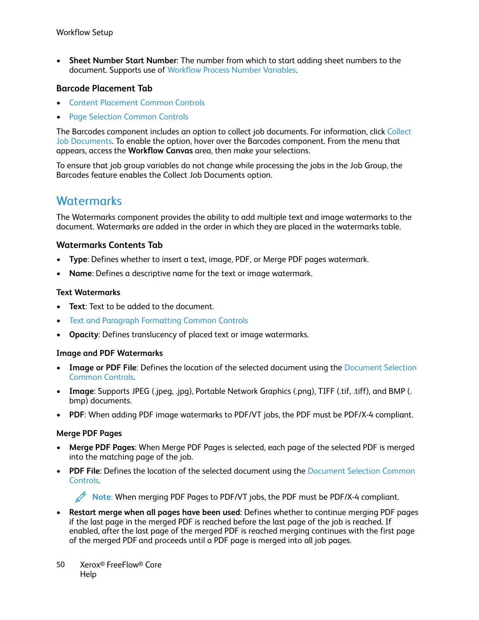• **Sheet Number Start Number**: The number from which to start adding sheet numbers to the document. Supports use of [Workflow](#page-74-0) Process Number Variables.

### **Barcode Placement Tab**

- Content [Placement](#page-68-0) Common Controls
- Page Selection [Common](#page-68-1) Controls

The Barcodes component includes an option to collect job documents. For information, click [Collect](#page-29-0) Job [Documents](#page-29-0). To enable the option, hover over the Barcodes component. From the menu that appears, access the **Workflow Canvas** area, then make your selections.

To ensure that job group variables do not change while processing the jobs in the Job Group, the Barcodes feature enables the Collect Job Documents option.

### **Watermarks**

The Watermarks component provides the ability to add multiple text and image watermarks to the document. Watermarks are added in the order in which they are placed in the watermarks table.

### **Watermarks Contents Tab**

- **Type**: Defines whether to insert a text, image, PDF, or Merge PDF pages watermark.
- **Name**: Defines a descriptive name for the text or image watermark.

#### **Text Watermarks**

- **Text**: Text to be added to the document.
- Text and Paragraph [Formatting](#page-69-0) Common Controls
- **Opacity**: Defines translucency of placed text or image watermarks.

### **Image and PDF Watermarks**

- **Image or PDF File**: Defines the location of the selected document using the [Document](#page-70-1) Selection [Common](#page-70-1) Controls.
- **Image**: Supports JPEG (.jpeg, .jpg), Portable Network Graphics (.png), TIFF (.tif, .tiff), and BMP (. bmp) documents.
- **PDF**: When adding PDF image watermarks to PDF/VT jobs, the PDF must be PDF/X-4 compliant.

#### **Merge PDF Pages**

- **Merge PDF Pages**: When Merge PDF Pages is selected, each page of the selected PDF is merged into the matching page of the job.
- **PDF File**: Defines the location of the selected document using the [Document](#page-70-1) Selection Common **[Controls](#page-70-1)**

**Note:** When merging PDF Pages to PDF/VT jobs, the PDF must be PDF/X-4 compliant.

- **Restart merge when all pages have been used**: Defines whether to continue merging PDF pages if the last page in the merged PDF is reached before the last page of the job is reached. If enabled, after the last page of the merged PDF is reached merging continues with the first page of the merged PDF and proceeds until a PDF page is merged into all job pages.
- 50 Xerox® FreeFlow® Core **Help**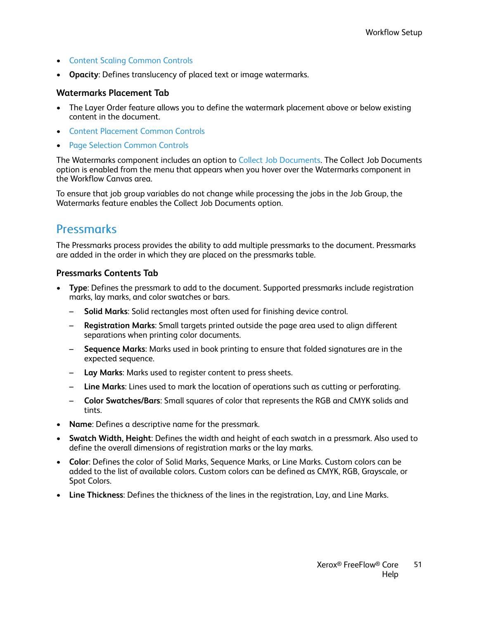- Content Scaling [Common](#page-70-0) Controls
- **Opacity**: Defines translucency of placed text or image watermarks.

### **Watermarks Placement Tab**

- The Layer Order feature allows you to define the watermark placement above or below existing content in the document.
- Content [Placement](#page-68-0) Common Controls
- Page Selection [Common](#page-68-1) Controls

The Watermarks component includes an option to Collect Job [Documents.](#page-29-0) The Collect Job Documents option is enabled from the menu that appears when you hover over the Watermarks component in the Workflow Canvas area.

To ensure that job group variables do not change while processing the jobs in the Job Group, the Watermarks feature enables the Collect Job Documents option.

### **Pressmarks**

The Pressmarks process provides the ability to add multiple pressmarks to the document. Pressmarks are added in the order in which they are placed on the pressmarks table.

#### **Pressmarks Contents Tab**

- **Type**: Defines the pressmark to add to the document. Supported pressmarks include registration marks, lay marks, and color swatches or bars.
	- **Solid Marks**: Solid rectangles most often used for finishing device control.
	- **Registration Marks**: Small targets printed outside the page area used to align different separations when printing color documents.
	- **Sequence Marks**: Marks used in book printing to ensure that folded signatures are in the expected sequence.
	- **Lay Marks**: Marks used to register content to press sheets.
	- **Line Marks**: Lines used to mark the location of operations such as cutting or perforating.
	- **Color Swatches/Bars**: Small squares of color that represents the RGB and CMYK solids and tints.
- **Name**: Defines a descriptive name for the pressmark.
- **Swatch Width, Height**: Defines the width and height of each swatch in a pressmark. Also used to define the overall dimensions of registration marks or the lay marks.
- **Color**: Defines the color of Solid Marks, Sequence Marks, or Line Marks. Custom colors can be added to the list of available colors. Custom colors can be defined as CMYK, RGB, Grayscale, or Spot Colors.
- **Line Thickness**: Defines the thickness of the lines in the registration, Lay, and Line Marks.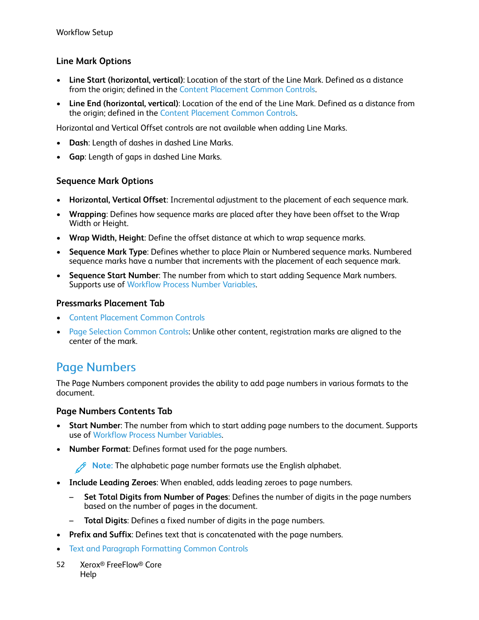### **Line Mark Options**

- **Line Start (horizontal, vertical)**: Location of the start of the Line Mark. Defined as a distance from the origin; defined in the Content [Placement](#page-68-0) Common Controls.
- **Line End (horizontal, vertical)**: Location of the end of the Line Mark. Defined as a distance from the origin; defined in the Content [Placement](#page-68-0) Common Controls.

Horizontal and Vertical Offset controls are not available when adding Line Marks.

- **Dash**: Length of dashes in dashed Line Marks.
- **Gap**: Length of gaps in dashed Line Marks.

### **Sequence Mark Options**

- **Horizontal, Vertical Offset**: Incremental adjustment to the placement of each sequence mark.
- **Wrapping**: Defines how sequence marks are placed after they have been offset to the Wrap Width or Height.
- **Wrap Width, Height**: Define the offset distance at which to wrap sequence marks.
- **Sequence Mark Type**: Defines whether to place Plain or Numbered sequence marks. Numbered sequence marks have a number that increments with the placement of each sequence mark.
- **Sequence Start Number**: The number from which to start adding Sequence Mark numbers. Supports use of [Workflow](#page-74-0) Process Number Variables.

### **Pressmarks Placement Tab**

- Content [Placement](#page-68-0) Common Controls
- Page Selection [Common](#page-68-1) Controls: Unlike other content, registration marks are aligned to the center of the mark.

### Page Numbers

The Page Numbers component provides the ability to add page numbers in various formats to the document.

### **Page Numbers Contents Tab**

- **Start Number**: The number from which to start adding page numbers to the document. Supports use of [Workflow](#page-74-0) Process Number Variables.
- **Number Format**: Defines format used for the page numbers.

**Note:** The alphabetic page number formats use the English alphabet.

- **Include Leading Zeroes**: When enabled, adds leading zeroes to page numbers.
	- **Set Total Digits from Number of Pages**: Defines the number of digits in the page numbers based on the number of pages in the document.
	- **Total Digits**: Defines a fixed number of digits in the page numbers.
- **Prefix and Suffix**: Defines text that is concatenated with the page numbers.
- Text and Paragraph [Formatting](#page-69-0) Common Controls
- 52 Xerox® FreeFlow® Core **Help**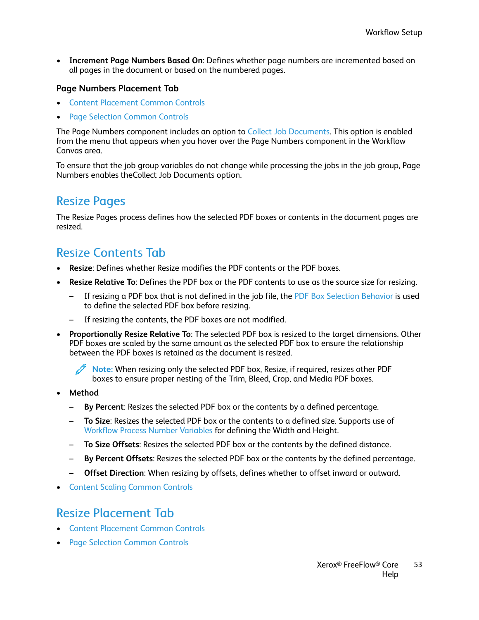• **Increment Page Numbers Based On**: Defines whether page numbers are incremented based on all pages in the document or based on the numbered pages.

### **Page Numbers Placement Tab**

- Content [Placement](#page-68-0) Common Controls
- Page Selection [Common](#page-68-1) Controls

The Page Numbers component includes an option to Collect Job [Documents](#page-29-0). This option is enabled from the menu that appears when you hover over the Page Numbers component in the Workflow Canvas area.

To ensure that the job group variables do not change while processing the jobs in the job group, Page Numbers enables theCollect Job Documents option.

### Resize Pages

The Resize Pages process defines how the selected PDF boxes or contents in the document pages are resized.

### Resize Contents Tab

- **Resize**: Defines whether Resize modifies the PDF contents or the PDF boxes.
- **Resize Relative To**: Defines the PDF box or the PDF contents to use as the source size for resizing.
	- If resizing a PDF box that is not defined in the job file, the PDF Box [Selection](#page-71-1) Behavior is used to define the selected PDF box before resizing.
	- If resizing the contents, the PDF boxes are not modified.
- **Proportionally Resize Relative To**: The selected PDF box is resized to the target dimensions. Other PDF boxes are scaled by the same amount as the selected PDF box to ensure the relationship between the PDF boxes is retained as the document is resized.

**Note:** When resizing only the selected PDF box, Resize, if required, resizes other PDF boxes to ensure proper nesting of the Trim, Bleed, Crop, and Media PDF boxes.

- **Method**
	- **By Percent**: Resizes the selected PDF box or the contents by a defined percentage.
	- **To Size**: Resizes the selected PDF box or the contents to a defined size. Supports use of [Workflow](#page-74-0) Process Number Variables for defining the Width and Height.
	- **To Size Offsets**: Resizes the selected PDF box or the contents by the defined distance.
	- **By Percent Offsets**: Resizes the selected PDF box or the contents by the defined percentage.
	- **Offset Direction**: When resizing by offsets, defines whether to offset inward or outward.
- Content Scaling [Common](#page-70-0) Controls

### Resize Placement Tab

- Content [Placement](#page-68-0) Common Controls
- Page Selection [Common](#page-68-1) Controls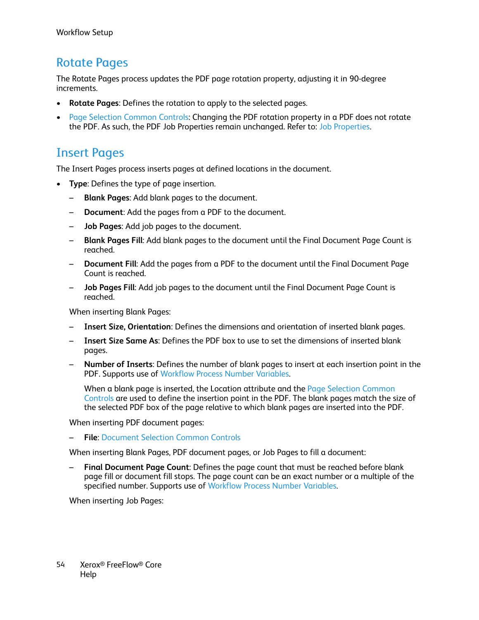### Rotate Pages

The Rotate Pages process updates the PDF page rotation property, adjusting it in 90-degree increments.

- **Rotate Pages**: Defines the rotation to apply to the selected pages.
- Page Selection [Common](#page-68-1) Controls: Changing the PDF rotation property in a PDF does not rotate the PDF. As such, the PDF Job Properties remain unchanged. Refer to: Job [Properties.](#page-128-0)

### Insert Pages

The Insert Pages process inserts pages at defined locations in the document.

- **Type**: Defines the type of page insertion.
	- **Blank Pages**: Add blank pages to the document.
	- **Document**: Add the pages from a PDF to the document.
	- **Job Pages**: Add job pages to the document.
	- **Blank Pages Fill**: Add blank pages to the document until the Final Document Page Count is reached.
	- **Document Fill**: Add the pages from a PDF to the document until the Final Document Page Count is reached.
	- **Job Pages Fill**: Add job pages to the document until the Final Document Page Count is reached.

When inserting Blank Pages:

- **Insert Size, Orientation**: Defines the dimensions and orientation of inserted blank pages.
- **Insert Size Same As**: Defines the PDF box to use to set the dimensions of inserted blank pages.
- **Number of Inserts**: Defines the number of blank pages to insert at each insertion point in the PDF. Supports use of [Workflow](#page-74-0) Process Number Variables.

When a blank page is inserted, the Location attribute and the Page [Selection](#page-68-1) Common [Controls](#page-68-1) are used to define the insertion point in the PDF. The blank pages match the size of the selected PDF box of the page relative to which blank pages are inserted into the PDF.

When inserting PDF document pages:

– **File**: [Document](#page-70-1) Selection Common Controls

When inserting Blank Pages, PDF document pages, or Job Pages to fill a document:

– **Final Document Page Count**: Defines the page count that must be reached before blank page fill or document fill stops. The page count can be an exact number or a multiple of the specified number. Supports use of [Workflow](#page-74-0) Process Number Variables.

When inserting Job Pages: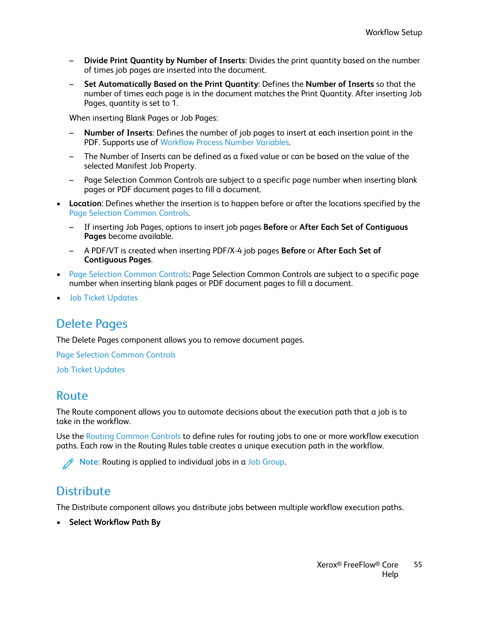- **Divide Print Quantity by Number of Inserts**: Divides the print quantity based on the number of times job pages are inserted into the document.
- **Set Automatically Based on the Print Quantity**: Defines the **Number of Inserts** so that the number of times each page is in the document matches the Print Quantity. After inserting Job Pages, quantity is set to 1.

When inserting Blank Pages or Job Pages:

- **Number of Inserts**: Defines the number of job pages to insert at each insertion point in the PDF. Supports use of [Workflow](#page-74-0) Process Number Variables.
- The Number of Inserts can be defined as a fixed value or can be based on the value of the selected Manifest Job Property.
- Page Selection Common Controls are subject to a specific page number when inserting blank pages or PDF document pages to fill a document.
- **Location**: Defines whether the insertion is to happen before or after the locations specified by the Page Selection [Common](#page-68-1) Controls.
	- If inserting Job Pages, options to insert job pages **Before** or **After Each Set of Contiguous Pages** become available.
	- A PDF/VT is created when inserting PDF/X-4 job pages **Before** or **After Each Set of Contiguous Pages**.
- Page Selection [Common](#page-68-1) Controls: Page Selection Common Controls are subject to a specific page number when inserting blank pages or PDF document pages to fill a document.
- Job Ticket [Updates](#page-76-0)

### Delete Pages

The Delete Pages component allows you to remove document pages.

Page Selection [Common](#page-68-1) Controls

Job Ticket [Updates](#page-76-0)

### **Route**

The Route component allows you to automate decisions about the execution path that a job is to take in the workflow.

Use the Routing [Common](#page-65-0) Controls to define rules for routing jobs to one or more workflow execution paths. Each row in the Routing Rules table creates a unique execution path in the workflow.



### **Distribute**

The Distribute component allows you distribute jobs between multiple workflow execution paths.

• **Select Workflow Path By**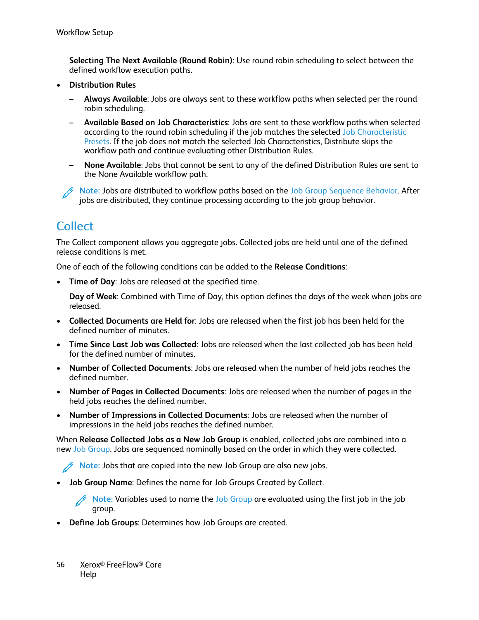**Selecting The Next Available (Round Robin)**: Use round robin scheduling to select between the defined workflow execution paths.

- **Distribution Rules**
	- **Always Available**: Jobs are always sent to these workflow paths when selected per the round robin scheduling.
	- **Available Based on Job Characteristics**: Jobs are sent to these workflow paths when selected according to the round robin scheduling if the job matches the selected Job [Characteristic](#page-66-0) [Presets.](#page-66-0) If the job does not match the selected Job Characteristics, Distribute skips the workflow path and continue evaluating other Distribution Rules.
	- **None Available**: Jobs that cannot be sent to any of the defined Distribution Rules are sent to the None Available workflow path.

**Note:** Jobs are distributed to workflow paths based on the Job Group [Sequence](#page-71-0) Behavior. After jobs are distributed, they continue processing according to the job group behavior.

### **Collect**

The Collect component allows you aggregate jobs. Collected jobs are held until one of the defined release conditions is met.

One of each of the following conditions can be added to the **Release Conditions**:

• **Time of Day**: Jobs are released at the specified time.

**Day of Week**: Combined with Time of Day, this option defines the days of the week when jobs are released.

- **Collected Documents are Held for**: Jobs are released when the first job has been held for the defined number of minutes.
- **Time Since Last Job was Collected**: Jobs are released when the last collected job has been held for the defined number of minutes.
- **Number of Collected Documents**: Jobs are released when the number of held jobs reaches the defined number.
- **Number of Pages in Collected Documents**: Jobs are released when the number of pages in the held jobs reaches the defined number.
- **Number of Impressions in Collected Documents**: Jobs are released when the number of impressions in the held jobs reaches the defined number.

When **Release Collected Jobs as a New Job Group** is enabled, collected jobs are combined into a new Job [Group.](#page-15-0) Jobs are sequenced nominally based on the order in which they were collected.

**Note:** Jobs that are copied into the new Job Group are also new jobs.

• **Job Group Name**: Defines the name for Job Groups Created by Collect.

**Note:** Variables used to name the Job [Group](#page-15-0) are evaluated using the first job in the job group.

• **Define Job Groups**: Determines how Job Groups are created.

56 Xerox® FreeFlow® Core Help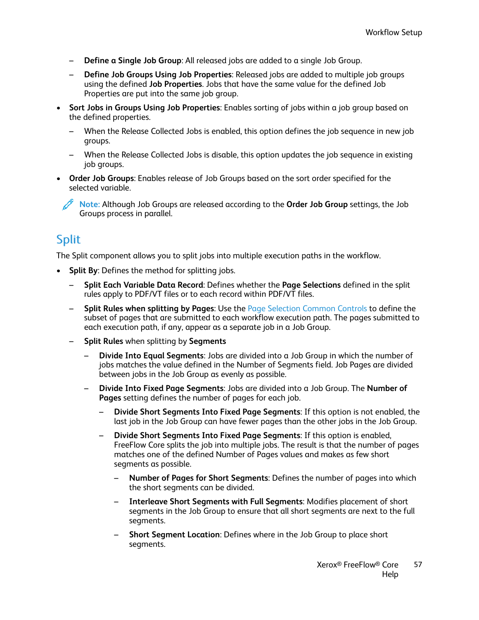- **Define a Single Job Group**: All released jobs are added to a single Job Group.
- **Define Job Groups Using Job Properties**: Released jobs are added to multiple job groups using the defined **Job Properties**. Jobs that have the same value for the defined Job Properties are put into the same job group.
- **Sort Jobs in Groups Using Job Properties**: Enables sorting of jobs within a job group based on the defined properties.
	- When the Release Collected Jobs is enabled, this option defines the job sequence in new job groups.
	- When the Release Collected Jobs is disable, this option updates the job sequence in existing job groups.
- **Order Job Groups**: Enables release of Job Groups based on the sort order specified for the selected variable.

**Note:** Although Job Groups are released according to the **Order Job Group** settings, the Job Groups process in parallel.

### Split

The Split component allows you to split jobs into multiple execution paths in the workflow.

- **Split By: Defines the method for splitting jobs.** 
	- **Split Each Variable Data Record**: Defines whether the **Page Selections** defined in the split rules apply to PDF/VT files or to each record within PDF/VT files.
	- **Split Rules when splitting by Pages**: Use the Page Selection [Common](#page-68-1) Controls to define the subset of pages that are submitted to each workflow execution path. The pages submitted to each execution path, if any, appear as a separate job in a Job Group.
	- **Split Rules** when splitting by **Segments**
		- **Divide Into Equal Segments**: Jobs are divided into a Job Group in which the number of jobs matches the value defined in the Number of Segments field. Job Pages are divided between jobs in the Job Group as evenly as possible.
		- **Divide Into Fixed Page Segments**: Jobs are divided into a Job Group. The **Number of Pages** setting defines the number of pages for each job.
			- **Divide Short Segments Into Fixed Page Segments**: If this option is not enabled, the last job in the Job Group can have fewer pages than the other jobs in the Job Group.
			- **Divide Short Segments Into Fixed Page Segments**: If this option is enabled, FreeFlow Core splits the job into multiple jobs. The result is that the number of pages matches one of the defined Number of Pages values and makes as few short segments as possible.
				- **Number of Pages for Short Segments**: Defines the number of pages into which the short segments can be divided.
				- **Interleave Short Segments with Full Segments**: Modifies placement of short segments in the Job Group to ensure that all short segments are next to the full segments.
				- **Short Segment Location**: Defines where in the Job Group to place short segments.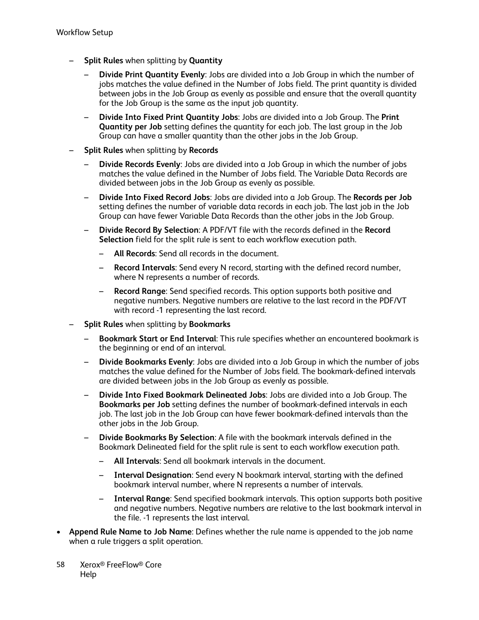- **Split Rules** when splitting by **Quantity**
	- **Divide Print Quantity Evenly**: Jobs are divided into a Job Group in which the number of jobs matches the value defined in the Number of Jobs field. The print quantity is divided between jobs in the Job Group as evenly as possible and ensure that the overall quantity for the Job Group is the same as the input job quantity.
	- **Divide Into Fixed Print Quantity Jobs**: Jobs are divided into a Job Group. The **Print Quantity per Job** setting defines the quantity for each job. The last group in the Job Group can have a smaller quantity than the other jobs in the Job Group.
- **Split Rules** when splitting by **Records**
	- **Divide Records Evenly**: Jobs are divided into a Job Group in which the number of jobs matches the value defined in the Number of Jobs field. The Variable Data Records are divided between jobs in the Job Group as evenly as possible.
	- **Divide Into Fixed Record Jobs**: Jobs are divided into a Job Group. The **Records per Job** setting defines the number of variable data records in each job. The last job in the Job Group can have fewer Variable Data Records than the other jobs in the Job Group.
	- **Divide Record By Selection**: A PDF/VT file with the records defined in the **Record Selection** field for the split rule is sent to each workflow execution path.
		- **All Records**: Send all records in the document.
		- **Record Intervals**: Send every N record, starting with the defined record number, where N represents a number of records.
		- **Record Range**: Send specified records. This option supports both positive and negative numbers. Negative numbers are relative to the last record in the PDF/VT with record -1 representing the last record.
- **Split Rules** when splitting by **Bookmarks**
	- **Bookmark Start or End Interval**: This rule specifies whether an encountered bookmark is the beginning or end of an interval.
	- **Divide Bookmarks Evenly**: Jobs are divided into a Job Group in which the number of jobs matches the value defined for the Number of Jobs field. The bookmark-defined intervals are divided between jobs in the Job Group as evenly as possible.
	- **Divide Into Fixed Bookmark Delineated Jobs**: Jobs are divided into a Job Group. The **Bookmarks per Job** setting defines the number of bookmark-defined intervals in each job. The last job in the Job Group can have fewer bookmark-defined intervals than the other jobs in the Job Group.
	- **Divide Bookmarks By Selection**: A file with the bookmark intervals defined in the Bookmark Delineated field for the split rule is sent to each workflow execution path.
		- **All Intervals**: Send all bookmark intervals in the document.
		- **Interval Designation**: Send every N bookmark interval, starting with the defined bookmark interval number, where N represents a number of intervals.
		- **Interval Range**: Send specified bookmark intervals. This option supports both positive and negative numbers. Negative numbers are relative to the last bookmark interval in the file. -1 represents the last interval.
- **Append Rule Name to Job Name**: Defines whether the rule name is appended to the job name when a rule triggers a split operation.
- 58 Xerox® FreeFlow® Core Help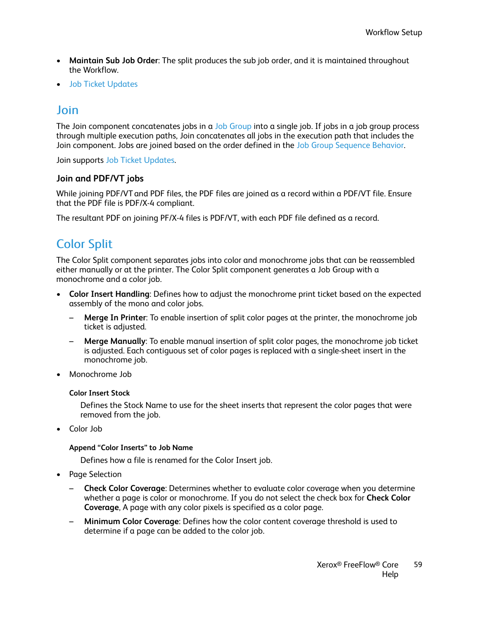- **Maintain Sub Job Order**: The split produces the sub job order, and it is maintained throughout the Workflow.
- Job Ticket [Updates](#page-76-0)

### Join

The Join component concatenates jobs in a Job [Group](#page-15-0) into a single job. If jobs in a job group process through multiple execution paths, Join concatenates all jobs in the execution path that includes the Join component. Jobs are joined based on the order defined in the Job Group [Sequence](#page-71-0) Behavior.

Join supports Job Ticket [Updates](#page-76-0).

#### **Join and PDF/VT jobs**

While joining PDF/VT and PDF files, the PDF files are joined as a record within a PDF/VT file. Ensure that the PDF file is PDF/X-4 compliant.

The resultant PDF on joining PF/X-4 files is PDF/VT, with each PDF file defined as a record.

### Color Split

The Color Split component separates jobs into color and monochrome jobs that can be reassembled either manually or at the printer. The Color Split component generates a Job Group with a monochrome and a color job.

- **Color Insert Handling**: Defines how to adjust the monochrome print ticket based on the expected assembly of the mono and color jobs.
	- **Merge In Printer**: To enable insertion of split color pages at the printer, the monochrome job ticket is adjusted.
	- **Merge Manually**: To enable manual insertion of split color pages, the monochrome job ticket is adjusted. Each contiguous set of color pages is replaced with a single-sheet insert in the monochrome job.
- Monochrome Job

#### **Color Insert Stock**

Defines the Stock Name to use for the sheet inserts that represent the color pages that were removed from the job.

• Color Job

#### **Append "Color Inserts" to Job Name**

Defines how a file is renamed for the Color Insert job.

- Page Selection
	- **Check Color Coverage**: Determines whether to evaluate color coverage when you determine whether a page is color or monochrome. If you do not select the check box for **Check Color Coverage**, A page with any color pixels is specified as a color page.
	- **Minimum Color Coverage**: Defines how the color content coverage threshold is used to determine if a page can be added to the color job.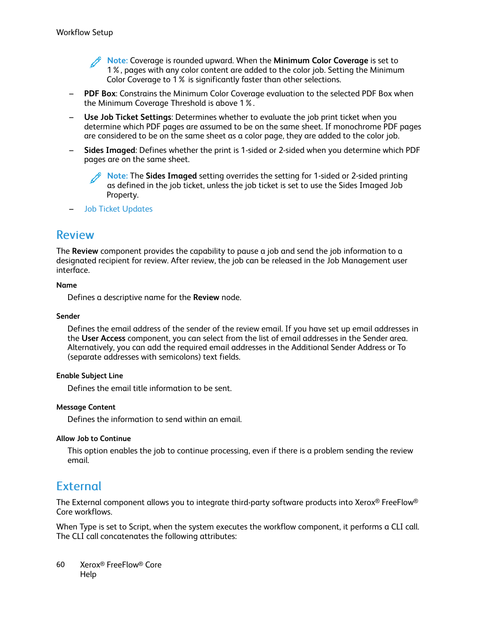**Note:** Coverage is rounded upward. When the **Minimum Color Coverage** is set to 1%, pages with any color content are added to the color job. Setting the Minimum Color Coverage to 1% is significantly faster than other selections.

- **PDF Box**: Constrains the Minimum Color Coverage evaluation to the selected PDF Box when the Minimum Coverage Threshold is above 1%.
- **Use Job Ticket Settings**: Determines whether to evaluate the job print ticket when you determine which PDF pages are assumed to be on the same sheet. If monochrome PDF pages are considered to be on the same sheet as a color page, they are added to the color job.
- **Sides Imaged**: Defines whether the print is 1-sided or 2-sided when you determine which PDF pages are on the same sheet.

**Note:** The **Sides Imaged** setting overrides the setting for 1-sided or 2-sided printing as defined in the job ticket, unless the job ticket is set to use the Sides Imaged Job Property.

– Job Ticket [Updates](#page-76-0)

### Review

The **Review** component provides the capability to pause a job and send the job information to a designated recipient for review. After review, the job can be released in the Job Management user interface.

#### **Name**

Defines a descriptive name for the **Review** node.

#### **Sender**

Defines the email address of the sender of the review email. If you have set up email addresses in the **User Access** component, you can select from the list of email addresses in the Sender area. Alternatively, you can add the required email addresses in the Additional Sender Address or To (separate addresses with semicolons) text fields.

#### **Enable Subject Line**

Defines the email title information to be sent.

#### **Message Content**

Defines the information to send within an email.

#### **Allow Job to Continue**

This option enables the job to continue processing, even if there is a problem sending the review email.

### **External**

The External component allows you to integrate third-party software products into Xerox® FreeFlow® Core workflows.

When Type is set to Script, when the system executes the workflow component, it performs a CLI call. The CLI call concatenates the following attributes:

60 Xerox® FreeFlow® Core Help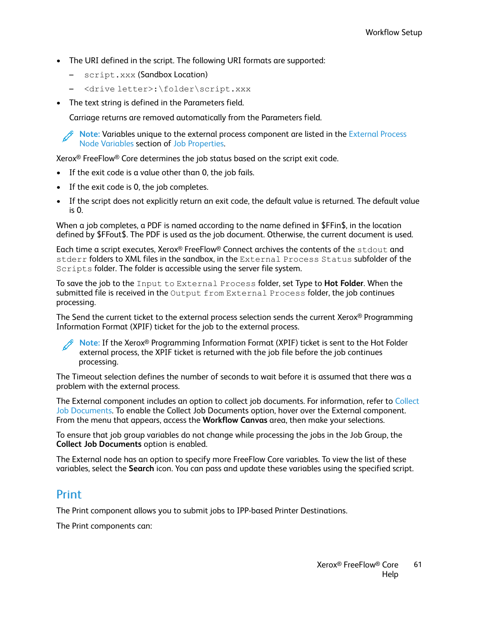- The URI defined in the script. The following URI formats are supported:
	- script.xxx (Sandbox Location)
	- <drive letter>:\folder\script.xxx
- The text string is defined in the Parameters field.

Carriage returns are removed automatically from the Parameters field.

**Note:** Variables unique to the external process component are listed in the [External](#page-144-0) Process Node [Variables](#page-144-0) section of Job [Properties](#page-128-0).

Xerox<sup>®</sup> FreeFlow<sup>®</sup> Core determines the job status based on the script exit code.

- If the exit code is a value other than 0, the job fails.
- If the exit code is 0, the job completes.
- If the script does not explicitly return an exit code, the default value is returned. The default value is 0.

When a job completes, a PDF is named according to the name defined in \$FFin\$, in the location defined by \$FFout\$. The PDF is used as the job document. Otherwise, the current document is used.

Each time a script executes, Xerox® FreeFlow® Connect archives the contents of the stdout and stderr folders to XML files in the sandbox, in the External Process Status subfolder of the Scripts folder. The folder is accessible using the server file system.

To save the job to the Input to External Process folder, set Type to **Hot Folder**. When the submitted file is received in the Output from External Process folder, the job continues processing.

The Send the current ticket to the external process selection sends the current Xerox® Programming Information Format (XPIF) ticket for the job to the external process.

**Note:** If the Xerox® Programming Information Format (XPIF) ticket is sent to the Hot Folder external process, the XPIF ticket is returned with the job file before the job continues processing.

The Timeout selection defines the number of seconds to wait before it is assumed that there was a problem with the external process.

The External component includes an option to collect job documents. For information, refer to [Collect](#page-29-0) Job [Documents](#page-29-0). To enable the Collect Job Documents option, hover over the External component. From the menu that appears, access the **Workflow Canvas** area, then make your selections.

To ensure that job group variables do not change while processing the jobs in the Job Group, the **Collect Job Documents** option is enabled.

The External node has an option to specify more FreeFlow Core variables. To view the list of these variables, select the **Search** icon. You can pass and update these variables using the specified script.

### Print

The Print component allows you to submit jobs to IPP-based Printer Destinations.

The Print components can: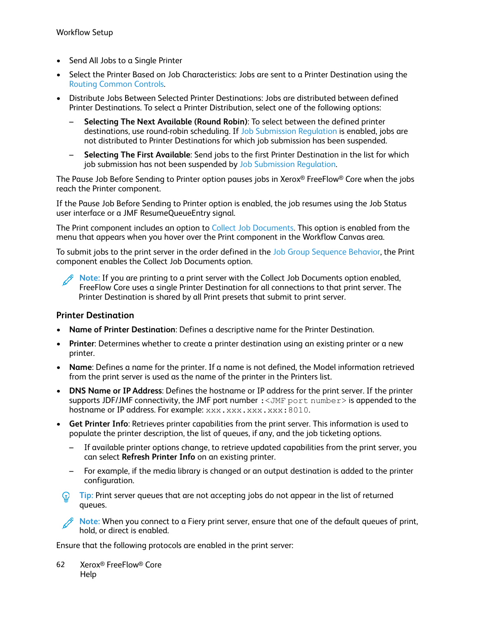- Send All Jobs to a Single Printer
- Select the Printer Based on Job Characteristics: Jobs are sent to a Printer Destination using the Routing [Common](#page-65-0) Controls.
- Distribute Jobs Between Selected Printer Destinations: Jobs are distributed between defined Printer Destinations. To select a Printer Distribution, select one of the following options:
	- **Selecting The Next Available (Round Robin)**: To select between the defined printer destinations, use round-robin scheduling. If Job [Submission](#page-21-0) Regulation is enabled, jobs are not distributed to Printer Destinations for which job submission has been suspended.
	- **Selecting The First Available**: Send jobs to the first Printer Destination in the list for which job submission has not been suspended by Job [Submission](#page-21-0) Regulation.

The Pause Job Before Sending to Printer option pauses jobs in Xerox® FreeFlow® Core when the jobs reach the Printer component.

If the Pause Job Before Sending to Printer option is enabled, the job resumes using the Job Status user interface or a JMF ResumeQueueEntry signal.

The Print component includes an option to Collect Job [Documents](#page-29-0). This option is enabled from the menu that appears when you hover over the Print component in the Workflow Canvas area.

To submit jobs to the print server in the order defined in the Job Group [Sequence](#page-71-0) Behavior, the Print component enables the Collect Job Documents option.

**Note:** If you are printing to a print server with the Collect Job Documents option enabled, FreeFlow Core uses a single Printer Destination for all connections to that print server. The Printer Destination is shared by all Print presets that submit to print server.

### <span id="page-61-0"></span>**Printer Destination**

- **Name of Printer Destination**: Defines a descriptive name for the Printer Destination.
- **Printer**: Determines whether to create a printer destination using an existing printer or a new printer.
- **Name**: Defines a name for the printer. If a name is not defined, the Model information retrieved from the print server is used as the name of the printer in the Printers list.
- **DNS Name or IP Address**: Defines the hostname or IP address for the print server. If the printer supports JDF/JMF connectivity, the JMF port number  $: <$  JMF port number> is appended to the hostname or IP address. For example: xxx.xxx.xxx.xxx:8010.
- **Get Printer Info**: Retrieves printer capabilities from the print server. This information is used to populate the printer description, the list of queues, if any, and the job ticketing options.
	- If available printer options change, to retrieve updated capabilities from the print server, you can select **Refresh Printer Info** on an existing printer.
	- For example, if the media library is changed or an output destination is added to the printer configuration.
	- **Tip:** Print server queues that are not accepting jobs do not appear in the list of returned queues.

**Note:** When you connect to a Fiery print server, ensure that one of the default queues of print, hold, or direct is enabled.

Ensure that the following protocols are enabled in the print server:

62 Xerox® FreeFlow® Core Help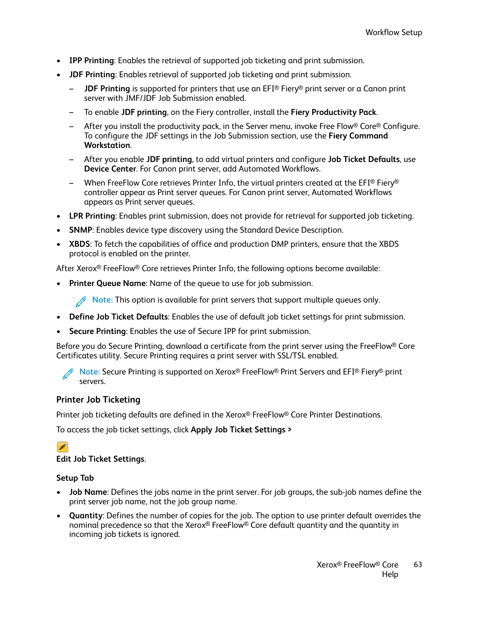- **IPP Printing**: Enables the retrieval of supported job ticketing and print submission.
- **JDF Printing**: Enables retrieval of supported job ticketing and print submission.
	- **JDF Printing** is supported for printers that use an EFI® Fiery® print server or a Canon print server with JMF/JDF Job Submission enabled.
	- To enable **JDF printing**, on the Fiery controller, install the **Fiery Productivity Pack**.
	- After you install the productivity pack, in the Server menu, invoke Free Flow® Core® Configure. To configure the JDF settings in the Job Submission section, use the **Fiery Command Workstation**.
	- After you enable **JDF printing**, to add virtual printers and configure **Job Ticket Defaults**, use **Device Center**. For Canon print server, add Automated Workflows.
	- When FreeFlow Core retrieves Printer Info, the virtual printers created at the EFI® Fiery® controller appear as Print server queues. For Canon print server, Automated Workflows appears as Print server queues.
- **LPR Printing**: Enables print submission, does not provide for retrieval for supported job ticketing.
- **SNMP:** Enables device type discovery using the Standard Device Description.
- **XBDS**: To fetch the capabilities of office and production DMP printers, ensure that the XBDS protocol is enabled on the printer.

After Xerox® FreeFlow® Core retrieves Printer Info, the following options become available:

• **Printer Queue Name**: Name of the queue to use for job submission.

**Note:** This option is available for print servers that support multiple queues only.

- **Define Job Ticket Defaults**: Enables the use of default job ticket settings for print submission.
- **Secure Printing**: Enables the use of Secure IPP for print submission.

Before you do Secure Printing, download a certificate from the print server using the FreeFlow® Core Certificates utility. Secure Printing requires a print server with SSL/TSL enabled.

**Note:** Secure Printing is supported on Xerox<sup>®</sup> FreeFlow<sup>®</sup> Print Servers and EFI<sup>®</sup> Fiery<sup>®</sup> print servers.

### **Printer Job Ticketing**

Printer job ticketing defaults are defined in the Xerox® FreeFlow® Core Printer Destinations.

To access the job ticket settings, click **Apply Job Ticket Settings >**

#### $\overline{\phantom{a}}$ **Edit Job Ticket Settings**.

### **Setup Tab**

- **Job Name**: Defines the jobs name in the print server. For job groups, the sub-job names define the print server job name, not the job group name.
- **Quantity**: Defines the number of copies for the job. The option to use printer default overrides the nominal precedence so that the Xerox® FreeFlow® Core default quantity and the quantity in incoming job tickets is ignored.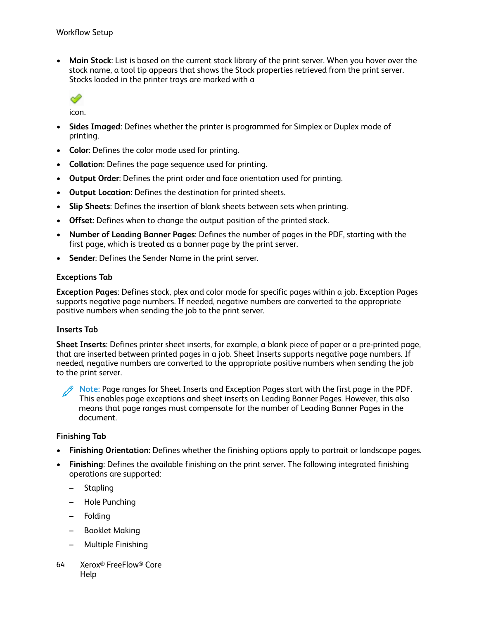• **Main Stock**: List is based on the current stock library of the print server. When you hover over the stock name, a tool tip appears that shows the Stock properties retrieved from the print server. Stocks loaded in the printer trays are marked with a



icon.

- **Sides Imaged**: Defines whether the printer is programmed for Simplex or Duplex mode of printing.
- **Color**: Defines the color mode used for printing.
- **Collation**: Defines the page sequence used for printing.
- **Output Order**: Defines the print order and face orientation used for printing.
- **Output Location**: Defines the destination for printed sheets.
- **Slip Sheets**: Defines the insertion of blank sheets between sets when printing.
- **Offset**: Defines when to change the output position of the printed stack.
- **Number of Leading Banner Pages**: Defines the number of pages in the PDF, starting with the first page, which is treated as a banner page by the print server.
- **Sender:** Defines the Sender Name in the print server.

#### **Exceptions Tab**

**Exception Pages**: Defines stock, plex and color mode for specific pages within a job. Exception Pages supports negative page numbers. If needed, negative numbers are converted to the appropriate positive numbers when sending the job to the print server.

### **Inserts Tab**

**Sheet Inserts**: Defines printer sheet inserts, for example, a blank piece of paper or a pre-printed page, that are inserted between printed pages in a job. Sheet Inserts supports negative page numbers. If needed, negative numbers are converted to the appropriate positive numbers when sending the job to the print server.

**Note:** Page ranges for Sheet Inserts and Exception Pages start with the first page in the PDF. This enables page exceptions and sheet inserts on Leading Banner Pages. However, this also means that page ranges must compensate for the number of Leading Banner Pages in the document.

### **Finishing Tab**

- **Finishing Orientation**: Defines whether the finishing options apply to portrait or landscape pages.
- **Finishing**: Defines the available finishing on the print server. The following integrated finishing operations are supported:
	- Stapling
	- Hole Punching
	- **Folding**
	- Booklet Making
	- Multiple Finishing
- 64 Xerox® FreeFlow® Core Help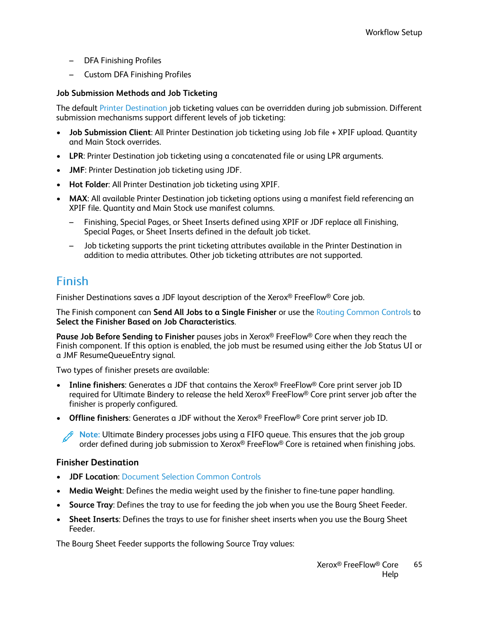- DFA Finishing Profiles
- Custom DFA Finishing Profiles

### **Job Submission Methods and Job Ticketing**

The default Printer [Destination](#page-61-0) job ticketing values can be overridden during job submission. Different submission mechanisms support different levels of job ticketing:

- **Job Submission Client**: All Printer Destination job ticketing using Job file + XPIF upload. Quantity and Main Stock overrides.
- **LPR**: Printer Destination job ticketing using a concatenated file or using LPR arguments.
- **JMF**: Printer Destination job ticketing using JDF.
- **Hot Folder**: All Printer Destination job ticketing using XPIF.
- **MAX**: All available Printer Destination job ticketing options using a manifest field referencing an XPIF file. Quantity and Main Stock use manifest columns.
	- Finishing, Special Pages, or Sheet Inserts defined using XPIF or JDF replace all Finishing, Special Pages, or Sheet Inserts defined in the default job ticket.
	- Job ticketing supports the print ticketing attributes available in the Printer Destination in addition to media attributes. Other job ticketing attributes are not supported.

### Finish

Finisher Destinations saves a JDF layout description of the Xerox® FreeFlow® Core job.

The Finish component can **Send All Jobs to a Single Finisher** or use the Routing [Common](#page-65-0) Controls to **Select the Finisher Based on Job Characteristics**.

**Pause Job Before Sending to Finisher** pauses jobs in Xerox® FreeFlow® Core when they reach the Finish component. If this option is enabled, the job must be resumed using either the Job Status UI or a JMF ResumeQueueEntry signal.

Two types of finisher presets are available:

- **Inline finishers**: Generates a JDF that contains the Xerox® FreeFlow® Core print server job ID required for Ultimate Bindery to release the held Xerox® FreeFlow® Core print server job after the finisher is properly configured.
- **Offline finishers**: Generates a JDF without the Xerox® FreeFlow® Core print server job ID.

**Note:** Ultimate Bindery processes jobs using a FIFO queue. This ensures that the job group order defined during job submission to Xerox® FreeFlow® Core is retained when finishing jobs.

### **Finisher Destination**

- **JDF Location**: [Document](#page-70-1) Selection Common Controls
- **Media Weight**: Defines the media weight used by the finisher to fine-tune paper handling.
- **Source Tray**: Defines the tray to use for feeding the job when you use the Bourg Sheet Feeder.
- **Sheet Inserts**: Defines the trays to use for finisher sheet inserts when you use the Bourg Sheet Feeder.

The Bourg Sheet Feeder supports the following Source Tray values: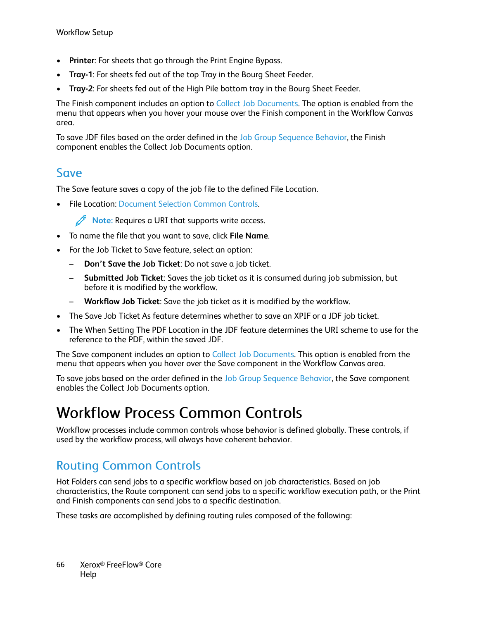- **Printer**: For sheets that go through the Print Engine Bypass.
- **Tray-1**: For sheets fed out of the top Tray in the Bourg Sheet Feeder.
- **Tray-2**: For sheets fed out of the High Pile bottom tray in the Bourg Sheet Feeder.

The Finish component includes an option to Collect Job [Documents](#page-29-0). The option is enabled from the menu that appears when you hover your mouse over the Finish component in the Workflow Canvas area.

To save JDF files based on the order defined in the Job Group [Sequence](#page-71-0) Behavior, the Finish component enables the Collect Job Documents option.

### Save

The Save feature saves a copy of the job file to the defined File Location.

• File Location: [Document](#page-70-1) Selection Common Controls.

**Note:** Requires a URI that supports write access.

- To name the file that you want to save, click **File Name**.
- For the Job Ticket to Save feature, select an option:
	- **Don't Save the Job Ticket**: Do not save a job ticket.
	- **Submitted Job Ticket**: Saves the job ticket as it is consumed during job submission, but before it is modified by the workflow.
	- **Workflow Job Ticket**: Save the job ticket as it is modified by the workflow.
- The Save Job Ticket As feature determines whether to save an XPIF or a JDF job ticket.
- The When Setting The PDF Location in the JDF feature determines the URI scheme to use for the reference to the PDF, within the saved JDF.

The Save component includes an option to Collect Job [Documents](#page-29-0). This option is enabled from the menu that appears when you hover over the Save component in the Workflow Canvas area.

To save jobs based on the order defined in the Job Group [Sequence](#page-71-0) Behavior, the Save component enables the Collect Job Documents option.

# Workflow Process Common Controls

Workflow processes include common controls whose behavior is defined globally. These controls, if used by the workflow process, will always have coherent behavior.

# <span id="page-65-0"></span>Routing Common Controls

Hot Folders can send jobs to a specific workflow based on job characteristics. Based on job characteristics, the Route component can send jobs to a specific workflow execution path, or the Print and Finish components can send jobs to a specific destination.

These tasks are accomplished by defining routing rules composed of the following: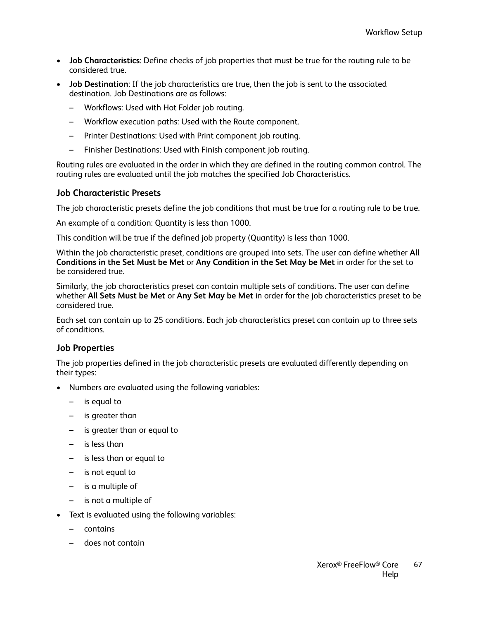- **Job Characteristics**: Define checks of job properties that must be true for the routing rule to be considered true.
- **Job Destination**: If the job characteristics are true, then the job is sent to the associated destination. Job Destinations are as follows:
	- Workflows: Used with Hot Folder job routing.
	- Workflow execution paths: Used with the Route component.
	- Printer Destinations: Used with Print component job routing.
	- Finisher Destinations: Used with Finish component job routing.

Routing rules are evaluated in the order in which they are defined in the routing common control. The routing rules are evaluated until the job matches the specified Job Characteristics.

### <span id="page-66-0"></span>**Job Characteristic Presets**

The job characteristic presets define the job conditions that must be true for a routing rule to be true.

An example of a condition: Quantity is less than 1000.

This condition will be true if the defined job property (Quantity) is less than 1000.

Within the job characteristic preset, conditions are grouped into sets. The user can define whether **All Conditions in the Set Must be Met** or **Any Condition in the Set May be Met** in order for the set to be considered true.

Similarly, the job characteristics preset can contain multiple sets of conditions. The user can define whether **All Sets Must be Met** or **Any Set May be Met** in order for the job characteristics preset to be considered true.

Each set can contain up to 25 conditions. Each job characteristics preset can contain up to three sets of conditions.

### **Job Properties**

The job properties defined in the job characteristic presets are evaluated differently depending on their types:

- Numbers are evaluated using the following variables:
	- is equal to
	- is greater than
	- is greater than or equal to
	- is less than
	- is less than or equal to
	- is not equal to
	- is a multiple of
	- is not a multiple of
- Text is evaluated using the following variables:
	- contains
	- does not contain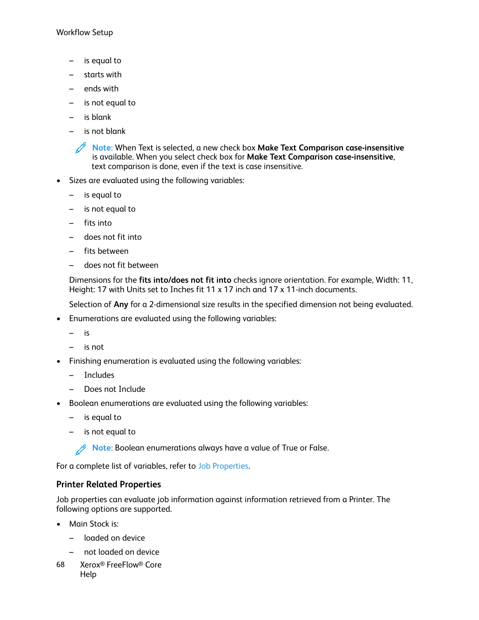- is equal to
- starts with
- ends with
- is not equal to
- is blank
- is not blank

**Note:** When Text is selected, a new check box **Make Text Comparison case-insensitive** is available. When you select check box for **Make Text Comparison case-insensitive**, text comparison is done, even if the text is case insensitive.

- Sizes are evaluated using the following variables:
	- is equal to
	- is not equal to
	- fits into
	- does not fit into
	- fits between
	- does not fit between

Dimensions for the **fits into/does not fit into** checks ignore orientation. For example, Width: 11, Height: 17 with Units set to Inches fit 11 x 17 inch and 17 x 11-inch documents.

Selection of **Any** for a 2-dimensional size results in the specified dimension not being evaluated.

- Enumerations are evaluated using the following variables:
	- is
	- is not
- Finishing enumeration is evaluated using the following variables:
	- Includes
	- Does not Include
- Boolean enumerations are evaluated using the following variables:
	- is equal to
	- is not equal to

**Note:** Boolean enumerations always have a value of True or False.

For a complete list of variables, refer to Job [Properties.](#page-128-0)

### **Printer Related Properties**

Job properties can evaluate job information against information retrieved from a Printer. The following options are supported.

- Main Stock is:
	- loaded on device
	- not loaded on device
- 68 Xerox® FreeFlow® Core Help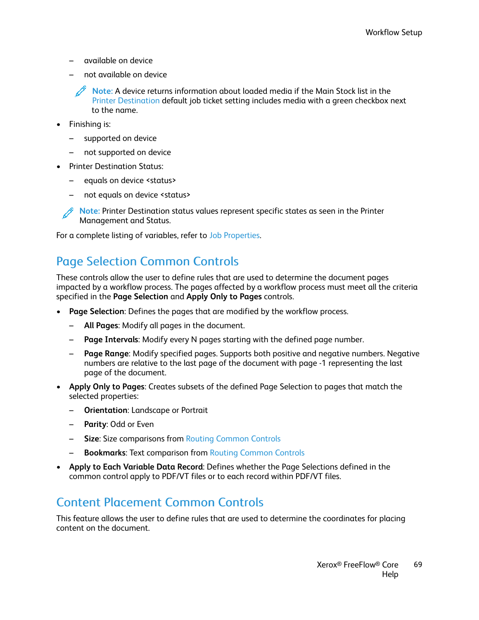- available on device
- not available on device

**Note:** A device returns information about loaded media if the Main Stock list in the Printer [Destination](#page-61-0) default job ticket setting includes media with a green checkbox next to the name.

- Finishing is:
	- supported on device
	- not supported on device
- Printer Destination Status:
	- equals on device <status>
	- not equals on device <status>

**Note:** Printer Destination status values represent specific states as seen in the Printer Management and Status.

For a complete listing of variables, refer to Job [Properties](#page-128-0).

### <span id="page-68-1"></span>Page Selection Common Controls

These controls allow the user to define rules that are used to determine the document pages impacted by a workflow process. The pages affected by a workflow process must meet all the criteria specified in the **Page Selection** and **Apply Only to Pages** controls.

- **Page Selection**: Defines the pages that are modified by the workflow process.
	- **All Pages**: Modify all pages in the document.
	- **Page Intervals**: Modify every N pages starting with the defined page number.
	- **Page Range**: Modify specified pages. Supports both positive and negative numbers. Negative numbers are relative to the last page of the document with page -1 representing the last page of the document.
- **Apply Only to Pages**: Creates subsets of the defined Page Selection to pages that match the selected properties:
	- **Orientation**: Landscape or Portrait
	- **Parity**: Odd or Even
	- **Size: Size comparisons from Routing [Common](#page-65-0) Controls**
	- **Bookmarks**: Text comparison from Routing [Common](#page-65-0) Controls
- **Apply to Each Variable Data Record**: Defines whether the Page Selections defined in the common control apply to PDF/VT files or to each record within PDF/VT files.

### <span id="page-68-0"></span>Content Placement Common Controls

This feature allows the user to define rules that are used to determine the coordinates for placing content on the document.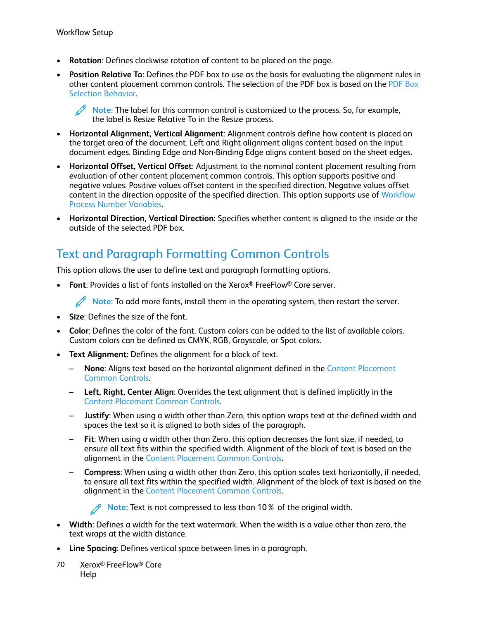- **Rotation**: Defines clockwise rotation of content to be placed on the page.
- **Position Relative To**: Defines the PDF box to use as the basis for evaluating the alignment rules in other content placement common controls. The selection of the PDF box is based on the [PDF](#page-71-1) Box [Selection](#page-71-1) Behavior.

**Note:** The label for this common control is customized to the process. So, for example, the label is Resize Relative To in the Resize process.

- **Horizontal Alignment, Vertical Alignment**: Alignment controls define how content is placed on the target area of the document. Left and Right alignment aligns content based on the input document edges. Binding Edge and Non-Binding Edge aligns content based on the sheet edges.
- **Horizontal Offset, Vertical Offset**: Adjustment to the nominal content placement resulting from evaluation of other content placement common controls. This option supports positive and negative values. Positive values offset content in the specified direction. Negative values offset content in the direction opposite of the specified direction. This option supports use of [Workflow](#page-74-0) Process Number [Variables.](#page-74-0)
- **Horizontal Direction, Vertical Direction**: Specifies whether content is aligned to the inside or the outside of the selected PDF box.

### <span id="page-69-0"></span>Text and Paragraph Formatting Common Controls

This option allows the user to define text and paragraph formatting options.

• **Font**: Provides a list of fonts installed on the Xerox® FreeFlow® Core server.

**Note:** To add more fonts, install them in the operating system, then restart the server.

- **Size**: Defines the size of the font.
- **Color**: Defines the color of the font. Custom colors can be added to the list of available colors. Custom colors can be defined as CMYK, RGB, Grayscale, or Spot colors.
- **Text Alignment**: Defines the alignment for a block of text.
	- **None**: Aligns text based on the horizontal alignment defined in the Content [Placement](#page-68-0) [Common](#page-68-0) Controls.
	- **Left, Right, Center Align**: Overrides the text alignment that is defined implicitly in the Content [Placement](#page-68-0) Common Controls.
	- **Justify**: When using a width other than Zero, this option wraps text at the defined width and spaces the text so it is aligned to both sides of the paragraph.
	- **Fit**: When using a width other than Zero, this option decreases the font size, if needed, to ensure all text fits within the specified width. Alignment of the block of text is based on the alignment in the Content [Placement](#page-68-0) Common Controls.
	- **Compress**: When using a width other than Zero, this option scales text horizontally, if needed, to ensure all text fits within the specified width. Alignment of the block of text is based on the alignment in the Content [Placement](#page-68-0) Common Controls.

**Note:** Text is not compressed to less than 10% of the original width.

- **Width**: Defines a width for the text watermark. When the width is a value other than zero, the text wraps at the width distance.
- **Line Spacing**: Defines vertical space between lines in a paragraph.
- 70 Xerox® FreeFlow® Core Help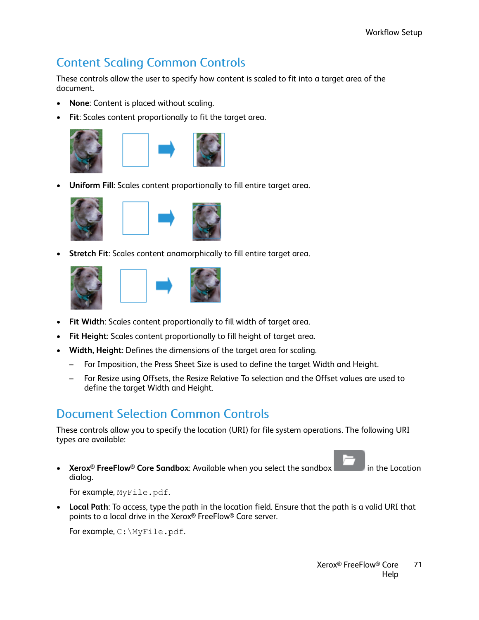## <span id="page-70-0"></span>Content Scaling Common Controls

These controls allow the user to specify how content is scaled to fit into a target area of the document.

- **None**: Content is placed without scaling.
- **Fit**: Scales content proportionally to fit the target area.



• **Uniform Fill**: Scales content proportionally to fill entire target area.



• **Stretch Fit**: Scales content anamorphically to fill entire target area.



- **Fit Width**: Scales content proportionally to fill width of target area.
- **Fit Height**: Scales content proportionally to fill height of target area.
- **Width, Height**: Defines the dimensions of the target area for scaling.
	- For Imposition, the Press Sheet Size is used to define the target Width and Height.
	- For Resize using Offsets, the Resize Relative To selection and the Offset values are used to define the target Width and Height.

## <span id="page-70-1"></span>Document Selection Common Controls

These controls allow you to specify the location (URI) for file system operations. The following URI types are available:

• Xerox<sup>®</sup> FreeFlow<sup>®</sup> Core Sandbox: Available when you select the sandbox in the Location dialog.



For example, MyFile.pdf.

• **Local Path**: To access, type the path in the location field. Ensure that the path is a valid URI that points to a local drive in the Xerox® FreeFlow® Core server.

For example, C: \MyFile.pdf.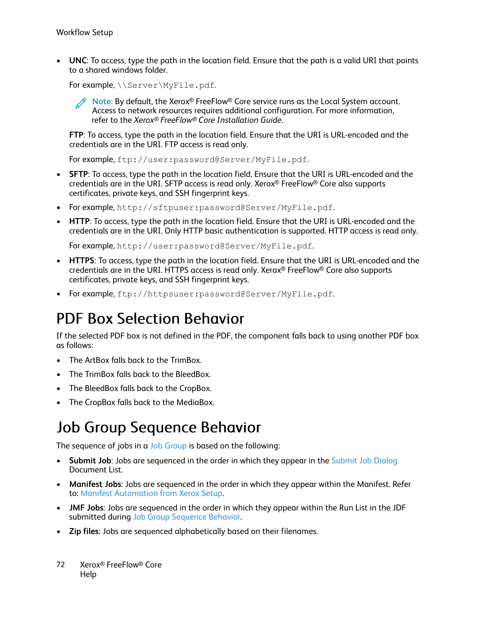• **UNC**: To access, type the path in the location field. Ensure that the path is a valid URI that points to a shared windows folder.

For example, \\Server\MyFile.pdf.

**Note:** By default, the Xerox® FreeFlow® Core service runs as the Local System account. Access to network resources requires additional configuration. For more information, refer to the *Xerox*® *FreeFlow*® *Core Installation Guide*.

**FTP**: To access, type the path in the location field. Ensure that the URI is URL-encoded and the credentials are in the URI. FTP access is read only.

For example, ftp://user:password@Server/MyFile.pdf.

- **SFTP**: To access, type the path in the location field. Ensure that the URI is URL-encoded and the credentials are in the URI. SFTP access is read only. Xerox® FreeFlow® Core also supports certificates, private keys, and SSH fingerprint keys.
- For example, http://sftpuser:password@Server/MyFile.pdf.
- **HTTP**: To access, type the path in the location field. Ensure that the URI is URL-encoded and the credentials are in the URI. Only HTTP basic authentication is supported. HTTP access is read only.

For example, http://user:password@Server/MyFile.pdf.

- **HTTPS**: To access, type the path in the location field. Ensure that the URI is URL-encoded and the credentials are in the URI. HTTPS access is read only. Xerox® FreeFlow® Core also supports certificates, private keys, and SSH fingerprint keys.
- For example, ftp://httpsuser:password@Server/MyFile.pdf.

# <span id="page-71-1"></span>PDF Box Selection Behavior

If the selected PDF box is not defined in the PDF, the component falls back to using another PDF box as follows:

- The ArtBox falls back to the TrimBox.
- The TrimBox falls back to the BleedBox.
- The BleedBox falls back to the CropBox.
- The CropBox falls back to the MediaBox.

# <span id="page-71-0"></span>Job Group Sequence Behavior

The sequence of jobs in a Job [Group](#page-15-0) is based on the following:

- **Submit Job**: Jobs are sequenced in the order in which they appear in the [Submit](#page-13-0) Job Dialog Document List.
- **Manifest Jobs**: Jobs are sequenced in the order in which they appear within the Manifest. Refer to: Manifest [Automation](#page-81-0) from Xerox Setup.
- **JMF Jobs**: Jobs are sequenced in the order in which they appear within the Run List in the JDF submitted during Job Group [Sequence](#page-71-0) Behavior.
- **Zip files**: Jobs are sequenced alphabetically based on their filenames.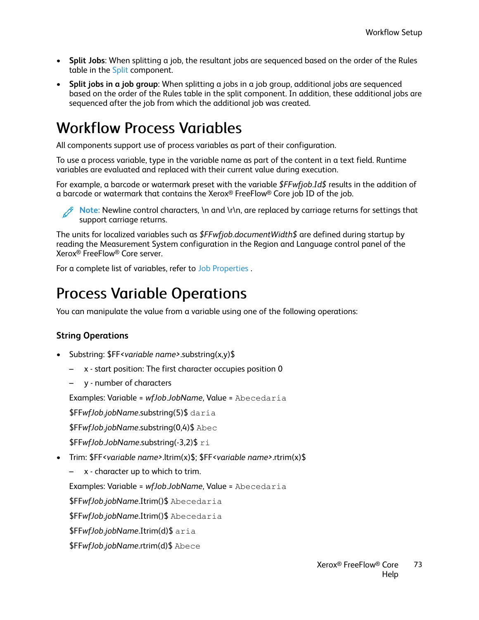- **Split Jobs**: When splitting a job, the resultant jobs are sequenced based on the order of the Rules table in the [Split](#page-56-0) component.
- **Split jobs in a job group**: When splitting a jobs in a job group, additional jobs are sequenced based on the order of the Rules table in the split component. In addition, these additional jobs are sequenced after the job from which the additional job was created.

### Workflow Process Variables

All components support use of process variables as part of their configuration.

To use a process variable, type in the variable name as part of the content in a text field. Runtime variables are evaluated and replaced with their current value during execution.

For example, a barcode or watermark preset with the variable *\$FFwfjob.Id\$* results in the addition of a barcode or watermark that contains the Xerox® FreeFlow® Core job ID of the job.

Note: Newline control characters, \n and \r\n, are replaced by carriage returns for settings that support carriage returns.

The units for localized variables such as *\$FFwfjob.documentWidth\$* are defined during startup by reading the Measurement System configuration in the Region and Language control panel of the Xerox® FreeFlow® Core server.

For a complete list of variables, refer to Job [Properties](#page-128-0) .

### Process Variable Operations

You can manipulate the value from a variable using one of the following operations:

#### **String Operations**

- Substring: \$FF*<variable name>*.substring(x,y)\$
	- x start position: The first character occupies position 0
	- y number of characters

Examples: Variable = *wfJob.JobName*, Value = Abecedaria

\$FF*wfJob.jobName*.substring(5)\$ daria

\$FF*wfJob.jobName*.substring(0,4)\$ Abec

\$FF*wfJob.JobName*.substring(-3,2)\$ ri

- Trim: \$FF*<variable name>*.ltrim(x)\$; \$FF*<variable name>*.rtrim(x)\$
	- x character up to which to trim.

Examples: Variable = *wfJob.JobName*, Value = Abecedaria

\$FF*wfJob.jobName*.Itrim()\$ Abecedaria

\$FF*wfJob.jobName*.Itrim()\$ Abecedaria

\$FF*wfJob.jobName*.Itrim(d)\$ aria

\$FF*wfJob.jobName*.rtrim(d)\$ Abece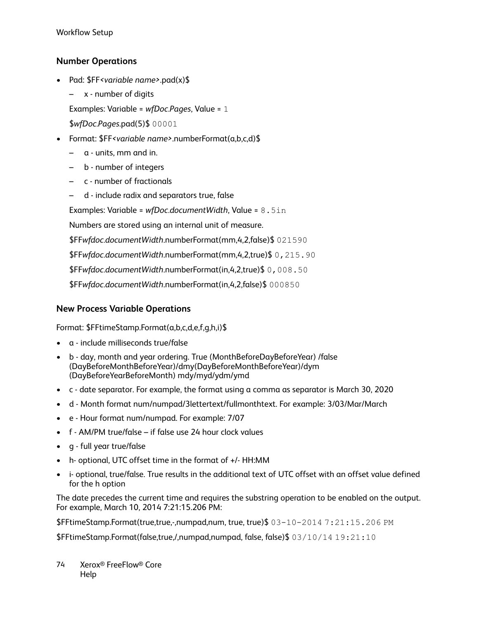#### **Number Operations**

- Pad: \$FF*<variable name>*.pad(x)\$
	- x number of digits

Examples: Variable = *wfDoc.Pages*, Value = 1

- \$*wfDoc.Pages*.pad(5)\$ 00001
- Format: \$FF*<variable name>*.numberFormat(a,b,c,d)\$
	- a units, mm and in.
	- b number of integers
	- c number of fractionals
	- d include radix and separators true, false

Examples: Variable = *wfDoc.documentWidth*, Value = 8.5in

Numbers are stored using an internal unit of measure.

\$FF*wfdoc.documentWidth*.numberFormat(mm,4,2,false)\$ 021590

\$FF*wfdoc.documentWidth*.numberFormat(mm,4,2,true)\$ 0,215.90

\$FF*wfdoc.documentWidth*.numberFormat(in,4,2,true)\$ 0,008.50

\$FF*wfdoc.documentWidth*.numberFormat(in,4,2,false)\$ 000850

#### **New Process Variable Operations**

Format: \$FFtimeStamp.Format(a,b,c,d,e,f,g,h,i)\$

- a include milliseconds true/false
- b day, month and year ordering. True (MonthBeforeDayBeforeYear) /false (DayBeforeMonthBeforeYear)/dmy(DayBeforeMonthBeforeYear)/dym (DayBeforeYearBeforeMonth) mdy/myd/ydm/ymd
- c date separator. For example, the format using a comma as separator is March 30, 2020
- d Month format num/numpad/3lettertext/fullmonthtext. For example: 3/03/Mar/March
- e Hour format num/numpad. For example: 7/07
- f AM/PM true/false if false use 24 hour clock values
- g full year true/false
- h- optional, UTC offset time in the format of +/- HH:MM
- i- optional, true/false. True results in the additional text of UTC offset with an offset value defined for the h option

The date precedes the current time and requires the substring operation to be enabled on the output. For example, March 10, 2014 7:21:15.206 PM:

\$FFtimeStamp.Format(true,true,-,numpad,num, true, true)\$ 03-10-2014 7:21:15.206 PM

\$FFtimeStamp.Format(false,true,/,numpad,numpad, false, false)\$ 03/10/14 19:21:10

74 Xerox® FreeFlow® Core **Help**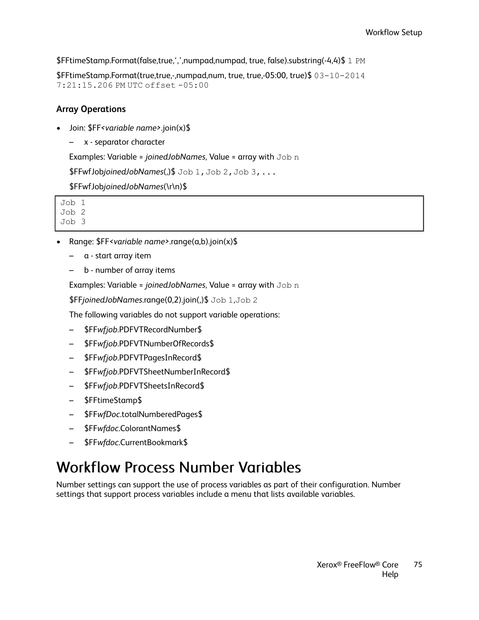\$FFtimeStamp.Format(false,true,',',numpad,numpad, true, false).substring(-4,4)\$ 1 PM

\$FFtimeStamp.Format(true,true,-,numpad,num, true, true,-05:00, true)\$ 03-10-2014 7:21:15.206 PM UTC offset -05:00

#### **Array Operations**

- Join: \$FF*<variable name>*.join(x)\$
	- x separator character

Examples: Variable = *joinedJobNames*, Value = array with Job n

```
$FFwfJobjoinedJobNames(,)$ Job 1,Job 2,Job 3,...
```
\$FFwfJob*joinedJobNames*(\r\n)\$

Job 1 Job 2 Job 3

- Range: \$FF*<variable name>*.range(a,b).join(x)\$
	- a start array item
	- b number of array items

Examples: Variable = *joinedJobNames*, Value = array with Job n

\$FF*joinedJobNames*.range(0,2).join(,)\$ Job 1,Job 2

The following variables do not support variable operations:

- \$FF*wfjob*.PDFVTRecordNumber\$
- \$FF*wfjob*.PDFVTNumberOfRecords\$
- \$FF*wfjob*.PDFVTPagesInRecord\$
- \$FF*wfjob*.PDFVTSheetNumberInRecord\$
- \$FF*wfjob*.PDFVTSheetsInRecord\$
- \$FFtimeStamp\$
- \$FF*wfDoc*.totalNumberedPages\$
- \$FF*wfdoc*.ColorantNames\$
- \$FF*wfdoc*.CurrentBookmark\$

### Workflow Process Number Variables

Number settings can support the use of process variables as part of their configuration. Number settings that support process variables include a menu that lists available variables.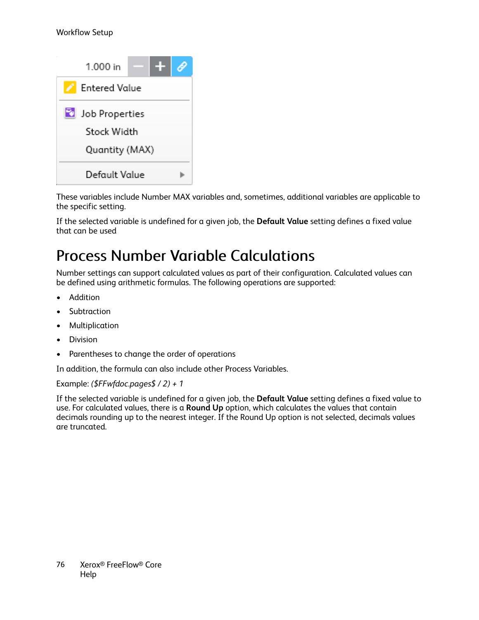

These variables include Number MAX variables and, sometimes, additional variables are applicable to the specific setting.

If the selected variable is undefined for a given job, the **Default Value** setting defines a fixed value that can be used

### Process Number Variable Calculations

Number settings can support calculated values as part of their configuration. Calculated values can be defined using arithmetic formulas. The following operations are supported:

- Addition
- Subtraction
- **Multiplication**
- Division
- Parentheses to change the order of operations

In addition, the formula can also include other Process Variables.

Example: *(\$FFwfdoc.pages\$ / 2) + 1*

If the selected variable is undefined for a given job, the **Default Value** setting defines a fixed value to use. For calculated values, there is a **Round Up** option, which calculates the values that contain decimals rounding up to the nearest integer. If the Round Up option is not selected, decimals values are truncated.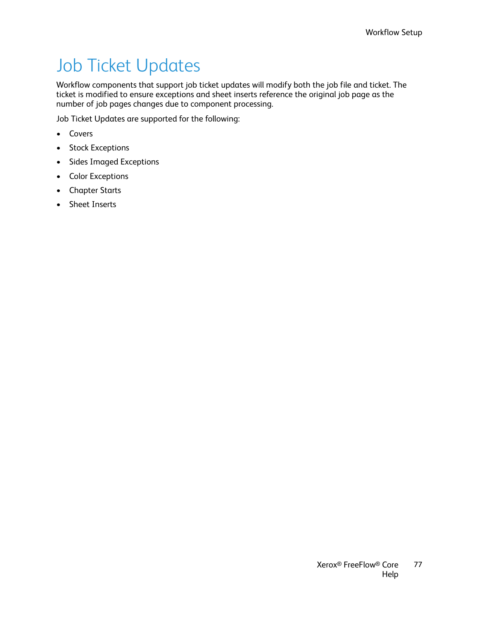# Job Ticket Updates

Workflow components that support job ticket updates will modify both the job file and ticket. The ticket is modified to ensure exceptions and sheet inserts reference the original job page as the number of job pages changes due to component processing.

Job Ticket Updates are supported for the following:

- Covers
- Stock Exceptions
- Sides Imaged Exceptions
- Color Exceptions
- Chapter Starts
- Sheet Inserts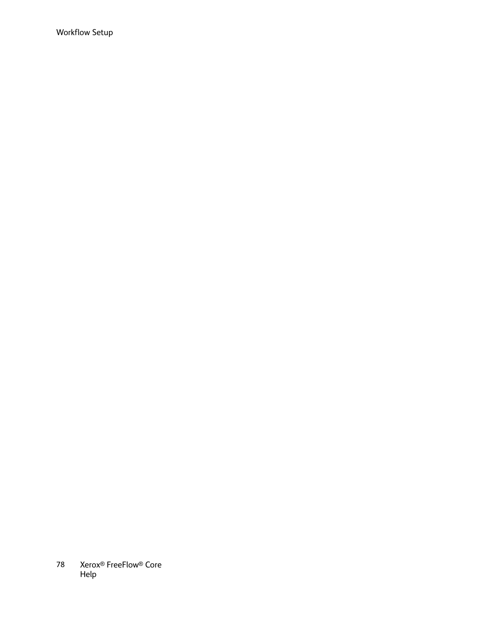[Workflow](#page-26-0) Setup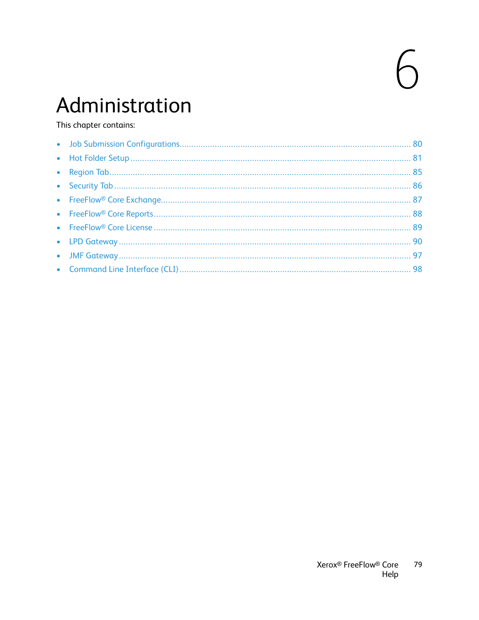# $\sqrt{}$

# <span id="page-78-0"></span>Administration

This chapter contains: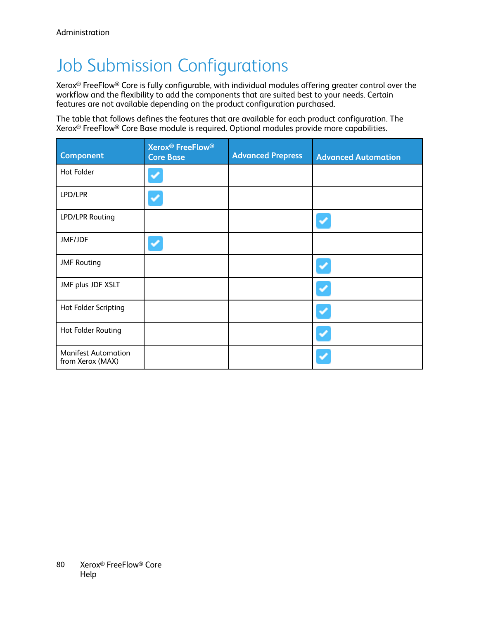# <span id="page-79-0"></span>Job Submission Configurations

Xerox® FreeFlow® Core is fully configurable, with individual modules offering greater control over the workflow and the flexibility to add the components that are suited best to your needs. Certain features are not available depending on the product configuration purchased.

The table that follows defines the features that are available for each product configuration. The Xerox® FreeFlow® Core Base module is required. Optional modules provide more capabilities.

| <b>Component</b>                               | <b>Xerox<sup>®</sup></b> FreeFlow <sup>®</sup><br><b>Core Base</b> | <b>Advanced Prepress</b> | <b>Advanced Automation</b> |
|------------------------------------------------|--------------------------------------------------------------------|--------------------------|----------------------------|
| <b>Hot Folder</b>                              |                                                                    |                          |                            |
| LPD/LPR                                        |                                                                    |                          |                            |
| <b>LPD/LPR Routing</b>                         |                                                                    |                          |                            |
| JMF/JDF                                        |                                                                    |                          |                            |
| <b>JMF Routing</b>                             |                                                                    |                          |                            |
| JMF plus JDF XSLT                              |                                                                    |                          |                            |
| Hot Folder Scripting                           |                                                                    |                          |                            |
| Hot Folder Routing                             |                                                                    |                          |                            |
| <b>Manifest Automation</b><br>from Xerox (MAX) |                                                                    |                          |                            |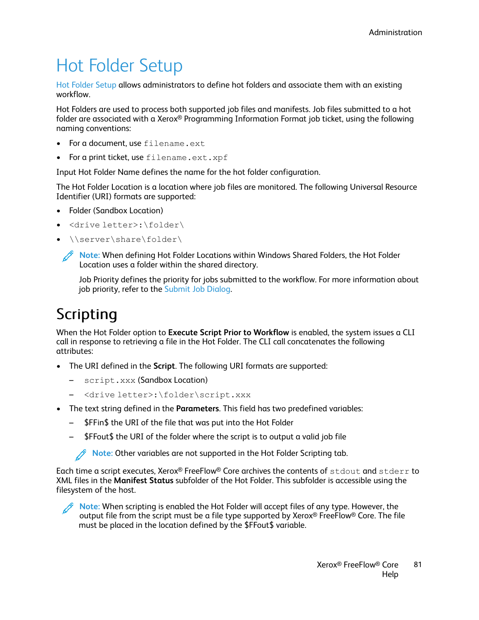# <span id="page-80-0"></span>Hot Folder Setup

Hot [Folder](#page-80-0) Setup allows administrators to define hot folders and associate them with an existing workflow.

Hot Folders are used to process both supported job files and manifests. Job files submitted to a hot folder are associated with a Xerox® Programming Information Format job ticket, using the following naming conventions:

- For a document, use filename.ext
- For a print ticket, use filename.ext.xpf

Input Hot Folder Name defines the name for the hot folder configuration.

The Hot Folder Location is a location where job files are monitored. The following Universal Resource Identifier (URI) formats are supported:

- Folder (Sandbox Location)
- <drive letter>:\folder\
- \\server\share\folder\

**Note:** When defining Hot Folder Locations within Windows Shared Folders, the Hot Folder Location uses a folder within the shared directory.

Job Priority defines the priority for jobs submitted to the workflow. For more information about job priority, refer to the [Submit](#page-13-0) Job Dialog.

### **Scripting**

When the Hot Folder option to **Execute Script Prior to Workflow** is enabled, the system issues a CLI call in response to retrieving a file in the Hot Folder. The CLI call concatenates the following attributes:

- The URI defined in the **Script**. The following URI formats are supported:
	- script.xxx (Sandbox Location)
	- <drive letter>:\folder\script.xxx
- The text string defined in the **Parameters**. This field has two predefined variables:
	- \$FFin\$ the URI of the file that was put into the Hot Folder
	- \$FFout\$ the URI of the folder where the script is to output a valid job file

**Note:** Other variables are not supported in the Hot Folder Scripting tab.

Each time a script executes, Xerox® FreeFlow® Core archives the contents of stdout and stderr to XML files in the **Manifest Status** subfolder of the Hot Folder. This subfolder is accessible using the filesystem of the host.



**Note:** When scripting is enabled the Hot Folder will accept files of any type. However, the output file from the script must be a file type supported by Xerox<sup>®</sup> FreeFlow<sup>®</sup> Core. The file must be placed in the location defined by the \$FFout\$ variable.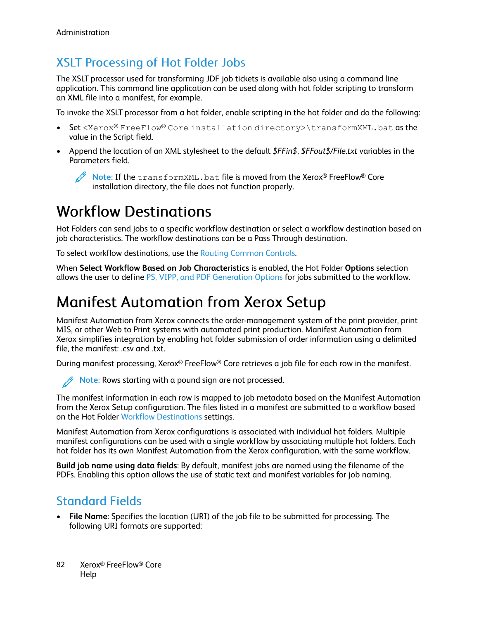### XSLT Processing of Hot Folder Jobs

The XSLT processor used for transforming JDF job tickets is available also using a command line application. This command line application can be used along with hot folder scripting to transform an XML file into a manifest, for example.

To invoke the XSLT processor from a hot folder, enable scripting in the hot folder and do the following:

- Set<Xerox® FreeFlow® Core installation directory>\transformXML.bat as the value in the Script field.
- Append the location of an XML stylesheet to the default *\$FFin\$*, *\$FFout\$/File.txt* variables in the Parameters field.

**Note:** If the transformXML.bat file is moved from the Xerox® FreeFlow® Core installation directory, the file does not function properly.

### <span id="page-81-0"></span>Workflow Destinations

Hot Folders can send jobs to a specific workflow destination or select a workflow destination based on job characteristics. The workflow destinations can be a Pass Through destination.

To select workflow destinations, use the Routing [Common](#page-65-0) Controls.

When **Select Workflow Based on Job Characteristics** is enabled, the Hot Folder **Options** selection allows the user to define PS, VIPP, and PDF [Generation](#page-33-0) Options for jobs submitted to the workflow.

### Manifest Automation from Xerox Setup

Manifest Automation from Xerox connects the order-management system of the print provider, print MIS, or other Web to Print systems with automated print production. Manifest Automation from Xerox simplifies integration by enabling hot folder submission of order information using a delimited file, the manifest: .csv and .txt.

During manifest processing, Xerox® FreeFlow® Core retrieves a job file for each row in the manifest.

**Note:** Rows starting with a pound sign are not processed.

The manifest information in each row is mapped to job metadata based on the Manifest Automation from the Xerox Setup configuration. The files listed in a manifest are submitted to a workflow based on the Hot Folder Workflow [Destinations](#page-81-0) settings.

Manifest Automation from Xerox configurations is associated with individual hot folders. Multiple manifest configurations can be used with a single workflow by associating multiple hot folders. Each hot folder has its own Manifest Automation from the Xerox configuration, with the same workflow.

**Build job name using data fields**: By default, manifest jobs are named using the filename of the PDFs. Enabling this option allows the use of static text and manifest variables for job naming.

### Standard Fields

• **File Name**: Specifies the location (URI) of the job file to be submitted for processing. The following URI formats are supported:

82 Xerox<sup>®</sup> FreeFlow<sup>®</sup> Core **Help**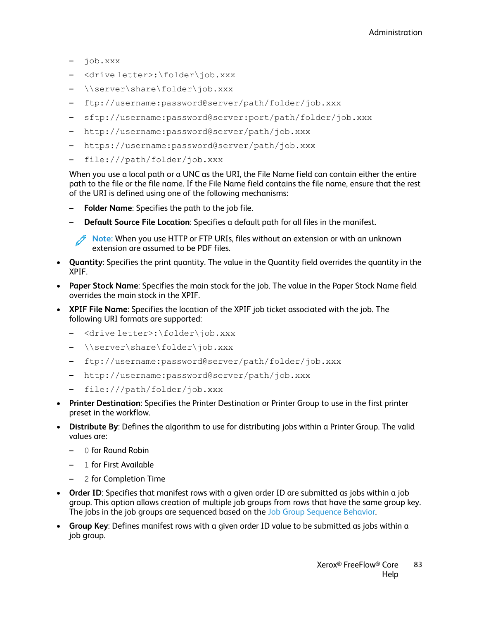- job.xxx
- <drive letter>:\folder\job.xxx
- \\server\share\folder\job.xxx
- ftp://username:password@server/path/folder/job.xxx
- sftp://username:password@server:port/path/folder/job.xxx
- http://username:password@server/path/job.xxx
- https://username:password@server/path/job.xxx
- file:///path/folder/job.xxx

When you use a local path or a UNC as the URI, the File Name field can contain either the entire path to the file or the file name. If the File Name field contains the file name, ensure that the rest of the URI is defined using one of the following mechanisms:

- **Folder Name**: Specifies the path to the job file.
- **Default Source File Location**: Specifies a default path for all files in the manifest.

**Note:** When you use HTTP or FTP URIs, files without an extension or with an unknown extension are assumed to be PDF files.

- **Quantity**: Specifies the print quantity. The value in the Quantity field overrides the quantity in the XPIF.
- **Paper Stock Name**: Specifies the main stock for the job. The value in the Paper Stock Name field overrides the main stock in the XPIF.
- **XPIF File Name**: Specifies the location of the XPIF job ticket associated with the job. The following URI formats are supported:
	- <drive letter>:\folder\job.xxx
	- \\server\share\folder\job.xxx
	- ftp://username:password@server/path/folder/job.xxx
	- http://username:password@server/path/job.xxx
	- file:///path/folder/job.xxx
- **Printer Destination**: Specifies the Printer Destination or Printer Group to use in the first printer preset in the workflow.
- **Distribute By**: Defines the algorithm to use for distributing jobs within a Printer Group. The valid values are:
	- 0 for Round Robin
	- 1 for First Available
	- 2 for Completion Time
- **Order ID**: Specifies that manifest rows with a given order ID are submitted as jobs within a job group. This option allows creation of multiple job groups from rows that have the same group key. The jobs in the job groups are sequenced based on the Job Group [Sequence](#page-71-0) Behavior.
- **Group Key**: Defines manifest rows with a given order ID value to be submitted as jobs within a job group.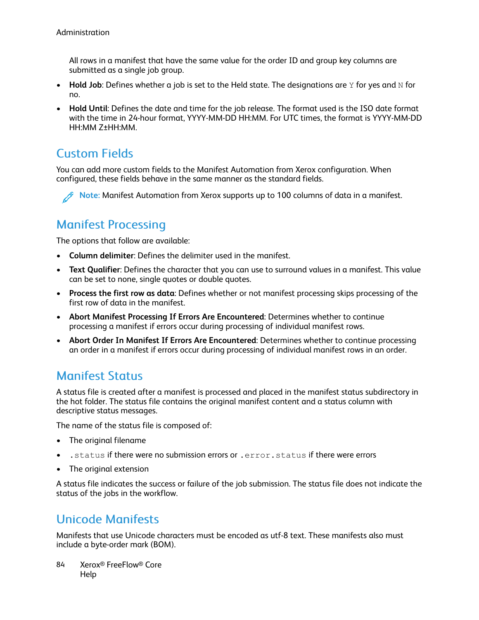All rows in a manifest that have the same value for the order ID and group key columns are submitted as a single job group.

- **Hold Job**: Defines whether a job is set to the Held state. The designations are  $Y$  for yes and  $N$  for no.
- **Hold Until**: Defines the date and time for the job release. The format used is the ISO date format with the time in 24-hour format, YYYY-MM-DD HH:MM. For UTC times, the format is YYYY-MM-DD HH:MM Z±HH:MM.

### Custom Fields

You can add more custom fields to the Manifest Automation from Xerox configuration. When configured, these fields behave in the same manner as the standard fields.

**Note:** Manifest Automation from Xerox supports up to 100 columns of data in a manifest.

#### Manifest Processing

The options that follow are available:

- **Column delimiter**: Defines the delimiter used in the manifest.
- **Text Qualifier**: Defines the character that you can use to surround values in a manifest. This value can be set to none, single quotes or double quotes.
- **Process the first row as data**: Defines whether or not manifest processing skips processing of the first row of data in the manifest.
- **Abort Manifest Processing If Errors Are Encountered**: Determines whether to continue processing a manifest if errors occur during processing of individual manifest rows.
- **Abort Order In Manifest If Errors Are Encountered**: Determines whether to continue processing an order in a manifest if errors occur during processing of individual manifest rows in an order.

#### Manifest Status

A status file is created after a manifest is processed and placed in the manifest status subdirectory in the hot folder. The status file contains the original manifest content and a status column with descriptive status messages.

The name of the status file is composed of:

- The original filename
- .status if there were no submission errors or .error.status if there were errors
- The original extension

A status file indicates the success or failure of the job submission. The status file does not indicate the status of the jobs in the workflow.

#### Unicode Manifests

Manifests that use Unicode characters must be encoded as utf-8 text. These manifests also must include a byte-order mark (BOM).

84 Xerox® FreeFlow® Core **Help**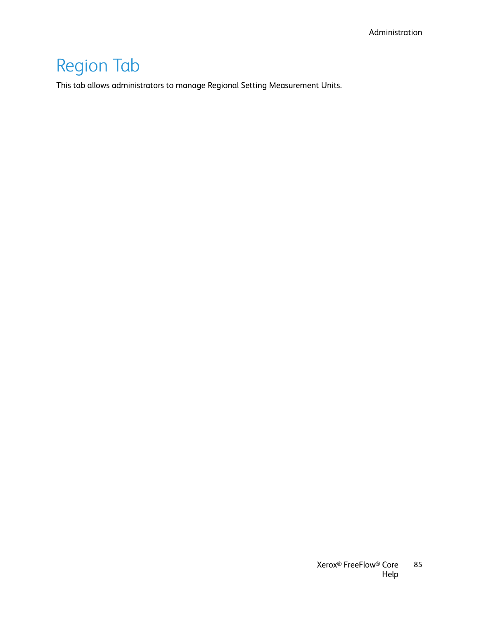# <span id="page-84-0"></span>Region Tab

This tab allows administrators to manage Regional Setting Measurement Units.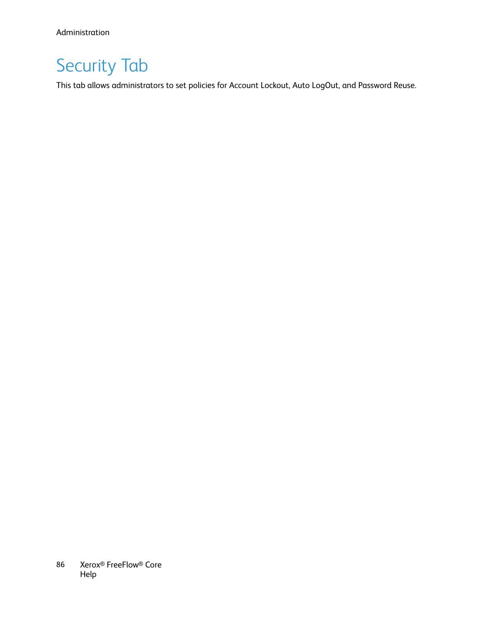[Administration](#page-78-0)

### <span id="page-85-0"></span>Security Tab

This tab allows administrators to set policies for Account Lockout, Auto LogOut, and Password Reuse.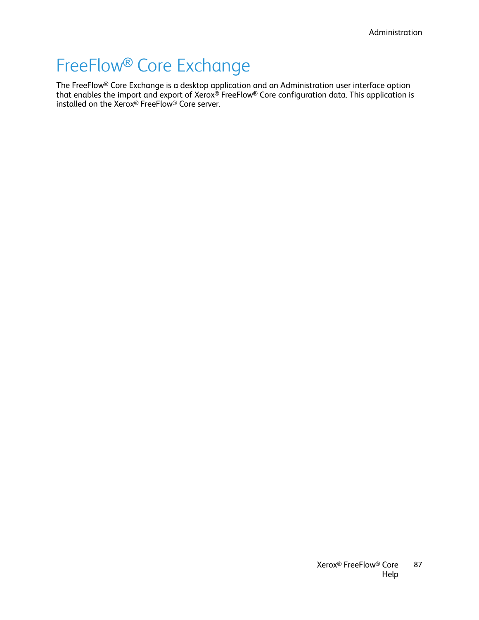### <span id="page-86-0"></span>FreeFlow® Core Exchange

The FreeFlow® Core Exchange is a desktop application and an Administration user interface option that enables the import and export of Xerox® FreeFlow® Core configuration data. This application is installed on the Xerox® FreeFlow® Core server.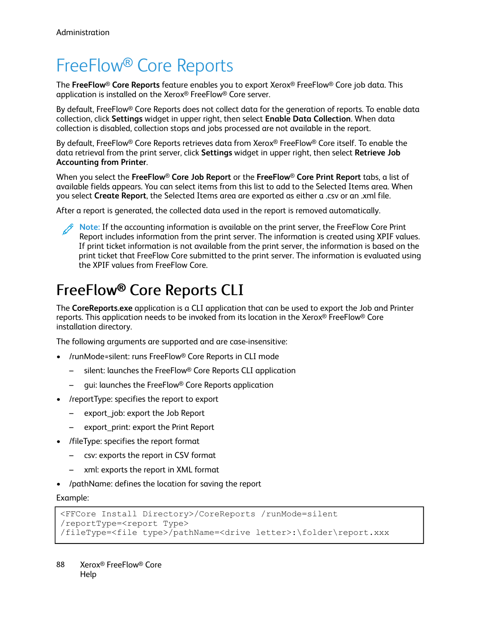### <span id="page-87-0"></span>FreeFlow® Core Reports

The **FreeFlow**® **Core Reports** feature enables you to export Xerox® FreeFlow® Core job data. This application is installed on the Xerox® FreeFlow® Core server.

By default, FreeFlow® Core Reports does not collect data for the generation of reports. To enable data collection, click **Settings** widget in upper right, then select **Enable Data Collection**. When data collection is disabled, collection stops and jobs processed are not available in the report.

By default, FreeFlow® Core Reports retrieves data from Xerox® FreeFlow® Core itself. To enable the data retrieval from the print server, click **Settings** widget in upper right, then select **Retrieve Job Accounting from Printer**.

When you select the **FreeFlow**® **Core Job Report** or the **FreeFlow**® **Core Print Report** tabs, a list of available fields appears. You can select items from this list to add to the Selected Items area. When you select **Create Report**, the Selected Items area are exported as either a .csv or an .xml file.

After a report is generated, the collected data used in the report is removed automatically.



**Note:** If the accounting information is available on the print server, the FreeFlow Core Print Report includes information from the print server. The information is created using XPIF values. If print ticket information is not available from the print server, the information is based on the print ticket that FreeFlow Core submitted to the print server. The information is evaluated using the XPIF values from FreeFlow Core.

### FreeFlow® Core Reports CLI

The **CoreReports.exe** application is a CLI application that can be used to export the Job and Printer reports. This application needs to be invoked from its location in the Xerox® FreeFlow® Core installation directory.

The following arguments are supported and are case-insensitive:

- /runMode=silent: runs FreeFlow® Core Reports in CLI mode
	- silent: launches the FreeFlow® Core Reports CLI application
	- gui: launches the FreeFlow® Core Reports application
- /reportType: specifies the report to export
	- export\_job: export the Job Report
	- export\_print: export the Print Report
- /fileType: specifies the report format
	- csv: exports the report in CSV format
	- xml: exports the report in XML format
- /pathName: defines the location for saving the report

Example:

```
<FFCore Install Directory>/CoreReports /runMode=silent
/reportType=<report Type>
/fileType=<file type>/pathName=<drive letter>:\folder\report.xxx
```
88 Xerox<sup>®</sup> FreeFlow<sup>®</sup> Core **Help**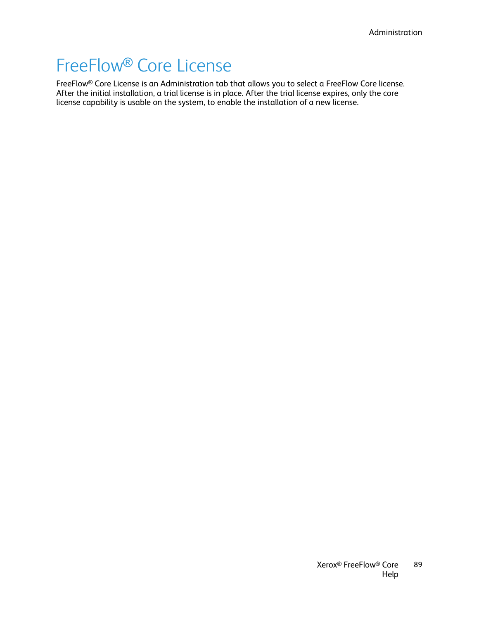### <span id="page-88-0"></span>FreeFlow® Core License

FreeFlow® Core License is an Administration tab that allows you to select a FreeFlow Core license. After the initial installation, a trial license is in place. After the trial license expires, only the core license capability is usable on the system, to enable the installation of a new license.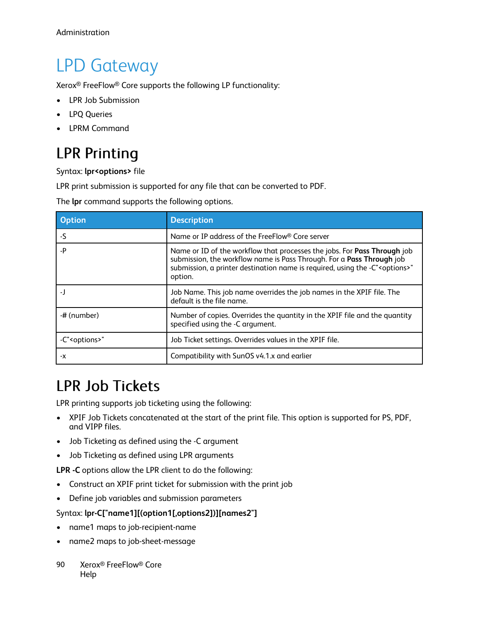# <span id="page-89-0"></span>LPD Gateway

Xerox® FreeFlow® Core supports the following LP functionality:

- LPR Job Submission
- LPQ Queries
- LPRM Command

### LPR Printing

Syntax: **lpr<options>** file

LPR print submission is supported for any file that can be converted to PDF.

The **lpr** command supports the following options.

| <b>Option</b>            | <b>Description</b>                                                                                                                                                                                                                            |
|--------------------------|-----------------------------------------------------------------------------------------------------------------------------------------------------------------------------------------------------------------------------------------------|
| $-S$                     | Name or IP address of the FreeFlow® Core server                                                                                                                                                                                               |
| -P                       | Name or ID of the workflow that processes the jobs. For Pass Through job<br>submission, the workflow name is Pass Through. For a Pass Through job<br>submission, a printer destination name is required, using the -C" < options>"<br>option. |
| $\mathbf{-}$             | Job Name. This job name overrides the job names in the XPIF file. The<br>default is the file name.                                                                                                                                            |
| -# (number)              | Number of copies. Overrides the quantity in the XPIF file and the quantity<br>specified using the -C argument.                                                                                                                                |
| -C" <options>"</options> | Job Ticket settings. Overrides values in the XPIF file.                                                                                                                                                                                       |
| -х                       | Compatibility with SunOS v4.1.x and earlier                                                                                                                                                                                                   |

### LPR Job Tickets

LPR printing supports job ticketing using the following:

- XPIF Job Tickets concatenated at the start of the print file. This option is supported for PS, PDF, and VIPP files.
- Job Ticketing as defined using the -C argument
- Job Ticketing as defined using LPR arguments

**LPR -C** options allow the LPR client to do the following:

- Construct an XPIF print ticket for submission with the print job
- Define job variables and submission parameters

#### Syntax: **lpr-C["name1][(option1[,options2])][names2"]**

- name1 maps to job-recipient-name
- name2 maps to job-sheet-message
- 90 Xerox® FreeFlow® Core Help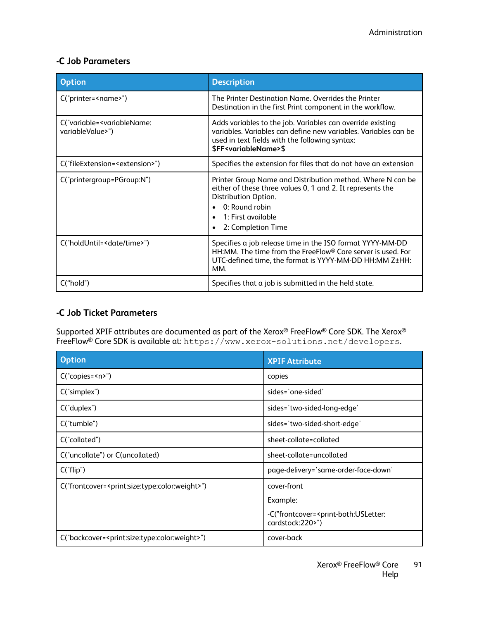#### **-C Job Parameters**

| <b>Option</b>                                                         | <b>Description</b>                                                                                                                                                                                                      |
|-----------------------------------------------------------------------|-------------------------------------------------------------------------------------------------------------------------------------------------------------------------------------------------------------------------|
| C("printer= <name>")</name>                                           | The Printer Destination Name, Overrides the Printer<br>Destination in the first Print component in the workflow.                                                                                                        |
| C("variable= <variablename:<br>variableValue&gt;")</variablename:<br> | Adds variables to the job. Variables can override existing<br>variables. Variables can define new variables. Variables can be<br>used in text fields with the following syntax:<br>\$FF <variablename>\$</variablename> |
| C("fileExtension= <extension>")</extension>                           | Specifies the extension for files that do not have an extension                                                                                                                                                         |
| C("printergroup=PGroup:N")                                            | Printer Group Name and Distribution method. Where N can be<br>either of these three values 0, 1 and 2. It represents the<br>Distribution Option.<br>0: Round robin<br>1: First available<br>2: Completion Time          |
| C("holdUntil= <date time="">")</date>                                 | Specifies a job release time in the ISO format YYYY-MM-DD<br>HH:MM. The time from the FreeFlow® Core server is used. For<br>UTC-defined time, the format is YYYY-MM-DD HH:MM Z±HH:<br>MM.                               |
| C("hold")                                                             | Specifies that a job is submitted in the held state.                                                                                                                                                                    |

#### **-C Job Ticket Parameters**

Supported XPIF attributes are documented as part of the Xerox® FreeFlow® Core SDK. The Xerox® FreeFlow® Core SDK is available at: https://www.xerox-solutions.net/developers.

| <b>Option</b>                                                                  | <b>XPIF Attribute</b>                                                                  |
|--------------------------------------------------------------------------------|----------------------------------------------------------------------------------------|
| $C("copies=")$                                                                 | copies                                                                                 |
| C("simplex")                                                                   | sides='one-sided'                                                                      |
| C("duplex")                                                                    | sides='two-sided-long-edge'                                                            |
| C("tumble")                                                                    | sides='two-sided-short-edge'                                                           |
| C("collated")                                                                  | sheet-collate=collated                                                                 |
| C("uncollate") or C(uncollated)                                                | sheet-collate=uncollated                                                               |
| C("flip")                                                                      | page-delivery='same-order-face-down'                                                   |
| C("frontcover= <print:size:type:color:weight>")</print:size:type:color:weight> | cover-front                                                                            |
|                                                                                | Example:                                                                               |
|                                                                                | -C("frontcover= <print-both:usletter:<br>cardstock:220&gt;")</print-both:usletter:<br> |
| C("backcover= <print:size:type:color:weight>")</print:size:type:color:weight>  | cover-back                                                                             |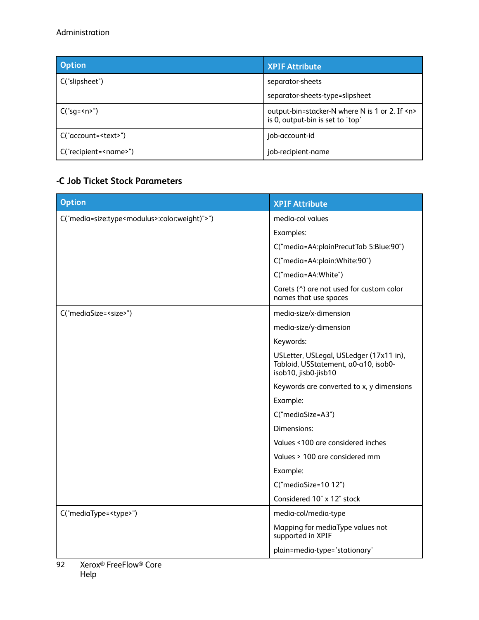#### [Administration](#page-78-0)

| <b>Option</b>                 | <b>XPIF Attribute</b>                                                                   |
|-------------------------------|-----------------------------------------------------------------------------------------|
| C("slipsheet")                | separator-sheets                                                                        |
|                               | separator-sheets-type=slipsheet                                                         |
| $C("sq = ''')$                | output-bin=stacker-N where N is 1 or 2. If <n><br/>is 0, output-bin is set to 'top'</n> |
| $C("account=**")$             | job-account-id                                                                          |
| C("recipient= <name>")</name> | job-recipient-name                                                                      |

#### **-C Job Ticket Stock Parameters**

| <b>Option</b>                                               | <b>XPIF Attribute</b>                                                                                   |
|-------------------------------------------------------------|---------------------------------------------------------------------------------------------------------|
| C("media=size:type <modulus>:color:weight)"&gt;")</modulus> | media-col values                                                                                        |
|                                                             | Examples:                                                                                               |
|                                                             | C("media=A4:plainPrecutTab 5:Blue:90")                                                                  |
|                                                             | C("media=A4:plain:White:90")                                                                            |
|                                                             | C("media=A4:White")                                                                                     |
|                                                             | Carets (^) are not used for custom color<br>names that use spaces                                       |
| C("mediaSize= <size>")</size>                               | media-size/x-dimension                                                                                  |
|                                                             | media-size/y-dimension                                                                                  |
|                                                             | Keywords:                                                                                               |
|                                                             | USLetter, USLegal, USLedger (17x11 in),<br>Tabloid, USStatement, a0-a10, isob0-<br>isob10, jisb0-jisb10 |
|                                                             | Keywords are converted to x, y dimensions                                                               |
|                                                             | Example:                                                                                                |
|                                                             | C("mediaSize=A3")                                                                                       |
|                                                             | Dimensions:                                                                                             |
|                                                             | Values <100 are considered inches                                                                       |
|                                                             | Values > 100 are considered mm                                                                          |
|                                                             | Example:                                                                                                |
|                                                             | C("mediaSize=10 12")                                                                                    |
|                                                             | Considered 10" x 12" stock                                                                              |
| C("mediaType= <type>")</type>                               | media-col/media-type                                                                                    |
|                                                             | Mapping for mediaType values not<br>supported in XPIF                                                   |
|                                                             | plain=media-type='stationary'                                                                           |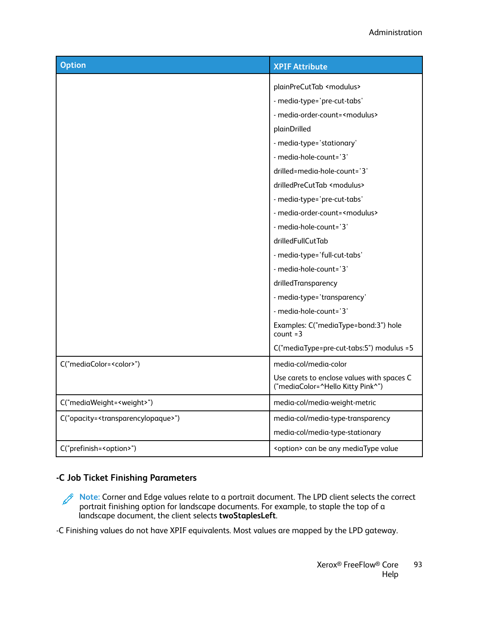| <b>Option</b>                                             | <b>XPIF Attribute</b>                                                           |
|-----------------------------------------------------------|---------------------------------------------------------------------------------|
|                                                           | plainPreCutTab <modulus></modulus>                                              |
|                                                           | - media-type='pre-cut-tabs'                                                     |
|                                                           | - media-order-count= <modulus></modulus>                                        |
|                                                           | plainDrilled                                                                    |
|                                                           | - media-type='stationary'                                                       |
|                                                           | - media-hole-count='3'                                                          |
|                                                           | drilled=media-hole-count='3'                                                    |
|                                                           | drilledPreCutTab <modulus></modulus>                                            |
|                                                           | - media-type='pre-cut-tabs'                                                     |
|                                                           | - media-order-count= <modulus></modulus>                                        |
|                                                           | - media-hole-count='3'                                                          |
|                                                           | drilledFullCutTab                                                               |
|                                                           | - media-type='full-cut-tabs'                                                    |
|                                                           | - media-hole-count='3'                                                          |
|                                                           | drilledTransparency                                                             |
|                                                           | - media-type='transparency'                                                     |
|                                                           | - media-hole-count='3'                                                          |
|                                                           | Examples: C("mediaType=bond:3") hole<br>$count = 3$                             |
|                                                           | C("mediaType=pre-cut-tabs:5") modulus =5                                        |
| C("mediaColor= <color>")</color>                          | media-col/media-color                                                           |
|                                                           | Use carets to enclose values with spaces C<br>("mediaColor=^Hello Kitty Pink^") |
| C("mediaWeight= <weight>")</weight>                       | media-col/media-weight-metric                                                   |
| C("opacity= <transparencylopaque>")</transparencylopaque> | media-col/media-type-transparency                                               |
|                                                           | media-col/media-type-stationary                                                 |
| C("prefinish= <option>")</option>                         | <option> can be any mediaType value</option>                                    |

#### **-C Job Ticket Finishing Parameters**

P **Note:** Corner and Edge values relate to a portrait document. The LPD client selects the correct portrait finishing option for landscape documents. For example, to staple the top of a landscape document, the client selects **twoStaplesLeft**.

-C Finishing values do not have XPIF equivalents. Most values are mapped by the LPD gateway.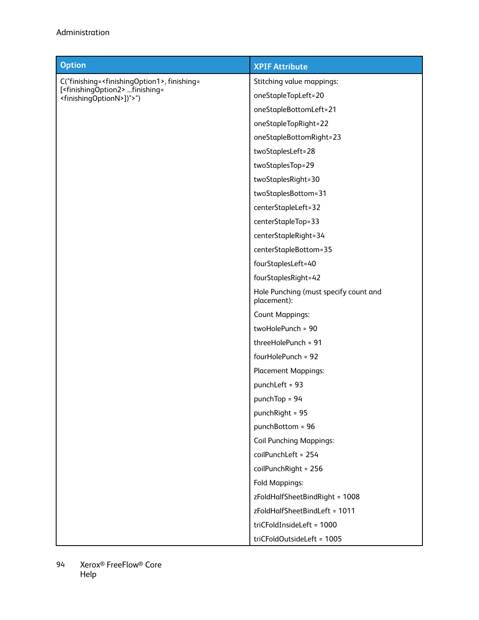| <b>Option</b>                                                                                         | <b>XPIF Attribute</b>                                |
|-------------------------------------------------------------------------------------------------------|------------------------------------------------------|
| C("finishing= <finishingoption1>, finishing=</finishingoption1>                                       | Stitching value mappings:                            |
| [ <finishingoption2> finishing=<br/><finishingoptionn>])"&gt;")</finishingoptionn></finishingoption2> | oneStapleTopLeft=20                                  |
|                                                                                                       | oneStapleBottomLeft=21                               |
|                                                                                                       | oneStapleTopRight=22                                 |
|                                                                                                       | oneStapleBottomRight=23                              |
|                                                                                                       | twoStaplesLeft=28                                    |
|                                                                                                       | twoStaplesTop=29                                     |
|                                                                                                       | twoStaplesRight=30                                   |
|                                                                                                       | twoStaplesBottom=31                                  |
|                                                                                                       | centerStapleLeft=32                                  |
|                                                                                                       | centerStapleTop=33                                   |
|                                                                                                       | centerStapleRight=34                                 |
|                                                                                                       | centerStapleBottom=35                                |
|                                                                                                       | fourStaplesLeft=40                                   |
|                                                                                                       | fourStaplesRight=42                                  |
|                                                                                                       | Hole Punching (must specify count and<br>placement): |
|                                                                                                       | <b>Count Mappings:</b>                               |
|                                                                                                       | twoHolePunch = 90                                    |
|                                                                                                       | threeHolePunch = 91                                  |
|                                                                                                       | fourHolePunch = 92                                   |
|                                                                                                       | <b>Placement Mappings:</b>                           |
|                                                                                                       | punchLeft = 93                                       |
|                                                                                                       | punchTop = 94                                        |
|                                                                                                       | punchRight = 95                                      |
|                                                                                                       | punchBottom = 96                                     |
|                                                                                                       | <b>Coil Punching Mappings:</b>                       |
|                                                                                                       | coilPunchLeft = 254                                  |
|                                                                                                       | coilPunchRight = 256                                 |
|                                                                                                       | Fold Mappings:                                       |
|                                                                                                       | zFoldHalfSheetBindRight = 1008                       |
|                                                                                                       | zFoldHalfSheetBindLeft = 1011                        |
|                                                                                                       | triCFoldInsideLeft = 1000                            |
|                                                                                                       | triCFoldOutsideLeft = 1005                           |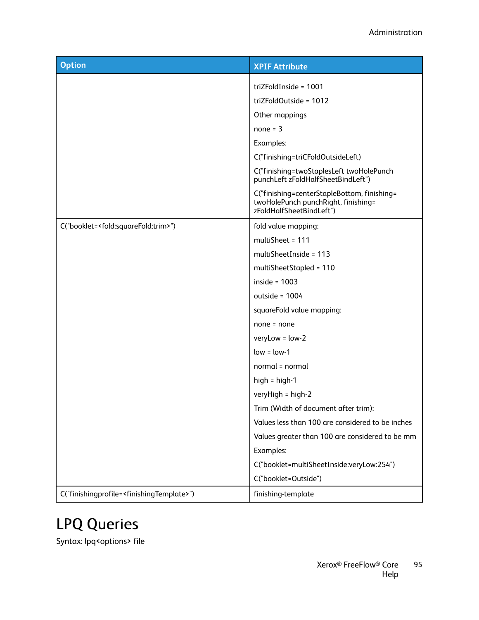| <b>Option</b>                                                  | <b>XPIF Attribute</b>                                                                                          |
|----------------------------------------------------------------|----------------------------------------------------------------------------------------------------------------|
|                                                                | triZFoldInside = 1001                                                                                          |
|                                                                | triZFoldOutside = 1012                                                                                         |
|                                                                | Other mappings                                                                                                 |
|                                                                | $none = 3$                                                                                                     |
|                                                                | Examples:                                                                                                      |
|                                                                | C("finishing=triCFoldOutsideLeft)                                                                              |
|                                                                | C("finishing=twoStaplesLeft twoHolePunch<br>punchLeft zFoldHalfSheetBindLeft")                                 |
|                                                                | C("finishing=centerStapleBottom, finishing=<br>twoHolePunch punchRight, finishing=<br>zFoldHalfSheetBindLeft") |
| C("booklet= <fold:squarefold:trim>")</fold:squarefold:trim>    | fold value mapping:                                                                                            |
|                                                                | multiSheet = 111                                                                                               |
|                                                                | multiSheetInside = 113                                                                                         |
|                                                                | multiSheetStapled = 110                                                                                        |
|                                                                | inside = $1003$                                                                                                |
|                                                                | outside = 1004                                                                                                 |
|                                                                | squareFold value mapping:                                                                                      |
|                                                                | none = none                                                                                                    |
|                                                                | veryLow = low-2                                                                                                |
|                                                                | $low = low-1$                                                                                                  |
|                                                                | normal = normal                                                                                                |
|                                                                | high = $high-1$                                                                                                |
|                                                                | veryHigh = high-2                                                                                              |
|                                                                | Trim (Width of document after trim):                                                                           |
|                                                                | Values less than 100 are considered to be inches                                                               |
|                                                                | Values greater than 100 are considered to be mm                                                                |
|                                                                | Examples:                                                                                                      |
|                                                                | C("booklet=multiSheetInside:veryLow:254")                                                                      |
|                                                                | C("booklet=Outside")                                                                                           |
| C("finishingprofile= <finishingtemplate>")</finishingtemplate> | finishing-template                                                                                             |

### LPQ Queries

Syntax: lpq<options> file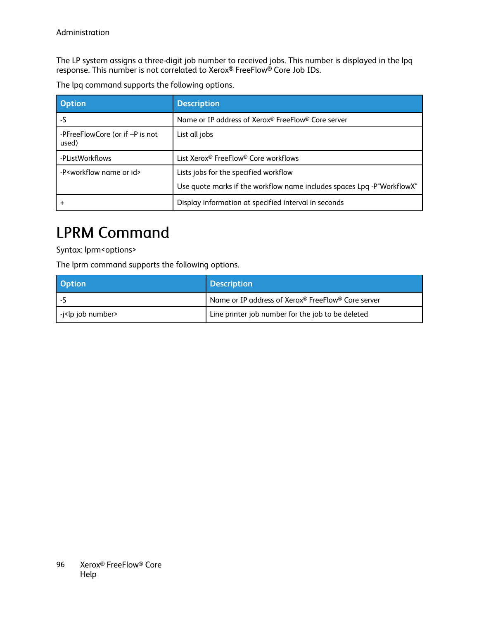The LP system assigns a three-digit job number to received jobs. This number is displayed in the lpq response. This number is not correlated to Xerox® FreeFlow® Core Job IDs.

The lpq command supports the following options.

| <b>Option</b>                                | <b>Description</b>                                                         |
|----------------------------------------------|----------------------------------------------------------------------------|
| -S                                           | Name or IP address of Xerox <sup>®</sup> FreeFlow <sup>®</sup> Core server |
| -PFreeFlowCore (or if -P is not<br>used)     | List all jobs                                                              |
| -PListWorkflows                              | List Xerox <sup>®</sup> FreeFlow <sup>®</sup> Core workflows               |
| -P <workflow id="" name="" or=""></workflow> | Lists jobs for the specified workflow                                      |
|                                              | Use quote marks if the workflow name includes spaces Lpq -P"WorkflowX"     |
| $\ddot{}$                                    | Display information at specified interval in seconds                       |

### LPRM Command

Syntax: lprm<options>

The lprm command supports the following options.

| <b>Option</b>                 | <b>Description</b>                                 |
|-------------------------------|----------------------------------------------------|
|                               | Name or IP address of Xerox® FreeFlow® Core server |
| -j <lp job="" number=""></lp> | Line printer job number for the job to be deleted  |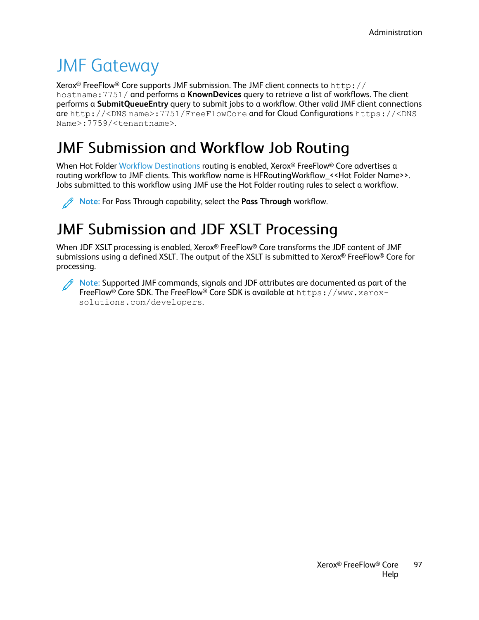# <span id="page-96-0"></span>JMF Gateway

Xerox<sup>®</sup> FreeFlow<sup>®</sup> Core supports JMF submission. The JMF client connects to http:// hostname:7751/ and performs a **KnownDevices** query to retrieve a list of workflows. The client performs a **SubmitQueueEntry** query to submit jobs to a workflow. Other valid JMF client connections are http://<DNS name>:7751/FreeFlowCore and for Cloud Configurations https://<DNS Name>:7759/<tenantname>.

### JMF Submission and Workflow Job Routing

When Hot Folder Workflow [Destinations](#page-81-0) routing is enabled, Xerox® FreeFlow® Core advertises a routing workflow to JMF clients. This workflow name is HFRoutingWorkflow <<Hot Folder Name>>. Jobs submitted to this workflow using JMF use the Hot Folder routing rules to select a workflow.

**Note:** For Pass Through capability, select the **Pass Through** workflow.

### JMF Submission and JDF XSLT Processing

When JDF XSLT processing is enabled, Xerox<sup>®</sup> FreeFlow<sup>®</sup> Core transforms the JDF content of JMF submissions using a defined XSLT. The output of the XSLT is submitted to Xerox® FreeFlow® Core for processing.

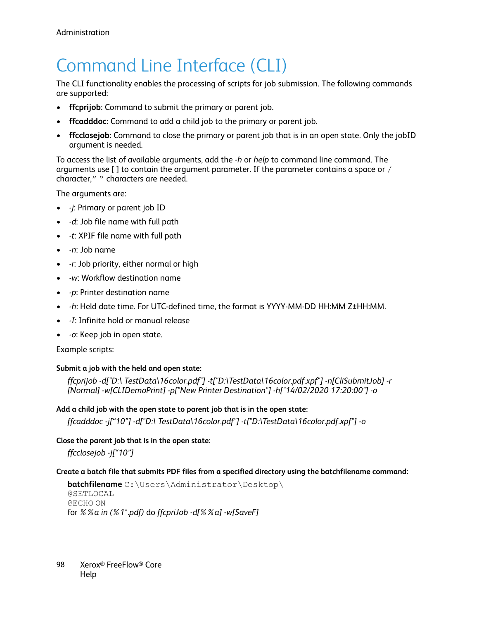# <span id="page-97-0"></span>Command Line Interface (CLI)

The CLI functionality enables the processing of scripts for job submission. The following commands are supported:

- **ffcprijob**: Command to submit the primary or parent job.
- **ffcadddoc**: Command to add a child job to the primary or parent job.
- **ffcclosejob**: Command to close the primary or parent job that is in an open state. Only the jobID argument is needed.

To access the list of available arguments, add the *-h* or *help* to command line command. The arguments use  $\lceil \cdot \rceil$  to contain the argument parameter. If the parameter contains a space or / character," " characters are needed.

The arguments are:

- *-j*: Primary or parent job ID
- *-d*: Job file name with full path
- *-t*: XPIF file name with full path
- *-n*: Job name
- *-r*: Job priority, either normal or high
- *-w*: Workflow destination name
- *-p*: Printer destination name
- *-h*: Held date time. For UTC-defined time, the format is YYYY-MM-DD HH:MM Z±HH:MM.
- *-I*: Infinite hold or manual release
- *-o*: Keep job in open state.

#### Example scripts:

#### **Submit a job with the held and open state:**

*ffcprijob -d["D:\ TestData\16color.pdf"] -t["D:\TestData\16color.pdf.xpf"] -n[CliSubmitJob] -r [Normal] -w[CLIDemoPrint] -p["New Printer Destination"] -h["14/02/2020 17:20:00"] -o*

**Add a child job with the open state to parent job that is in the open state:**

*ffcadddoc -j["10"] -d["D:\ TestData\16color.pdf"] -t["D:\TestData\16color.pdf.xpf"] -o*

#### **Close the parent job that is in the open state:**

*ffcclosejob -j["10"]*

#### **Create a batch file that submits PDF files from a specified directory using the batchfilename command:**

**batchfilename** C:\Users\Administrator\Desktop\ **@SETLOCAL** @ECHO ON for *%%a in (%1\*.pdf)* do *ffcpriJob -d[%%a] -w[SaveF]*

98 Xerox® FreeFlow® Core **Help**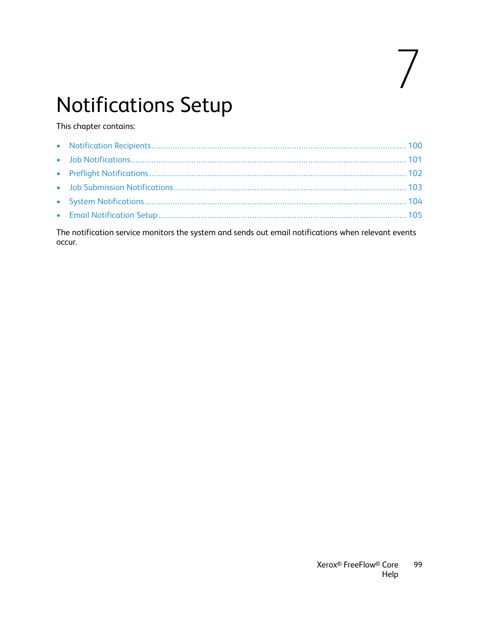# 7

# <span id="page-98-0"></span>Notifications Setup

This chapter contains:

The notification service monitors the system and sends out email notifications when relevant events occur.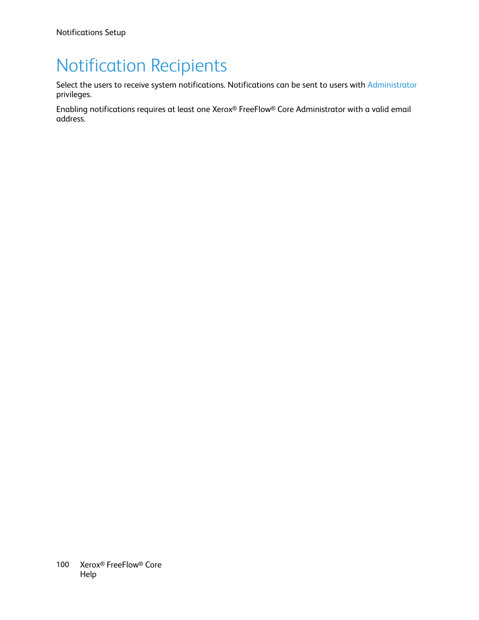# <span id="page-99-0"></span>Notification Recipients

Select the users to receive system notifications. Notifications can be sent to users with [Administrator](#page-9-0) privileges.

Enabling notifications requires at least one Xerox® FreeFlow® Core Administrator with a valid email address.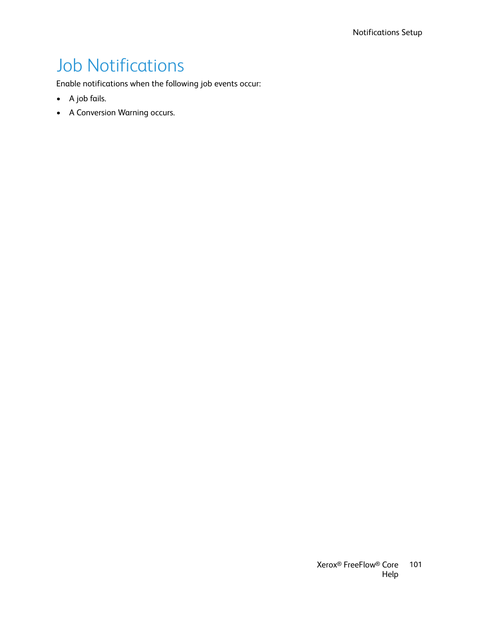# <span id="page-100-0"></span>Job Notifications

Enable notifications when the following job events occur:

- A job fails.
- A Conversion Warning occurs.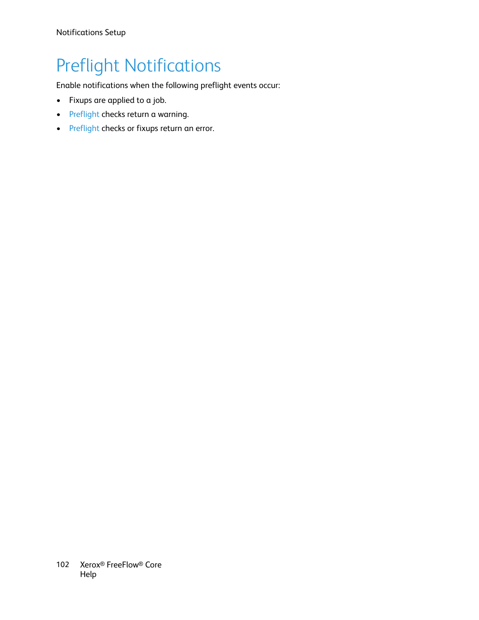# <span id="page-101-0"></span>Preflight Notifications

Enable notifications when the following preflight events occur:

- Fixups are applied to a job.
- [Preflight](#page-34-0) checks return a warning.
- [Preflight](#page-34-0) checks or fixups return an error.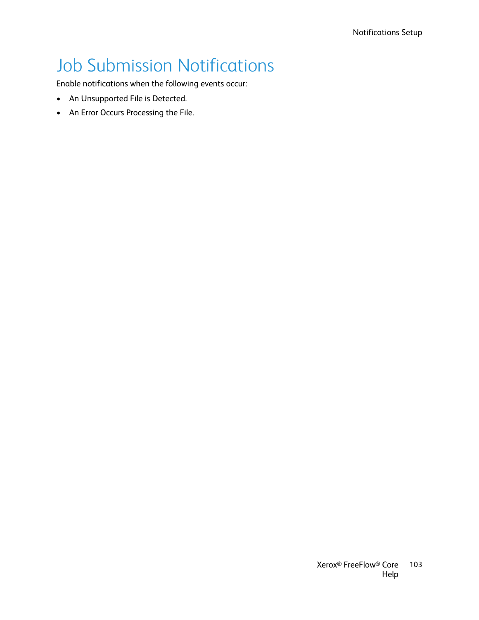# <span id="page-102-0"></span>Job Submission Notifications

Enable notifications when the following events occur:

- An Unsupported File is Detected.
- An Error Occurs Processing the File.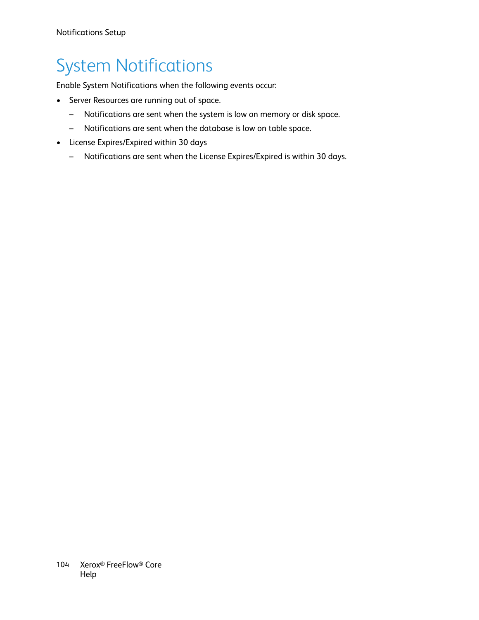# <span id="page-103-0"></span>System Notifications

Enable System Notifications when the following events occur:

- Server Resources are running out of space.
	- Notifications are sent when the system is low on memory or disk space.
	- Notifications are sent when the database is low on table space.
- License Expires/Expired within 30 days
	- Notifications are sent when the License Expires/Expired is within 30 days.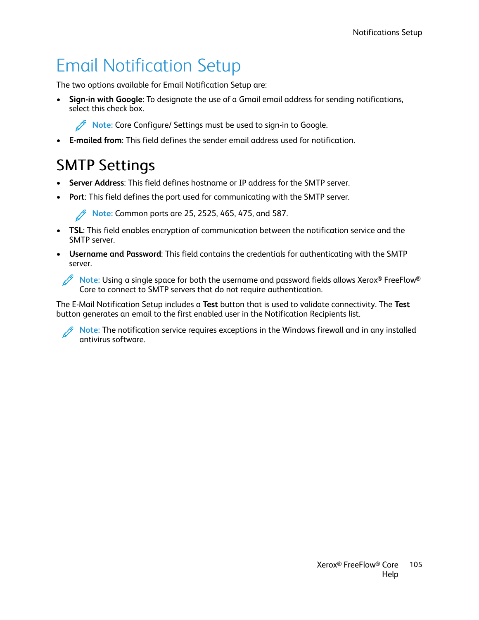# <span id="page-104-0"></span>Email Notification Setup

The two options available for Email Notification Setup are:

• **Sign-in with Google**: To designate the use of a Gmail email address for sending notifications, select this check box.

**Note:** Core Configure/ Settings must be used to sign-in to Google.

• **E-mailed from**: This field defines the sender email address used for notification.

### SMTP Settings

- **Server Address**: This field defines hostname or IP address for the SMTP server.
- **Port**: This field defines the port used for communicating with the SMTP server.

**Note:** Common ports are 25, 2525, 465, 475, and 587.

- **TSL**: This field enables encryption of communication between the notification service and the SMTP server.
- **Username and Password**: This field contains the credentials for authenticating with the SMTP server.

**Note:** Using a single space for both the username and password fields allows Xerox® FreeFlow® Core to connect to SMTP servers that do not require authentication.

The E-Mail Notification Setup includes a **Test** button that is used to validate connectivity. The **Test** button generates an email to the first enabled user in the Notification Recipients list.

**Note:** The notification service requires exceptions in the Windows firewall and in any installed antivirus software.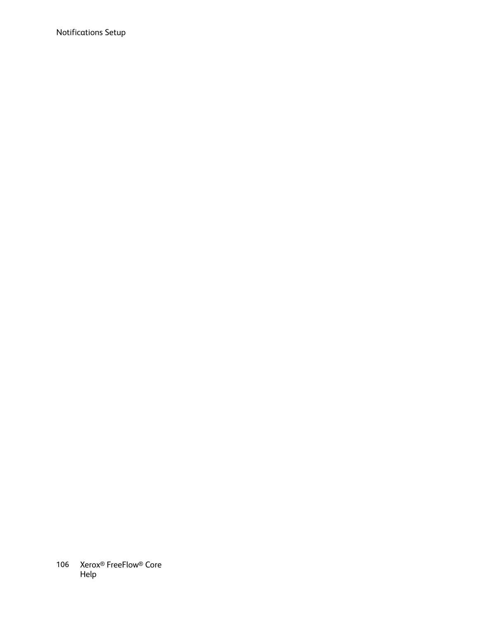[Notifications](#page-98-0) Setup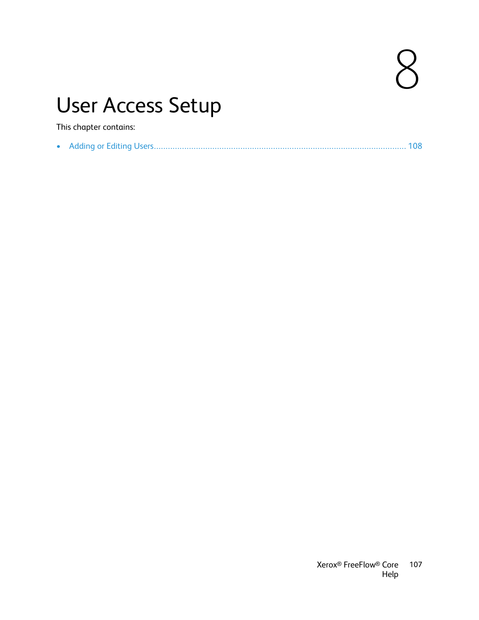

# <span id="page-106-0"></span>User Access Setup

This chapter contains:

|--|--|--|--|--|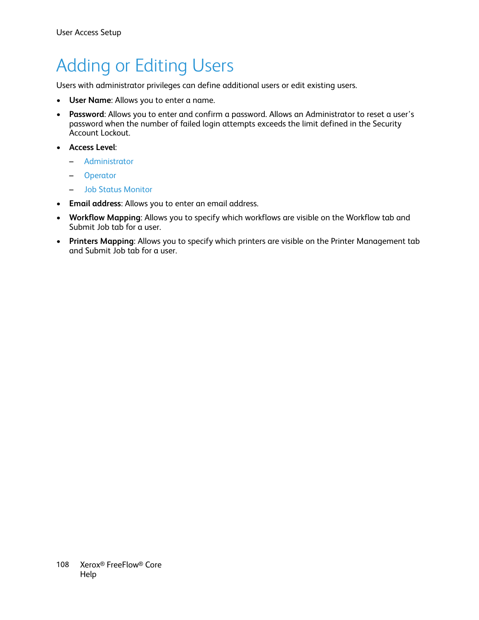# <span id="page-107-0"></span>Adding or Editing Users

Users with administrator privileges can define additional users or edit existing users.

- **User Name**: Allows you to enter a name.
- **Password**: Allows you to enter and confirm a password. Allows an Administrator to reset a user's password when the number of failed login attempts exceeds the limit defined in the Security Account Lockout.
- **Access Level**:
	- [Administrator](#page-9-0)
	- [Operator](#page-10-0)
	- Job Status [Monitor](#page-11-0)
- **Email address**: Allows you to enter an email address.
- **Workflow Mapping**: Allows you to specify which workflows are visible on the Workflow tab and Submit Job tab for a user.
- **Printers Mapping**: Allows you to specify which printers are visible on the Printer Management tab and Submit Job tab for a user.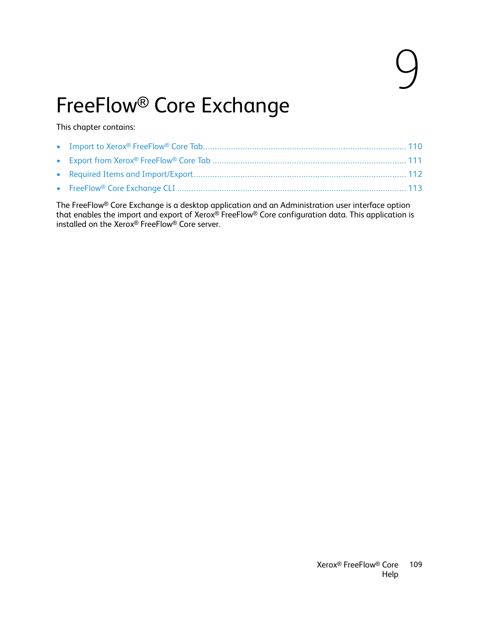# 9

## <span id="page-108-0"></span>FreeFlow® Core Exchange

This chapter contains:

The FreeFlow® Core Exchange is a desktop application and an Administration user interface option that enables the import and export of Xerox® FreeFlow® Core configuration data. This application is installed on the Xerox® FreeFlow® Core server.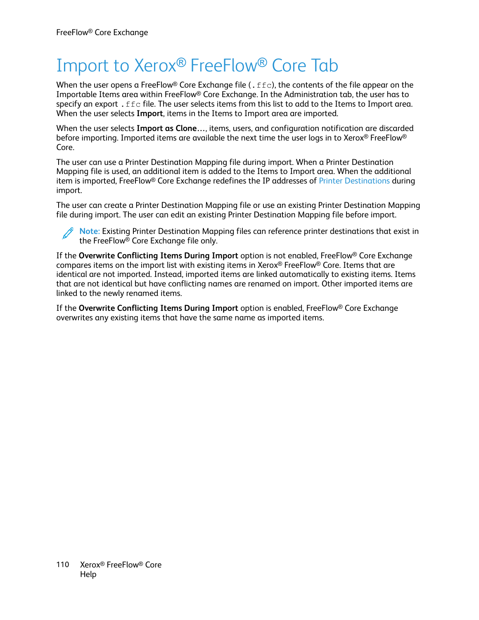#### <span id="page-109-0"></span>Import to Xerox® FreeFlow® Core Tab

When the user opens a FreeFlow® Core Exchange file  $( .ffc)$ , the contents of the file appear on the Importable Items area within FreeFlow® Core Exchange. In the Administration tab, the user has to specify an export . ffc file. The user selects items from this list to add to the Items to Import area. When the user selects **Import**, items in the Items to Import area are imported.

When the user selects **Import as Clone…**, items, users, and configuration notification are discarded before importing. Imported items are available the next time the user logs in to Xerox<sup>®</sup> FreeFlow<sup>®</sup> Core.

The user can use a Printer Destination Mapping file during import. When a Printer Destination Mapping file is used, an additional item is added to the Items to Import area. When the additional item is imported, FreeFlow® Core Exchange redefines the IP addresses of Printer [Destinations](#page-61-0) during import.

The user can create a Printer Destination Mapping file or use an existing Printer Destination Mapping file during import. The user can edit an existing Printer Destination Mapping file before import.

**Note:** Existing Printer Destination Mapping files can reference printer destinations that exist in the FreeFlow® Core Exchange file only.

If the **Overwrite Conflicting Items During Import** option is not enabled, FreeFlow® Core Exchange compares items on the import list with existing items in Xerox® FreeFlow® Core. Items that are identical are not imported. Instead, imported items are linked automatically to existing items. Items that are not identical but have conflicting names are renamed on import. Other imported items are linked to the newly renamed items.

If the **Overwrite Conflicting Items During Import** option is enabled, FreeFlow® Core Exchange overwrites any existing items that have the same name as imported items.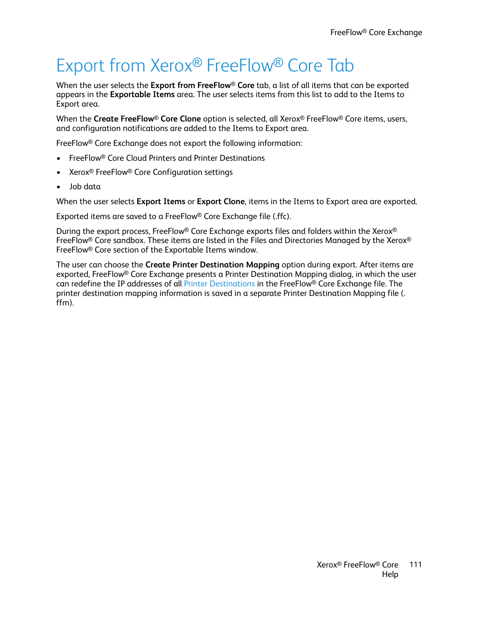#### <span id="page-110-0"></span>Export from Xerox® FreeFlow® Core Tab

When the user selects the **Export from FreeFlow**® **Core** tab, a list of all items that can be exported appears in the **Exportable Items** area. The user selects items from this list to add to the Items to Export area.

When the **Create FreeFlow**® **Core Clone** option is selected, all Xerox® FreeFlow® Core items, users, and configuration notifications are added to the Items to Export area.

FreeFlow® Core Exchange does not export the following information:

- FreeFlow® Core Cloud Printers and Printer Destinations
- Xerox® FreeFlow® Core Configuration settings
- Job data

When the user selects **Export Items** or **Export Clone**, items in the Items to Export area are exported.

Exported items are saved to a FreeFlow® Core Exchange file (.ffc).

During the export process, FreeFlow® Core Exchange exports files and folders within the Xerox® FreeFlow® Core sandbox. These items are listed in the Files and Directories Managed by the Xerox® FreeFlow® Core section of the Exportable Items window.

The user can choose the **Create Printer Destination Mapping** option during export. After items are exported, FreeFlow® Core Exchange presents a Printer Destination Mapping dialog, in which the user can redefine the IP addresses of all Printer [Destinations](#page-61-0) in the FreeFlow® Core Exchange file. The printer destination mapping information is saved in a separate Printer Destination Mapping file (. ffm).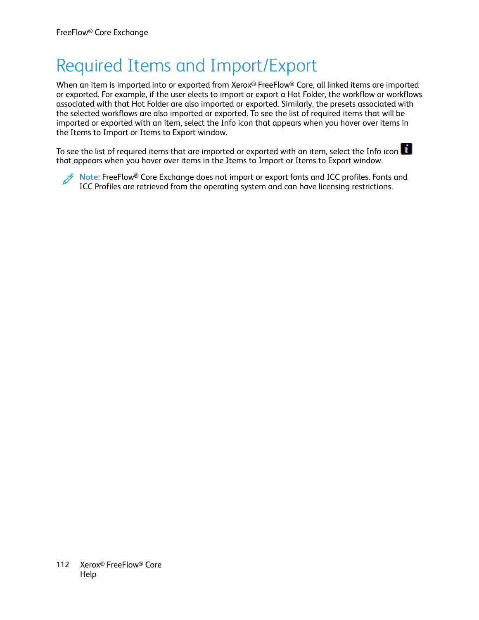#### <span id="page-111-0"></span>Required Items and Import/Export

When an item is imported into or exported from Xerox® FreeFlow® Core, all linked items are imported or exported. For example, if the user elects to import or export a Hot Folder, the workflow or workflows associated with that Hot Folder are also imported or exported. Similarly, the presets associated with the selected workflows are also imported or exported. To see the list of required items that will be imported or exported with an item, select the Info icon that appears when you hover over items in the Items to Import or Items to Export window.

To see the list of required items that are imported or exported with an item, select the Info icon  $\mathbf{i}$ that appears when you hover over items in the Items to Import or Items to Export window.

**Note:** FreeFlow® Core Exchange does not import or export fonts and ICC profiles. Fonts and ICC Profiles are retrieved from the operating system and can have licensing restrictions.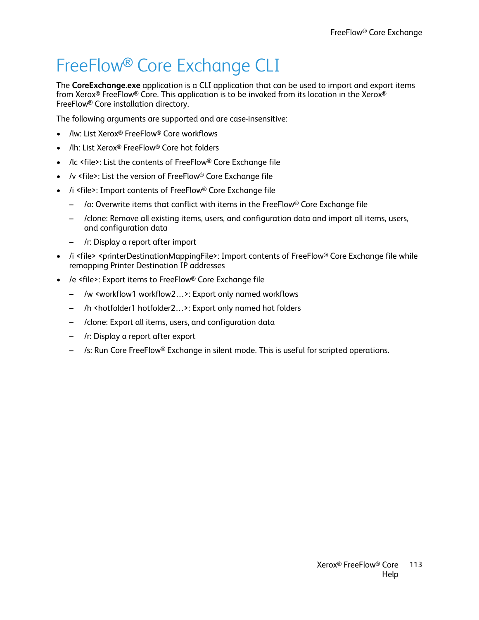#### <span id="page-112-0"></span>FreeFlow® Core Exchange CLI

The **CoreExchange.exe** application is a CLI application that can be used to import and export items from Xerox® FreeFlow® Core. This application is to be invoked from its location in the Xerox® FreeFlow® Core installation directory.

The following arguments are supported and are case-insensitive:

- /lw: List Xerox® FreeFlow® Core workflows
- /lh: List Xerox® FreeFlow® Core hot folders
- /lc <file>: List the contents of FreeFlow® Core Exchange file
- /v <file>: List the version of FreeFlow® Core Exchange file
- /i <file>: Import contents of FreeFlow® Core Exchange file
	- $-$  /o: Overwrite items that conflict with items in the FreeFlow<sup>®</sup> Core Exchange file
	- /clone: Remove all existing items, users, and configuration data and import all items, users, and configuration data
	- /r: Display a report after import
- /i <file> <printerDestinationMappingFile>: Import contents of FreeFlow® Core Exchange file while remapping Printer Destination IP addresses
- /e <file>: Export items to FreeFlow® Core Exchange file
	- /w <workflow1 workflow2…>: Export only named workflows
	- /h <hotfolder1 hotfolder2…>: Export only named hot folders
	- /clone: Export all items, users, and configuration data
	- /r: Display a report after export
	- /s: Run Core FreeFlow® Exchange in silent mode. This is useful for scripted operations.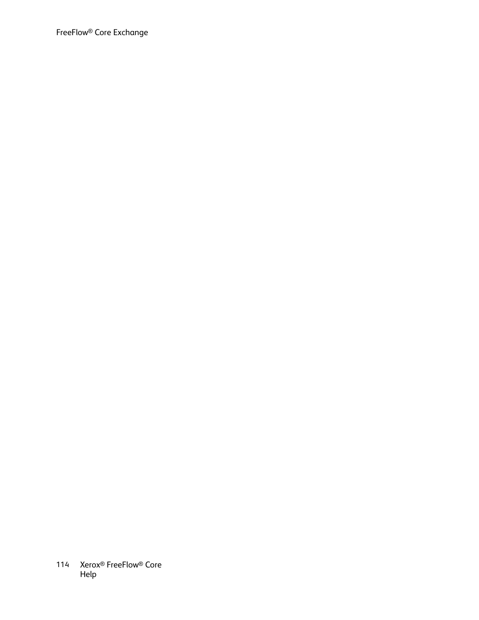FreeFlow® Core [Exchange](#page-108-0)

114 Xerox® FreeFlow® Core **Help**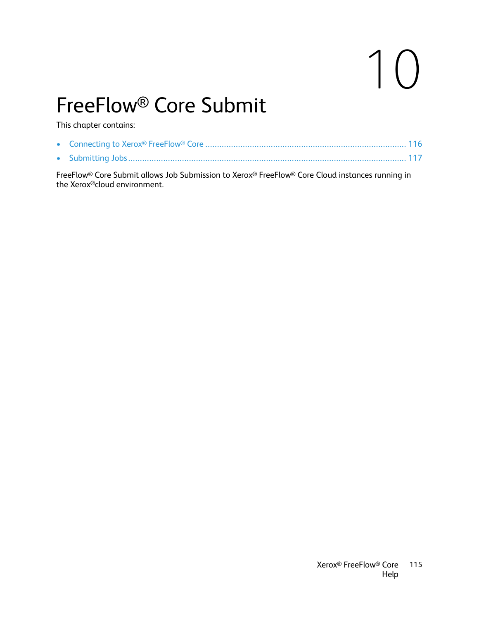# 10

## <span id="page-114-0"></span>FreeFlow® Core Submit

This chapter contains:

FreeFlow® Core Submit allows Job Submission to Xerox® FreeFlow® Core Cloud instances running in the Xerox®cloud environment.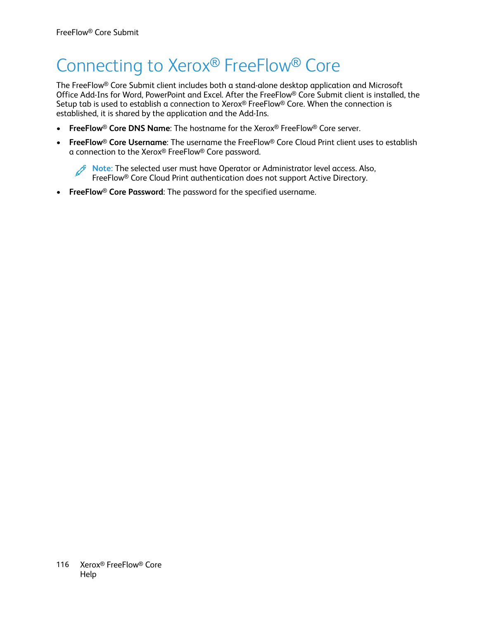#### <span id="page-115-0"></span>Connecting to Xerox® FreeFlow® Core

The FreeFlow® Core Submit client includes both a stand-alone desktop application and Microsoft Office Add-Ins for Word, PowerPoint and Excel. After the FreeFlow® Core Submit client is installed, the Setup tab is used to establish a connection to Xerox® FreeFlow® Core. When the connection is established, it is shared by the application and the Add-Ins.

- **FreeFlow**® **Core DNS Name**: The hostname for the Xerox® FreeFlow® Core server.
- **FreeFlow**® **Core Username**: The username the FreeFlow® Core Cloud Print client uses to establish a connection to the Xerox® FreeFlow® Core password.

**Note:** The selected user must have Operator or Administrator level access. Also, FreeFlow® Core Cloud Print authentication does not support Active Directory.

• **FreeFlow**® **Core Password**: The password for the specified username.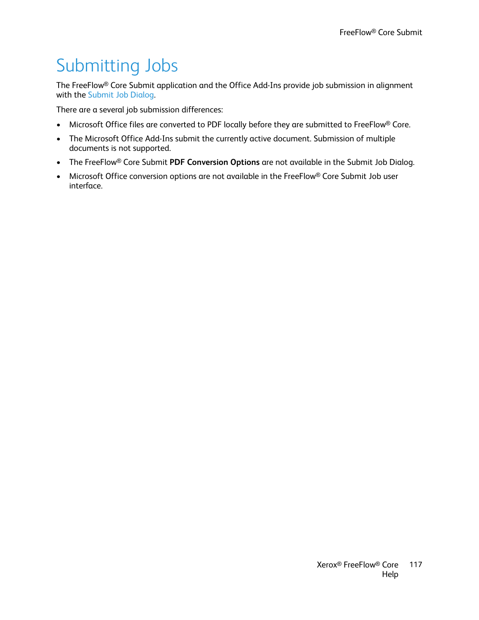### <span id="page-116-0"></span>Submitting Jobs

The FreeFlow® Core Submit application and the Office Add-Ins provide job submission in alignment with the [Submit](#page-13-0) Job Dialog.

There are a several job submission differences:

- Microsoft Office files are converted to PDF locally before they are submitted to FreeFlow® Core.
- The Microsoft Office Add-Ins submit the currently active document. Submission of multiple documents is not supported.
- The FreeFlow® Core Submit **PDF Conversion Options** are not available in the Submit Job Dialog.
- Microsoft Office conversion options are not available in the FreeFlow® Core Submit Job user interface.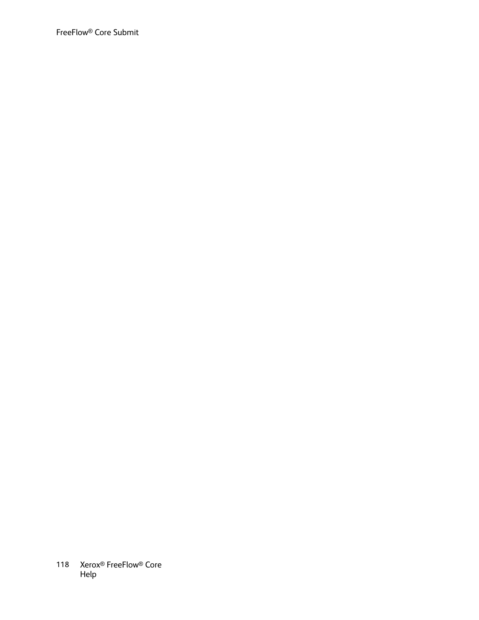[FreeFlow](#page-114-0)® Core Submit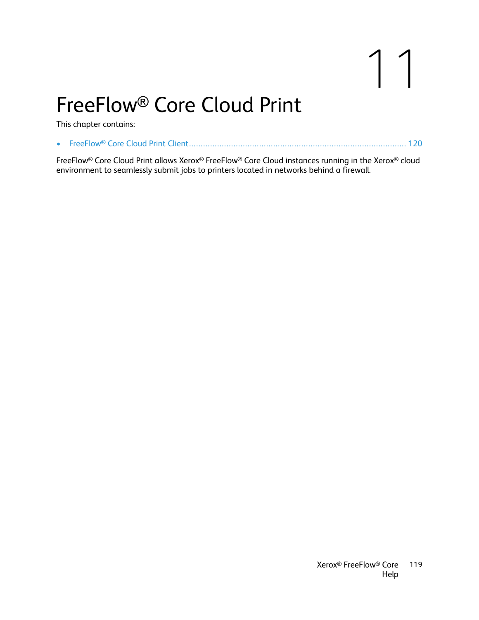## 11

#### <span id="page-118-0"></span>FreeFlow® Core Cloud Print

This chapter contains:

|--|--|--|--|

FreeFlow® Core Cloud Print allows Xerox® FreeFlow® Core Cloud instances running in the Xerox® cloud environment to seamlessly submit jobs to printers located in networks behind a firewall.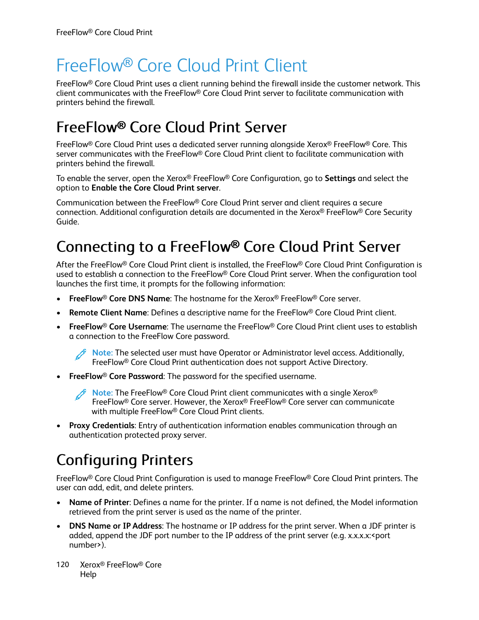#### <span id="page-119-0"></span>FreeFlow® Core Cloud Print Client

FreeFlow® Core Cloud Print uses a client running behind the firewall inside the customer network. This client communicates with the FreeFlow® Core Cloud Print server to facilitate communication with printers behind the firewall.

#### FreeFlow® Core Cloud Print Server

FreeFlow® Core Cloud Print uses a dedicated server running alongside Xerox® FreeFlow® Core. This server communicates with the FreeFlow® Core Cloud Print client to facilitate communication with printers behind the firewall.

To enable the server, open the Xerox® FreeFlow® Core Configuration, go to **Settings** and select the option to **Enable the Core Cloud Print server**.

Communication between the FreeFlow® Core Cloud Print server and client requires a secure connection. Additional configuration details are documented in the Xerox® FreeFlow® Core Security Guide.

#### Connecting to a FreeFlow® Core Cloud Print Server

After the FreeFlow® Core Cloud Print client is installed, the FreeFlow® Core Cloud Print Configuration is used to establish a connection to the FreeFlow® Core Cloud Print server. When the configuration tool launches the first time, it prompts for the following information:

- **FreeFlow**® **Core DNS Name**: The hostname for the Xerox® FreeFlow® Core server.
- **Remote Client Name**: Defines a descriptive name for the FreeFlow® Core Cloud Print client.
- **FreeFlow**® **Core Username**: The username the FreeFlow® Core Cloud Print client uses to establish a connection to the FreeFlow Core password.

**Note:** The selected user must have Operator or Administrator level access. Additionally, FreeFlow® Core Cloud Print authentication does not support Active Directory.

• **FreeFlow**® **Core Password**: The password for the specified username.

**Note:** The FreeFlow® Core Cloud Print client communicates with a single Xerox® FreeFlow® Core server. However, the Xerox® FreeFlow® Core server can communicate with multiple FreeFlow® Core Cloud Print clients.

• **Proxy Credentials**: Entry of authentication information enables communication through an authentication protected proxy server.

#### Configuring Printers

FreeFlow® Core Cloud Print Configuration is used to manage FreeFlow® Core Cloud Print printers. The user can add, edit, and delete printers.

- **Name of Printer**: Defines a name for the printer. If a name is not defined, the Model information retrieved from the print server is used as the name of the printer.
- **DNS Name or IP Address**: The hostname or IP address for the print server. When a JDF printer is added, append the JDF port number to the IP address of the print server (e.g. x.x.x.x:<port number>).

120 Xerox® FreeFlow® Core **Help**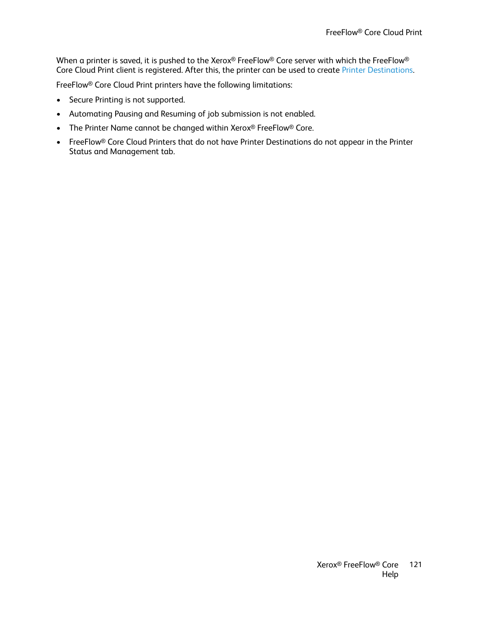When a printer is saved, it is pushed to the Xerox® FreeFlow® Core server with which the FreeFlow® Core Cloud Print client is registered. After this, the printer can be used to create Printer [Destinations.](#page-61-0)

FreeFlow® Core Cloud Print printers have the following limitations:

- Secure Printing is not supported.
- Automating Pausing and Resuming of job submission is not enabled.
- The Printer Name cannot be changed within Xerox<sup>®</sup> FreeFlow<sup>®</sup> Core.
- FreeFlow® Core Cloud Printers that do not have Printer Destinations do not appear in the Printer Status and Management tab.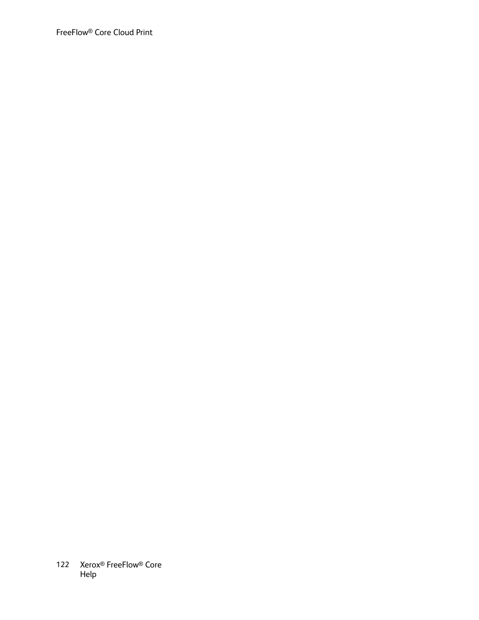[FreeFlow](#page-118-0)® Core Cloud Print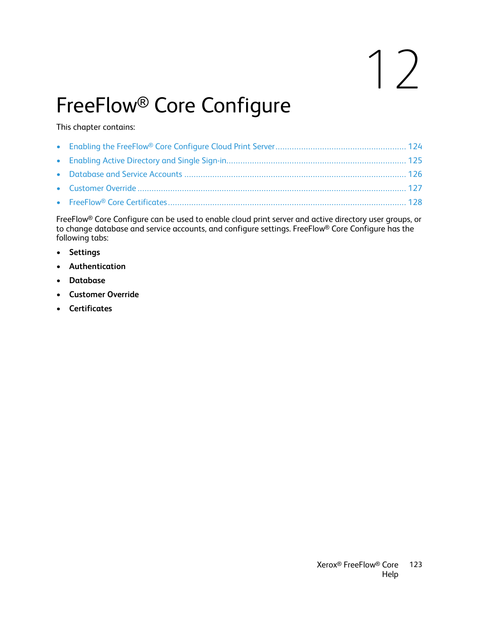## 12

## <span id="page-122-0"></span>FreeFlow® Core Configure

This chapter contains:

FreeFlow® Core Configure can be used to enable cloud print server and active directory user groups, or to change database and service accounts, and configure settings. FreeFlow® Core Configure has the following tabs:

- **Settings**
- **Authentication**
- **Database**
- **Customer Override**
- **Certificates**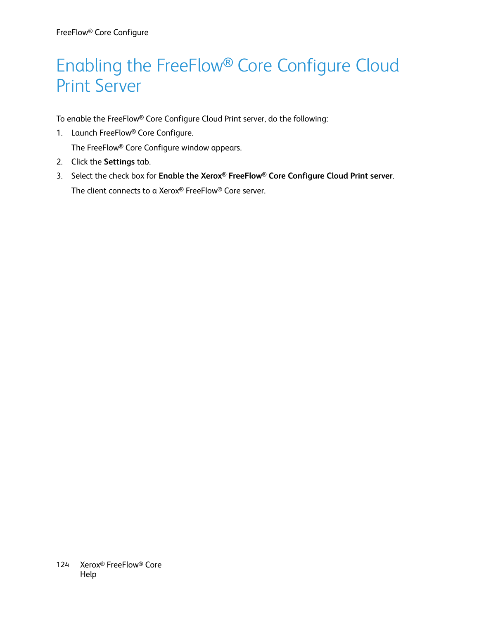#### <span id="page-123-0"></span>Enabling the FreeFlow® Core Configure Cloud Print Server

To enable the FreeFlow® Core Configure Cloud Print server, do the following:

- 1. Launch FreeFlow® Core Configure. The FreeFlow® Core Configure window appears.
- 2. Click the **Settings** tab.
- 3. Select the check box for **Enable the Xerox**® **FreeFlow**® **Core Configure Cloud Print server**. The client connects to a Xerox® FreeFlow® Core server.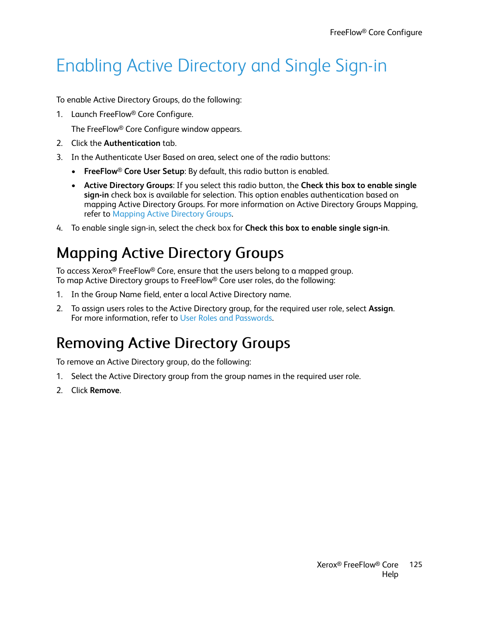### <span id="page-124-0"></span>Enabling Active Directory and Single Sign-in

To enable Active Directory Groups, do the following:

1. Launch FreeFlow® Core Configure.

The FreeFlow® Core Configure window appears.

- 2. Click the **Authentication** tab.
- 3. In the Authenticate User Based on area, select one of the radio buttons:
	- **FreeFlow**® **Core User Setup**: By default, this radio button is enabled.
	- **Active Directory Groups**: If you select this radio button, the **Check this box to enable single sign-in** check box is available for selection. This option enables authentication based on mapping Active Directory Groups. For more information on Active Directory Groups Mapping, refer to Mapping Active [Directory](#page-124-1) Groups.
- 4. To enable single sign-in, select the check box for **Check this box to enable single sign-in**.

#### <span id="page-124-1"></span>Mapping Active Directory Groups

To access Xerox® FreeFlow® Core, ensure that the users belong to a mapped group. To map Active Directory groups to FreeFlow® Core user roles, do the following:

- 1. In the Group Name field, enter a local Active Directory name.
- 2. To assign users roles to the Active Directory group, for the required user role, select **Assign**. For more information, refer to User Roles and [Passwords.](#page-8-0)

#### Removing Active Directory Groups

To remove an Active Directory group, do the following:

- 1. Select the Active Directory group from the group names in the required user role.
- 2. Click **Remove**.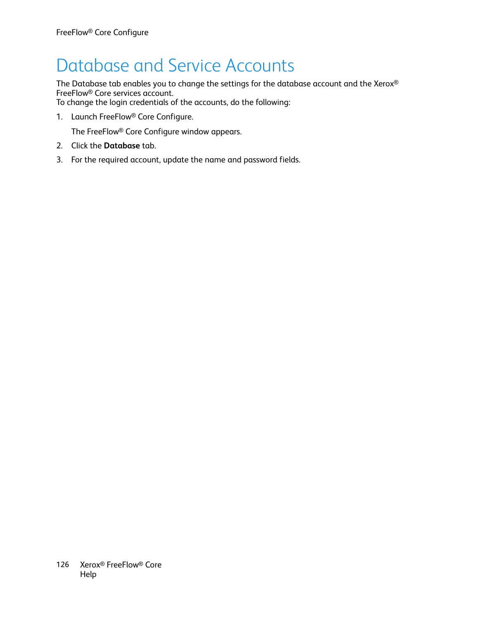#### <span id="page-125-0"></span>Database and Service Accounts

The Database tab enables you to change the settings for the database account and the Xerox® FreeFlow® Core services account.

To change the login credentials of the accounts, do the following:

1. Launch FreeFlow® Core Configure.

The FreeFlow® Core Configure window appears.

- 2. Click the **Database** tab.
- 3. For the required account, update the name and password fields.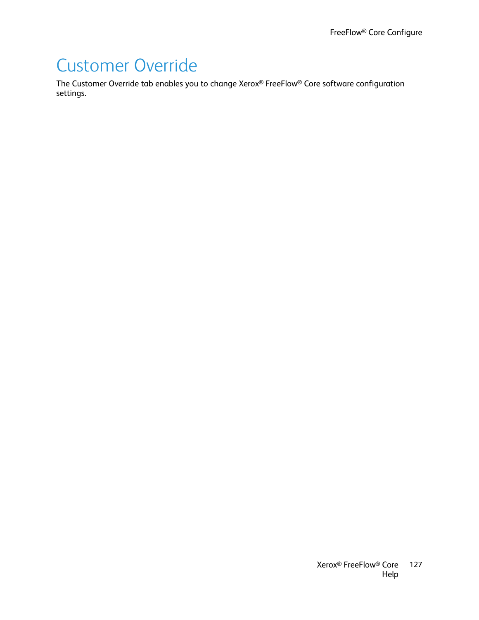#### <span id="page-126-0"></span>Customer Override

The Customer Override tab enables you to change Xerox® FreeFlow® Core software configuration settings.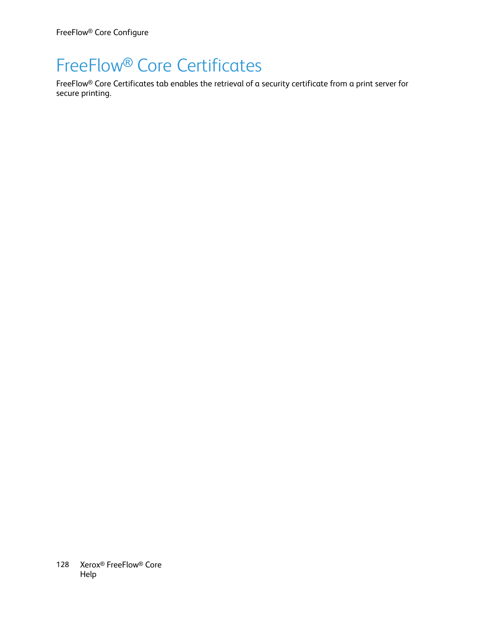#### <span id="page-127-0"></span>FreeFlow® Core Certificates

FreeFlow® Core Certificates tab enables the retrieval of a security certificate from a print server for secure printing.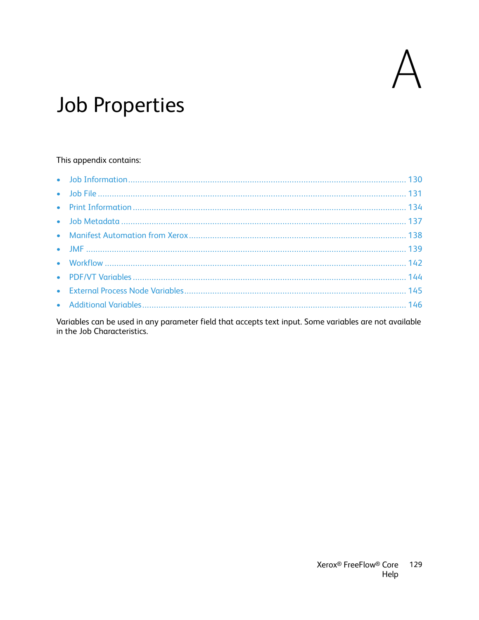

## <span id="page-128-0"></span>**Job Properties**

#### This appendix contains:

Variables can be used in any parameter field that accepts text input. Some variables are not available in the Job Characteristics.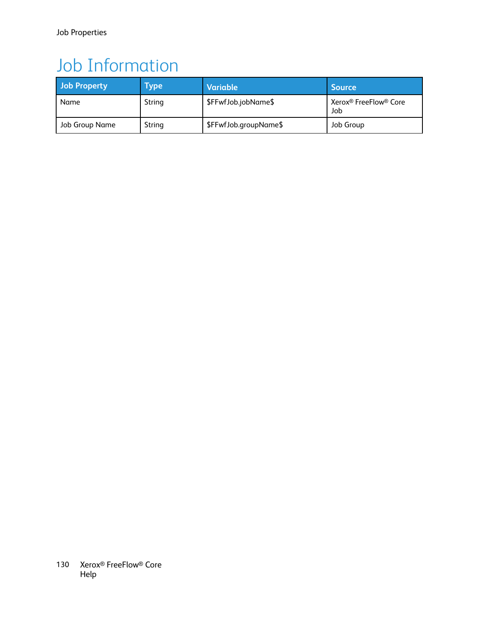#### <span id="page-129-0"></span>Job Information

| Job Property   | <b>Type</b> | Variable              | <b>Source</b>                            |
|----------------|-------------|-----------------------|------------------------------------------|
| Name           | String      | \$FFwfJob.jobName\$   | Xerox <sup>®</sup> FreeFlow® Core<br>Job |
| Job Group Name | String      | \$FFwfJob.groupName\$ | Job Group                                |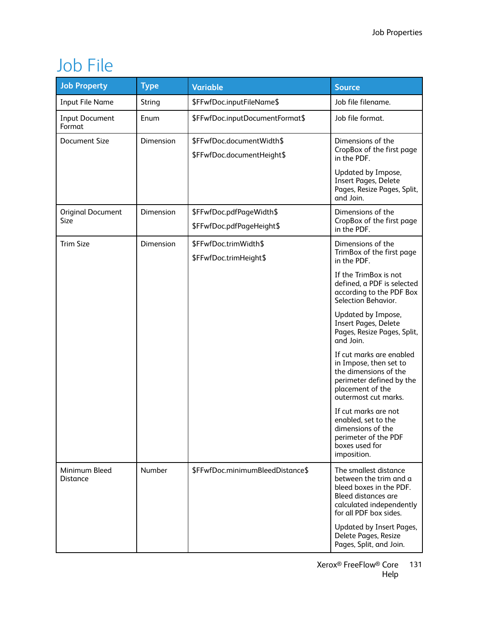#### <span id="page-130-0"></span>Job File

| <b>Job Property</b>             | <b>Type</b> | <b>Variable</b>                                         | <b>Source</b>                                                                                                                                                                       |
|---------------------------------|-------------|---------------------------------------------------------|-------------------------------------------------------------------------------------------------------------------------------------------------------------------------------------|
| <b>Input File Name</b>          | String      | \$FFwfDoc.inputFileName\$                               | Job file filename.                                                                                                                                                                  |
| <b>Input Document</b><br>Format | Enum        | \$FFwfDoc.inputDocumentFormat\$                         | Job file format.                                                                                                                                                                    |
| <b>Document Size</b>            | Dimension   | \$FFwfDoc.documentWidth\$<br>\$FFwfDoc.documentHeight\$ | Dimensions of the<br>CropBox of the first page<br>in the PDF.<br>Updated by Impose,<br><b>Insert Pages, Delete</b><br>Pages, Resize Pages, Split,<br>and Join.                      |
| Original Document<br>Size       | Dimension   | \$FFwfDoc.pdfPageWidth\$<br>\$FFwfDoc.pdfPageHeight\$   | Dimensions of the<br>CropBox of the first page<br>in the PDF.                                                                                                                       |
| <b>Trim Size</b>                | Dimension   | \$FFwfDoc.trimWidth\$<br>\$FFwfDoc.trimHeight\$         | Dimensions of the<br>TrimBox of the first page<br>in the PDF.                                                                                                                       |
|                                 |             |                                                         | If the TrimBox is not<br>defined, a PDF is selected<br>according to the PDF Box<br>Selection Behavior.                                                                              |
|                                 |             |                                                         | Updated by Impose,<br>Insert Pages, Delete<br>Pages, Resize Pages, Split,<br>and Join.                                                                                              |
|                                 |             |                                                         | If cut marks are enabled<br>in Impose, then set to<br>the dimensions of the<br>perimeter defined by the<br>placement of the<br>outermost cut marks.                                 |
|                                 |             |                                                         | If cut marks are not<br>enabled, set to the<br>dimensions of the<br>perimeter of the PDF<br>boxes used for<br>imposition.                                                           |
| Minimum Bleed<br>Distance       | Number      | \$FFwfDoc.minimumBleedDistance\$                        | The smallest distance<br>between the trim and a<br>bleed boxes in the PDF.<br>Bleed distances are<br>calculated independently<br>for all PDF box sides.<br>Updated by Insert Pages, |
|                                 |             |                                                         | Delete Pages, Resize<br>Pages, Split, and Join.                                                                                                                                     |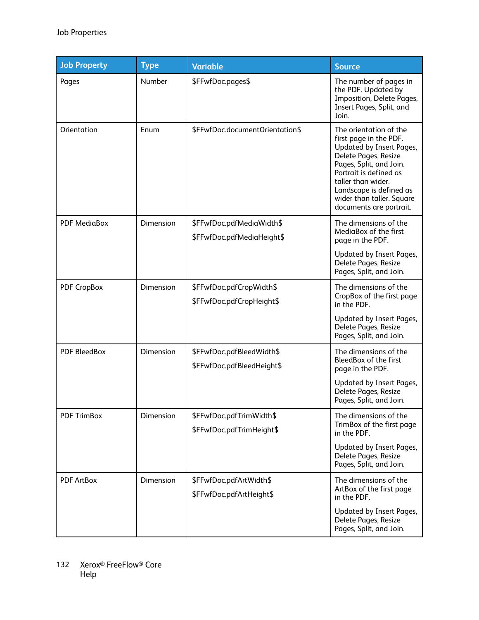| <b>Job Property</b> | <b>Type</b> | <b>Variable</b>                                         | <b>Source</b>                                                                                                                                                                                                                                                      |
|---------------------|-------------|---------------------------------------------------------|--------------------------------------------------------------------------------------------------------------------------------------------------------------------------------------------------------------------------------------------------------------------|
| Pages               | Number      | \$FFwfDoc.pages\$                                       | The number of pages in<br>the PDF. Updated by<br>Imposition, Delete Pages,<br>Insert Pages, Split, and<br>Join.                                                                                                                                                    |
| Orientation         | Enum        | \$FFwfDoc.documentOrientation\$                         | The orientation of the<br>first page in the PDF.<br>Updated by Insert Pages,<br>Delete Pages, Resize<br>Pages, Split, and Join.<br>Portrait is defined as<br>taller than wider.<br>Landscape is defined as<br>wider than taller. Square<br>documents are portrait. |
| PDF MediaBox        | Dimension   | \$FFwfDoc.pdfMediaWidth\$                               | The dimensions of the<br>MediaBox of the first                                                                                                                                                                                                                     |
|                     |             | \$FFwfDoc.pdfMediaHeight\$                              | page in the PDF.                                                                                                                                                                                                                                                   |
|                     |             |                                                         | Updated by Insert Pages,<br>Delete Pages, Resize<br>Pages, Split, and Join.                                                                                                                                                                                        |
| PDF CropBox         | Dimension   | \$FFwfDoc.pdfCropWidth\$<br>\$FFwfDoc.pdfCropHeight\$   | The dimensions of the<br>CropBox of the first page<br>in the PDF.                                                                                                                                                                                                  |
|                     |             |                                                         | Updated by Insert Pages,<br>Delete Pages, Resize<br>Pages, Split, and Join.                                                                                                                                                                                        |
| <b>PDF BleedBox</b> | Dimension   | \$FFwfDoc.pdfBleedWidth\$<br>\$FFwfDoc.pdfBleedHeight\$ | The dimensions of the<br>BleedBox of the first<br>page in the PDF.                                                                                                                                                                                                 |
|                     |             |                                                         | Updated by Insert Pages,<br>Delete Pages, Resize<br>Pages, Split, and Join.                                                                                                                                                                                        |
| <b>PDF TrimBox</b>  | Dimension   | \$FFwfDoc.pdfTrimWidth\$                                | The dimensions of the                                                                                                                                                                                                                                              |
|                     |             | \$FFwfDoc.pdfTrimHeight\$                               | TrimBox of the first page<br>in the PDF.                                                                                                                                                                                                                           |
|                     |             |                                                         | Updated by Insert Pages,<br>Delete Pages, Resize<br>Pages, Split, and Join.                                                                                                                                                                                        |
| <b>PDF ArtBox</b>   | Dimension   | \$FFwfDoc.pdfArtWidth\$                                 | The dimensions of the                                                                                                                                                                                                                                              |
|                     |             | \$FFwfDoc.pdfArtHeight\$                                | ArtBox of the first page<br>in the PDF.                                                                                                                                                                                                                            |
|                     |             |                                                         | Updated by Insert Pages,<br>Delete Pages, Resize<br>Pages, Split, and Join.                                                                                                                                                                                        |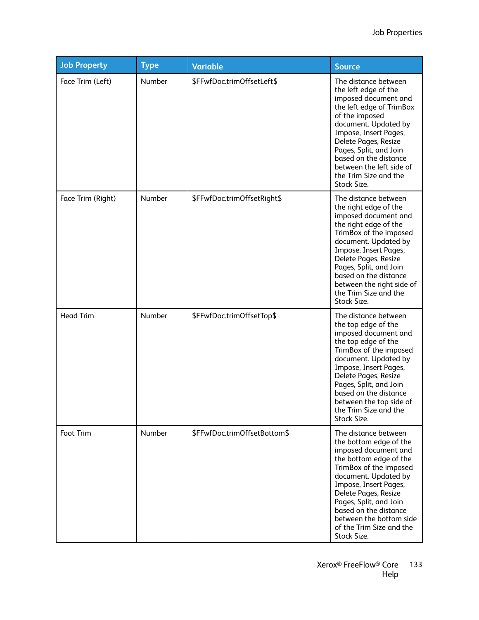| <b>Job Property</b> | <b>Type</b> | <b>Variable</b>              | <b>Source</b>                                                                                                                                                                                                                                                                                                                |
|---------------------|-------------|------------------------------|------------------------------------------------------------------------------------------------------------------------------------------------------------------------------------------------------------------------------------------------------------------------------------------------------------------------------|
| Face Trim (Left)    | Number      | \$FFwfDoc.trimOffsetLeft\$   | The distance between<br>the left edge of the<br>imposed document and<br>the left edge of TrimBox<br>of the imposed<br>document. Updated by<br>Impose, Insert Pages,<br>Delete Pages, Resize<br>Pages, Split, and Join<br>based on the distance<br>between the left side of<br>the Trim Size and the<br>Stock Size.           |
| Face Trim (Right)   | Number      | \$FFwfDoc.trimOffsetRight\$  | The distance between<br>the right edge of the<br>imposed document and<br>the right edge of the<br>TrimBox of the imposed<br>document. Updated by<br>Impose, Insert Pages,<br>Delete Pages, Resize<br>Pages, Split, and Join<br>based on the distance<br>between the right side of<br>the Trim Size and the<br>Stock Size.    |
| <b>Head Trim</b>    | Number      | \$FFwfDoc.trimOffsetTop\$    | The distance between<br>the top edge of the<br>imposed document and<br>the top edge of the<br>TrimBox of the imposed<br>document. Updated by<br>Impose, Insert Pages,<br>Delete Pages, Resize<br>Pages, Split, and Join<br>based on the distance<br>between the top side of<br>the Trim Size and the<br>Stock Size.          |
| Foot Trim           | Number      | \$FFwfDoc.trimOffsetBottom\$ | The distance between<br>the bottom edge of the<br>imposed document and<br>the bottom edge of the<br>TrimBox of the imposed<br>document. Updated by<br>Impose, Insert Pages,<br>Delete Pages, Resize<br>Pages, Split, and Join<br>based on the distance<br>between the bottom side<br>of the Trim Size and the<br>Stock Size. |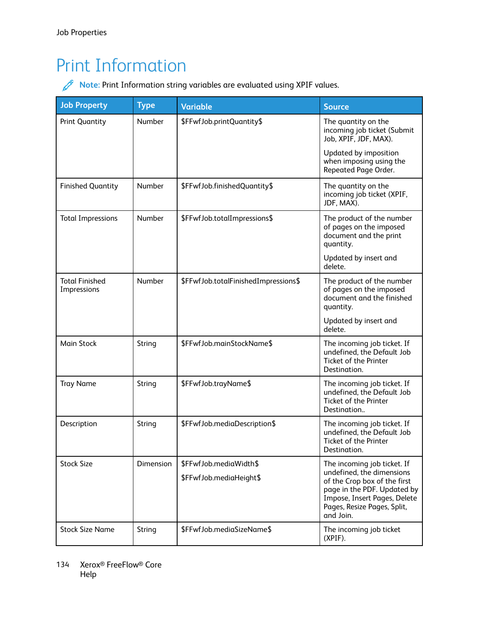#### <span id="page-133-0"></span>Print Information

**Note:** Print Information string variables are evaluated using XPIF values.

| <b>Job Property</b>                  | <b>Type</b> | Variable                                          | <b>Source</b>                                                                                                                                                                                       |
|--------------------------------------|-------------|---------------------------------------------------|-----------------------------------------------------------------------------------------------------------------------------------------------------------------------------------------------------|
| <b>Print Quantity</b>                | Number      | \$FFwfJob.printQuantity\$                         | The quantity on the<br>incoming job ticket (Submit<br>Job, XPIF, JDF, MAX).                                                                                                                         |
|                                      |             |                                                   | Updated by imposition<br>when imposing using the<br>Repeated Page Order.                                                                                                                            |
| <b>Finished Quantity</b>             | Number      | \$FFwfJob.finishedQuantity\$                      | The quantity on the<br>incoming job ticket (XPIF,<br>JDF, MAX).                                                                                                                                     |
| <b>Total Impressions</b>             | Number      | \$FFwfJob.totalImpressions\$                      | The product of the number<br>of pages on the imposed<br>document and the print<br>quantity.                                                                                                         |
|                                      |             |                                                   | Updated by insert and<br>delete.                                                                                                                                                                    |
| <b>Total Finished</b><br>Impressions | Number      | \$FFwfJob.totalFinishedImpressions\$              | The product of the number<br>of pages on the imposed<br>document and the finished<br>quantity.                                                                                                      |
|                                      |             |                                                   | Updated by insert and<br>delete.                                                                                                                                                                    |
| <b>Main Stock</b>                    | String      | \$FFwfJob.mainStockName\$                         | The incoming job ticket. If<br>undefined, the Default Job<br>Ticket of the Printer<br>Destination.                                                                                                  |
| <b>Tray Name</b>                     | String      | \$FFwfJob.trayName\$                              | The incoming job ticket. If<br>undefined, the Default Job<br>Ticket of the Printer<br>Destination                                                                                                   |
| Description                          | String      | \$FFwfJob.mediaDescription\$                      | The incoming job ticket. If<br>undefined, the Default Job<br>Ticket of the Printer<br>Destination.                                                                                                  |
| <b>Stock Size</b>                    | Dimension   | \$FFwfJob.mediaWidth\$<br>\$FFwfJob.mediaHeight\$ | The incoming job ticket. If<br>undefined, the dimensions<br>of the Crop box of the first<br>page in the PDF. Updated by<br>Impose, Insert Pages, Delete<br>Pages, Resize Pages, Split,<br>and Join. |
| <b>Stock Size Name</b>               | String      | \$FFwfJob.mediaSizeName\$                         | The incoming job ticket<br>$(XPIF)$ .                                                                                                                                                               |

134 Xerox® FreeFlow® Core Help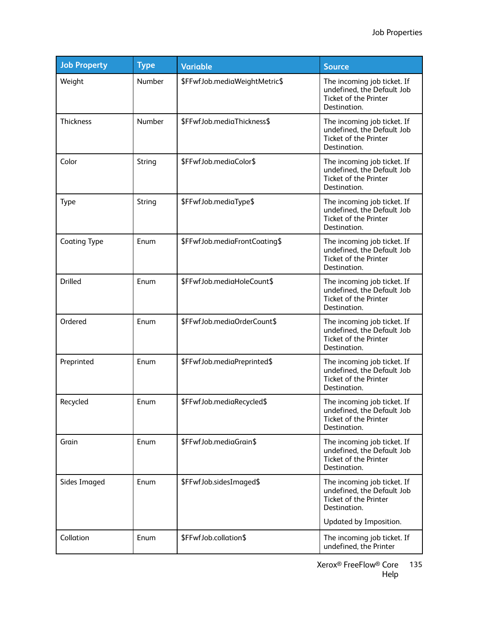| <b>Job Property</b> | <b>Type</b> | <b>Variable</b>               | <b>Source</b>                                                                                             |
|---------------------|-------------|-------------------------------|-----------------------------------------------------------------------------------------------------------|
| Weight              | Number      | \$FFwfJob.mediaWeightMetric\$ | The incoming job ticket. If<br>undefined, the Default Job<br>Ticket of the Printer<br>Destination.        |
| Thickness           | Number      | \$FFwfJob.mediaThickness\$    | The incoming job ticket. If<br>undefined, the Default Job<br><b>Ticket of the Printer</b><br>Destination. |
| Color               | String      | \$FFwfJob.mediaColor\$        | The incoming job ticket. If<br>undefined, the Default Job<br>Ticket of the Printer<br>Destination.        |
| Type                | String      | \$FFwfJob.mediaType\$         | The incoming job ticket. If<br>undefined, the Default Job<br>Ticket of the Printer<br>Destination.        |
| <b>Coating Type</b> | Enum        | \$FFwfJob.mediaFrontCoating\$ | The incoming job ticket. If<br>undefined, the Default Job<br>Ticket of the Printer<br>Destination.        |
| <b>Drilled</b>      | Enum        | \$FFwfJob.mediaHoleCount\$    | The incoming job ticket. If<br>undefined, the Default Job<br>Ticket of the Printer<br>Destination.        |
| Ordered             | Enum        | \$FFwfJob.mediaOrderCount\$   | The incoming job ticket. If<br>undefined, the Default Job<br>Ticket of the Printer<br>Destination.        |
| Preprinted          | Enum        | \$FFwfJob.mediaPreprinted\$   | The incoming job ticket. If<br>undefined, the Default Job<br>Ticket of the Printer<br>Destination.        |
| Recycled            | Enum        | \$FFwfJob.mediaRecycled\$     | The incoming job ticket. If<br>undefined, the Default Job<br>Ticket of the Printer<br>Destination.        |
| Grain               | Enum        | \$FFwfJob.mediaGrain\$        | The incoming job ticket. If<br>undefined, the Default Job<br>Ticket of the Printer<br>Destination.        |
| Sides Imaged        | Enum        | \$FFwfJob.sidesImaged\$       | The incoming job ticket. If<br>undefined, the Default Job<br><b>Ticket of the Printer</b><br>Destination. |
|                     |             |                               | Updated by Imposition.                                                                                    |
| Collation           | Enum        | \$FFwfJob.collation\$         | The incoming job ticket. If<br>undefined, the Printer                                                     |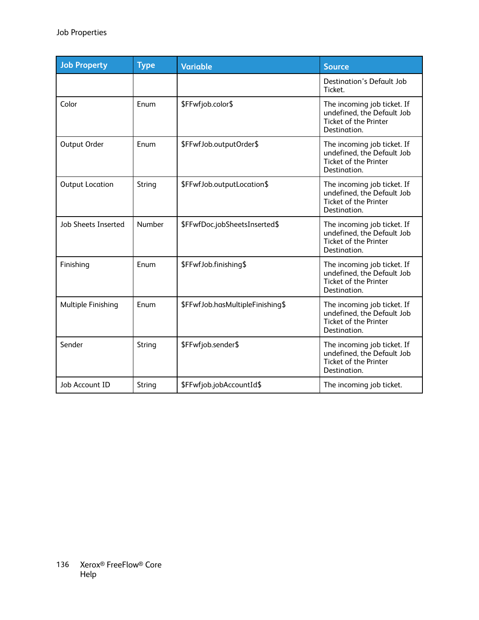| <b>Job Property</b>    | <b>Type</b> | <b>Variable</b>                  | <b>Source</b>                                                                                             |
|------------------------|-------------|----------------------------------|-----------------------------------------------------------------------------------------------------------|
|                        |             |                                  | <b>Destination's Default Job</b><br>Ticket.                                                               |
| Color                  | Enum        | \$FFwfjob.color\$                | The incoming job ticket. If<br>undefined, the Default Job<br><b>Ticket of the Printer</b><br>Destination. |
| Output Order           | Enum        | \$FFwfJob.outputOrder\$          | The incoming job ticket. If<br>undefined, the Default Job<br><b>Ticket of the Printer</b><br>Destination. |
| <b>Output Location</b> | String      | \$FFwfJob.outputLocation\$       | The incoming job ticket. If<br>undefined, the Default Job<br>Ticket of the Printer<br>Destination.        |
| Job Sheets Inserted    | Number      | \$FFwfDoc.jobSheetsInserted\$    | The incoming job ticket. If<br>undefined, the Default Job<br>Ticket of the Printer<br>Destination.        |
| Finishing              | Enum        | \$FFwfJob.finishing\$            | The incoming job ticket. If<br>undefined, the Default Job<br><b>Ticket of the Printer</b><br>Destination. |
| Multiple Finishing     | Enum        | \$FFwfJob.hasMultipleFinishing\$ | The incoming job ticket. If<br>undefined, the Default Job<br><b>Ticket of the Printer</b><br>Destination. |
| Sender                 | String      | \$FFwfjob.sender\$               | The incoming job ticket. If<br>undefined, the Default Job<br>Ticket of the Printer<br>Destination.        |
| Job Account ID         | String      | \$FFwfjob.jobAccountId\$         | The incoming job ticket.                                                                                  |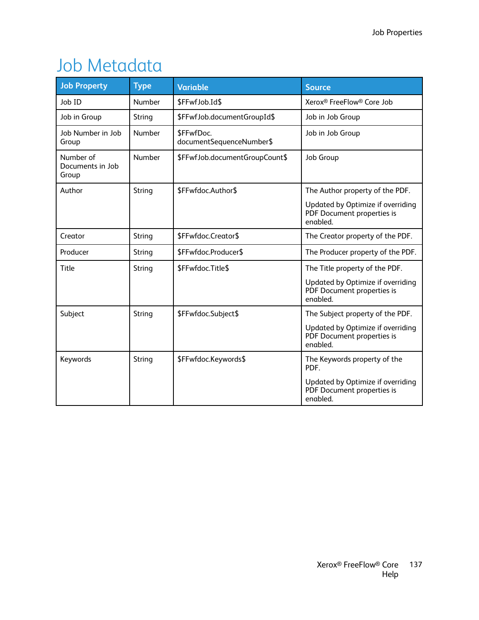#### <span id="page-136-0"></span>Job Metadata

| <b>Job Property</b>                    | <b>Type</b> | <b>Variable</b>                        | <b>Source</b>                                                               |
|----------------------------------------|-------------|----------------------------------------|-----------------------------------------------------------------------------|
| Job ID                                 | Number      | \$FFwfJob.Id\$                         | Xerox® FreeFlow® Core Job                                                   |
| Job in Group                           | String      | \$FFwfJob.documentGroupId\$            | Job in Job Group                                                            |
| Job Number in Job<br>Group             | Number      | \$FFwfDoc.<br>documentSequenceNumber\$ | Job in Job Group                                                            |
| Number of<br>Documents in Job<br>Group | Number      | \$FFwfJob.documentGroupCount\$         | Job Group                                                                   |
| Author                                 | String      | \$FFwfdoc.Author\$                     | The Author property of the PDF.                                             |
|                                        |             |                                        | Updated by Optimize if overriding<br>PDF Document properties is<br>enabled. |
| Creator                                | String      | \$FFwfdoc.Creator\$                    | The Creator property of the PDF.                                            |
| Producer                               | String      | \$FFwfdoc.Producer\$                   | The Producer property of the PDF.                                           |
| Title                                  | String      | \$FFwfdoc.Title\$                      | The Title property of the PDF.                                              |
|                                        |             |                                        | Updated by Optimize if overriding<br>PDF Document properties is<br>enabled. |
| Subject                                | String      | \$FFwfdoc.Subject\$                    | The Subject property of the PDF.                                            |
|                                        |             |                                        | Updated by Optimize if overriding<br>PDF Document properties is<br>enabled. |
| Keywords                               | String      | \$FFwfdoc.Keywords\$                   | The Keywords property of the<br>PDF.                                        |
|                                        |             |                                        | Updated by Optimize if overriding<br>PDF Document properties is<br>enabled. |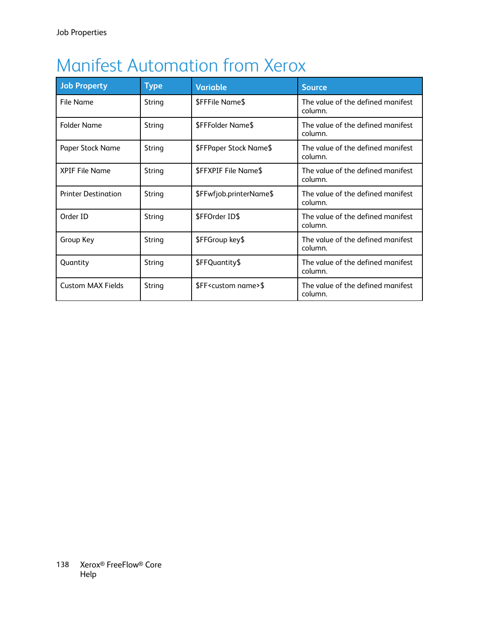#### <span id="page-137-0"></span>Manifest Automation from Xerox

| <b>Job Property</b>        | <b>Type</b> | <b>Variable</b>                  | <b>Source</b>                                |
|----------------------------|-------------|----------------------------------|----------------------------------------------|
| <b>File Name</b>           | String      | \$FFFile Name\$                  | The value of the defined manifest<br>column. |
| <b>Folder Name</b>         | String      | \$FFFolder Name\$                | The value of the defined manifest<br>column. |
| Paper Stock Name           | String      | \$FFPaper Stock Name\$           | The value of the defined manifest<br>column. |
| XPIF File Name             | String      | \$FFXPIF File Name\$             | The value of the defined manifest<br>column. |
| <b>Printer Destination</b> | String      | \$FFwfjob.printerName\$          | The value of the defined manifest<br>column. |
| Order ID                   | String      | \$FFOrder ID\$                   | The value of the defined manifest<br>column. |
| Group Key                  | String      | \$FFGroup key\$                  | The value of the defined manifest<br>column. |
| Quantity                   | String      | \$FFQuantity\$                   | The value of the defined manifest<br>column. |
| <b>Custom MAX Fields</b>   | String      | \$FF <custom name="">\$</custom> | The value of the defined manifest<br>column. |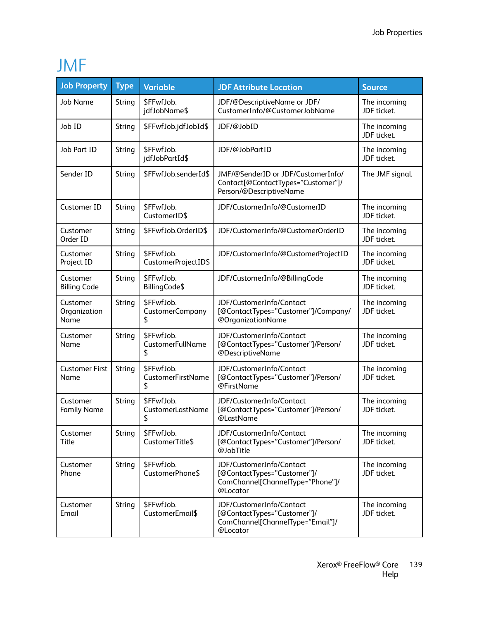#### <span id="page-138-0"></span>JMF

| <b>Job Property</b>              | <b>Type</b> | <b>Variable</b>                       | <b>JDF Attribute Location</b>                                                                           | <b>Source</b>               |
|----------------------------------|-------------|---------------------------------------|---------------------------------------------------------------------------------------------------------|-----------------------------|
| <b>Job Name</b>                  | String      | \$FFwfJob.<br>jdfJobName\$            | JDF/@DescriptiveName or JDF/<br>CustomerInfo/@CustomerJobName                                           | The incoming<br>JDF ticket. |
| Job ID                           | String      | \$FFwfJob.jdfJobId\$                  | JDF/@JobID                                                                                              | The incoming<br>JDF ticket. |
| Job Part ID                      | String      | \$FFwfJob.<br>jdfJobPartId\$          | JDF/@JobPartID                                                                                          | The incoming<br>JDF ticket. |
| Sender ID                        | String      | \$FFwfJob.senderId\$                  | JMF/@SenderID or JDF/CustomerInfo/<br>Contact[@ContactTypes="Customer"]/<br>Person/@DescriptiveName     | The JMF signal.             |
| Customer ID                      | String      | \$FFwfJob.<br>CustomerID\$            | JDF/CustomerInfo/@CustomerID                                                                            | The incoming<br>JDF ticket. |
| Customer<br>Order ID             | String      | \$FFwfJob.OrderID\$                   | JDF/CustomerInfo/@CustomerOrderID                                                                       | The incoming<br>JDF ticket. |
| Customer<br>Project ID           | String      | \$FFwfJob.<br>CustomerProjectID\$     | JDF/CustomerInfo/@CustomerProjectID                                                                     | The incoming<br>JDF ticket. |
| Customer<br><b>Billing Code</b>  | String      | \$FFwfJob.<br>BillingCode\$           | JDF/CustomerInfo/@BillingCode                                                                           | The incoming<br>JDF ticket. |
| Customer<br>Organization<br>Name | String      | \$FFwfJob.<br>CustomerCompany<br>\$   | JDF/CustomerInfo/Contact<br>[@ContactTypes="Customer"]/Company/<br>@OrganizationName                    | The incoming<br>JDF ticket. |
| Customer<br>Name                 | String      | \$FFwfJob.<br>CustomerFullName<br>\$  | JDF/CustomerInfo/Contact<br>[@ContactTypes="Customer"]/Person/<br>@DescriptiveName                      | The incoming<br>JDF ticket. |
| <b>Customer First</b><br>Name    | String      | \$FFwfJob.<br>CustomerFirstName<br>\$ | JDF/CustomerInfo/Contact<br>[@ContactTypes="Customer"]/Person/<br>@FirstName                            | The incoming<br>JDF ticket. |
| Customer<br><b>Family Name</b>   | String      | \$FFwfJob.<br>CustomerLastName<br>\$  | JDF/CustomerInfo/Contact<br>[@ContactTypes="Customer"]/Person/<br>@LastName                             | The incoming<br>JDF ticket. |
| Customer<br>Title                | String      | \$FFwfJob.<br>CustomerTitle\$         | JDF/CustomerInfo/Contact<br>[@ContactTypes="Customer"]/Person/<br>@JobTitle                             | The incoming<br>JDF ticket. |
| Customer<br>Phone                | String      | \$FFwfJob.<br>CustomerPhone\$         | JDF/CustomerInfo/Contact<br>[@ContactTypes="Customer"]/<br>ComChannel[ChannelType="Phone"]/<br>@Locator | The incoming<br>JDF ticket. |
| Customer<br>Email                | String      | \$FFwfJob.<br>CustomerEmail\$         | JDF/CustomerInfo/Contact<br>[@ContactTypes="Customer"]/<br>ComChannel[ChannelType="Email"]/<br>@Locator | The incoming<br>JDF ticket. |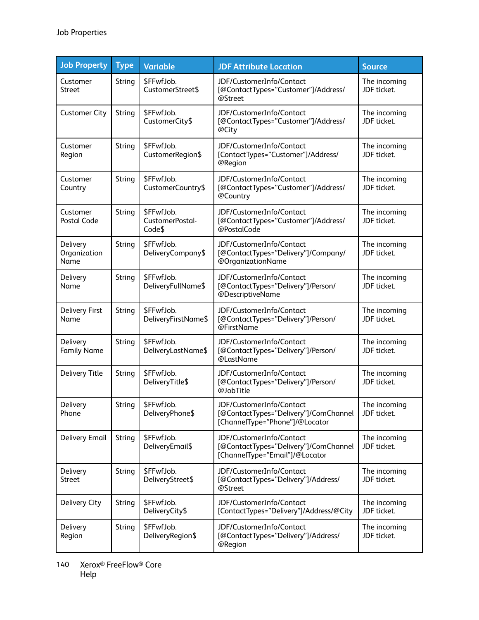| <b>Job Property</b>              | <b>Type</b> | <b>Variable</b>                         | <b>JDF Attribute Location</b>                                                                       | <b>Source</b>               |
|----------------------------------|-------------|-----------------------------------------|-----------------------------------------------------------------------------------------------------|-----------------------------|
| Customer<br><b>Street</b>        | String      | \$FFwfJob.<br>CustomerStreet\$          | JDF/CustomerInfo/Contact<br>[@ContactTypes="Customer"]/Address/<br>@Street                          | The incoming<br>JDF ticket. |
| <b>Customer City</b>             | String      | \$FFwfJob.<br>CustomerCity\$            | JDF/CustomerInfo/Contact<br>[@ContactTypes="Customer"]/Address/<br>@City                            | The incoming<br>JDF ticket. |
| Customer<br>Region               | String      | \$FFwfJob.<br>CustomerRegion\$          | JDF/CustomerInfo/Contact<br>[ContactTypes="Customer"]/Address/<br>@Region                           | The incoming<br>JDF ticket. |
| Customer<br>Country              | String      | \$FFwfJob.<br>CustomerCountry\$         | JDF/CustomerInfo/Contact<br>[@ContactTypes="Customer"]/Address/<br>@Country                         | The incoming<br>JDF ticket. |
| Customer<br><b>Postal Code</b>   | String      | \$FFwfJob.<br>CustomerPostal-<br>Code\$ | JDF/CustomerInfo/Contact<br>[@ContactTypes="Customer"]/Address/<br>@PostalCode                      | The incoming<br>JDF ticket. |
| Delivery<br>Organization<br>Name | String      | \$FFwfJob.<br>DeliveryCompany\$         | JDF/CustomerInfo/Contact<br>[@ContactTypes="Delivery"]/Company/<br>@OrganizationName                | The incoming<br>JDF ticket. |
| Delivery<br>Name                 | String      | \$FFwfJob.<br>DeliveryFullName\$        | JDF/CustomerInfo/Contact<br>[@ContactTypes="Delivery"]/Person/<br>@DescriptiveName                  | The incoming<br>JDF ticket. |
| <b>Delivery First</b><br>Name    | String      | \$FFwfJob.<br>DeliveryFirstName\$       | JDF/CustomerInfo/Contact<br>[@ContactTypes="Delivery"]/Person/<br>@FirstName                        | The incoming<br>JDF ticket. |
| Delivery<br><b>Family Name</b>   | String      | \$FFwfJob.<br>DeliveryLastName\$        | JDF/CustomerInfo/Contact<br>[@ContactTypes="Delivery"]/Person/<br>@LastName                         | The incoming<br>JDF ticket. |
| <b>Delivery Title</b>            | String      | \$FFwfJob.<br>DeliveryTitle\$           | JDF/CustomerInfo/Contact<br>[@ContactTypes="Delivery"]/Person/<br>@JobTitle                         | The incoming<br>JDF ticket. |
| Delivery<br>Phone                | String      | \$FFwfJob.<br>DeliveryPhone\$           | JDF/CustomerInfo/Contact<br>[@ContactTypes="Delivery"]/ComChannel<br>[ChannelType="Phone"]/@Locator | The incoming<br>JDF ticket. |
| <b>Delivery Email</b>            | String      | \$FFwfJob.<br>DeliveryEmail\$           | JDF/CustomerInfo/Contact<br>[@ContactTypes="Delivery"]/ComChannel<br>[ChannelType="Email"]/@Locator | The incoming<br>JDF ticket. |
| Delivery<br><b>Street</b>        | String      | \$FFwfJob.<br>DeliveryStreet\$          | JDF/CustomerInfo/Contact<br>[@ContactTypes="Delivery"]/Address/<br>@Street                          | The incoming<br>JDF ticket. |
| <b>Delivery City</b>             | String      | \$FFwfJob.<br>DeliveryCity\$            | JDF/CustomerInfo/Contact<br>[ContactTypes="Delivery"]/Address/@City                                 | The incoming<br>JDF ticket. |
| Delivery<br>Region               | String      | \$FFwfJob.<br>DeliveryRegion\$          | JDF/CustomerInfo/Contact<br>[@ContactTypes="Delivery"]/Address/<br>@Region                          | The incoming<br>JDF ticket. |

140 Xerox® FreeFlow® Core Help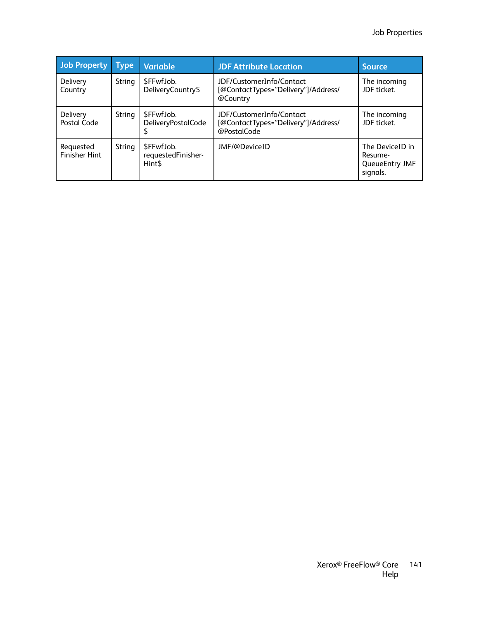| <b>Job Property</b>               | <b>Type</b> | <b>Variable</b>                             | <b>JDF Attribute Location</b>                                                  | <b>Source</b>                                            |
|-----------------------------------|-------------|---------------------------------------------|--------------------------------------------------------------------------------|----------------------------------------------------------|
| Delivery<br>Country               | String      | \$FFwfJob.<br>DeliveryCountry\$             | JDF/CustomerInfo/Contact<br>[@ContactTypes="Delivery"]/Address/<br>@Country    | The incoming<br>JDF ticket.                              |
| Delivery<br>Postal Code           | String      | \$FFwfJob.<br>DeliveryPostalCode            | JDF/CustomerInfo/Contact<br>[@ContactTypes="Delivery"]/Address/<br>@PostalCode | The incoming<br>JDF ticket.                              |
| Requested<br><b>Finisher Hint</b> | String      | \$FFwfJob.<br>requestedFinisher-<br>Hint \$ | JMF/@DeviceID                                                                  | The DeviceID in<br>Resume-<br>QueueEntry JMF<br>signals. |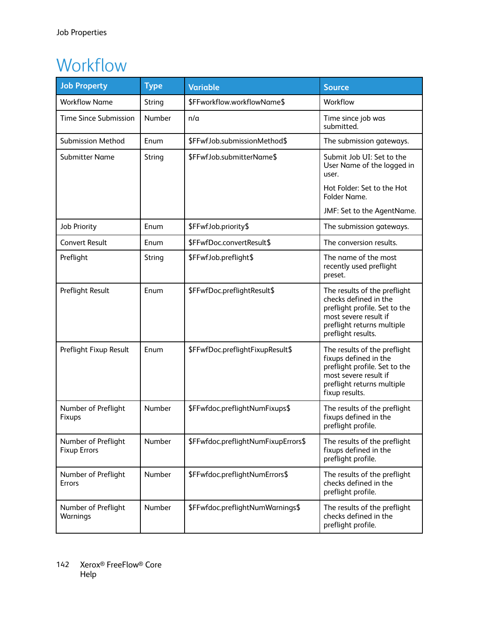#### <span id="page-141-0"></span>**Workflow**

| <b>Job Property</b>                        | <b>Type</b> | <b>Variable</b>                     | <b>Source</b>                                                                                                                                                       |
|--------------------------------------------|-------------|-------------------------------------|---------------------------------------------------------------------------------------------------------------------------------------------------------------------|
| <b>Workflow Name</b>                       | String      | \$FFworkflow.workflowName\$         | Workflow                                                                                                                                                            |
| <b>Time Since Submission</b>               | Number      | n/a                                 | Time since job was<br>submitted.                                                                                                                                    |
| <b>Submission Method</b>                   | Enum        | \$FFwfJob.submissionMethod\$        | The submission gateways.                                                                                                                                            |
| <b>Submitter Name</b>                      | String      | \$FFwfJob.submitterName\$           | Submit Job UI: Set to the<br>User Name of the logged in<br>user.                                                                                                    |
|                                            |             |                                     | Hot Folder: Set to the Hot<br>Folder Name.                                                                                                                          |
|                                            |             |                                     | JMF: Set to the AgentName.                                                                                                                                          |
| Job Priority                               | Enum        | \$FFwfJob.priority\$                | The submission gateways.                                                                                                                                            |
| <b>Convert Result</b>                      | Enum        | \$FFwfDoc.convertResult\$           | The conversion results.                                                                                                                                             |
| Preflight                                  | String      | \$FFwfJob.preflight\$               | The name of the most<br>recently used preflight<br>preset.                                                                                                          |
| Preflight Result                           | Enum        | \$FFwfDoc.preflightResult\$         | The results of the preflight<br>checks defined in the<br>preflight profile. Set to the<br>most severe result if<br>preflight returns multiple<br>preflight results. |
| Preflight Fixup Result                     | Enum        | \$FFwfDoc.preflightFixupResult\$    | The results of the preflight<br>fixups defined in the<br>preflight profile. Set to the<br>most severe result if<br>preflight returns multiple<br>fixup results.     |
| Number of Preflight<br>Fixups              | Number      | \$FFwfdoc.preflightNumFixups\$      | The results of the preflight<br>fixups defined in the<br>preflight profile.                                                                                         |
| Number of Preflight<br><b>Fixup Errors</b> | Number      | \$FFwfdoc.preflightNumFixupErrors\$ | The results of the preflight<br>fixups defined in the<br>preflight profile.                                                                                         |
| Number of Preflight<br>Errors              | Number      | \$FFwfdoc.preflightNumErrors\$      | The results of the preflight<br>checks defined in the<br>preflight profile.                                                                                         |
| Number of Preflight<br>Warnings            | Number      | \$FFwfdoc.preflightNumWarnings\$    | The results of the preflight<br>checks defined in the<br>preflight profile.                                                                                         |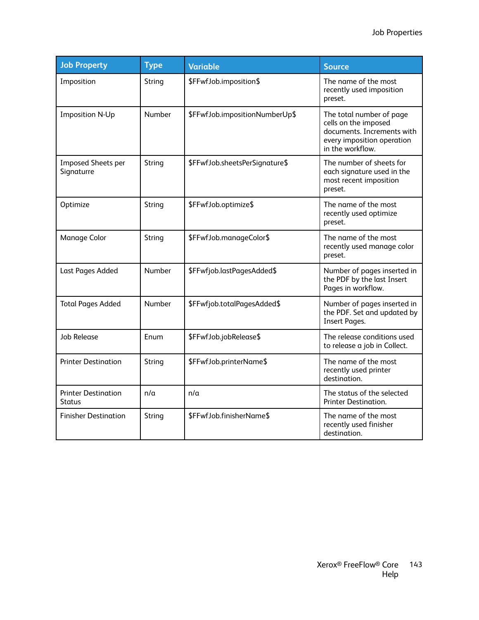| <b>Job Property</b>                  | <b>Type</b> | <b>Variable</b>                | <b>Source</b>                                                                                                                    |
|--------------------------------------|-------------|--------------------------------|----------------------------------------------------------------------------------------------------------------------------------|
| Imposition                           | String      | \$FFwfJob.imposition\$         | The name of the most<br>recently used imposition<br>preset.                                                                      |
| <b>Imposition N-Up</b>               | Number      | \$FFwfJob.impositionNumberUp\$ | The total number of page<br>cells on the imposed<br>documents. Increments with<br>every imposition operation<br>in the workflow. |
| Imposed Sheets per<br>Signaturre     | String      | \$FFwfJob.sheetsPerSignature\$ | The number of sheets for<br>each signature used in the<br>most recent imposition<br>preset.                                      |
| Optimize                             | String      | \$FFwfJob.optimize\$           | The name of the most<br>recently used optimize<br>preset.                                                                        |
| Manage Color                         | String      | \$FFwfJob.manageColor\$        | The name of the most<br>recently used manage color<br>preset.                                                                    |
| Last Pages Added                     | Number      | \$FFwfjob.lastPagesAdded\$     | Number of pages inserted in<br>the PDF by the last Insert<br>Pages in workflow.                                                  |
| <b>Total Pages Added</b>             | Number      | \$FFwfjob.totalPagesAdded\$    | Number of pages inserted in<br>the PDF. Set and updated by<br><b>Insert Pages.</b>                                               |
| <b>Job Release</b>                   | Enum        | \$FFwfJob.jobRelease\$         | The release conditions used<br>to release a job in Collect.                                                                      |
| <b>Printer Destination</b>           | String      | \$FFwfJob.printerName\$        | The name of the most<br>recently used printer<br>destination.                                                                    |
| <b>Printer Destination</b><br>Status | n/a         | n/a                            | The status of the selected<br><b>Printer Destination.</b>                                                                        |
| <b>Finisher Destination</b>          | String      | \$FFwfJob.finisherName\$       | The name of the most<br>recently used finisher<br>destination.                                                                   |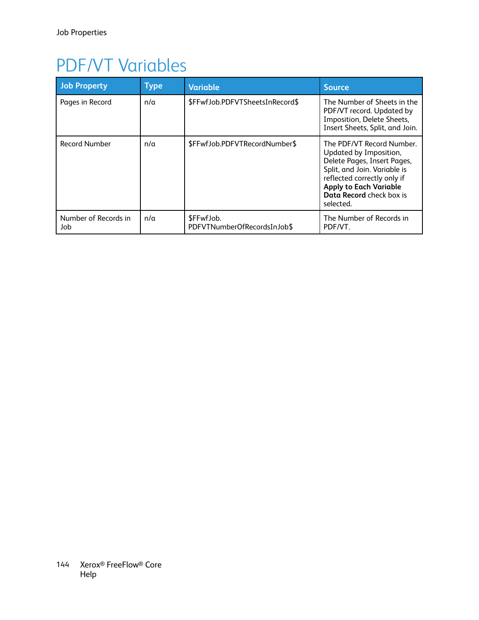#### <span id="page-143-0"></span>PDF/VT Variables

| <b>Job Property</b>         | <b>Type</b> | <b>Variable</b>                           | <b>Source</b>                                                                                                                                                                                                                      |
|-----------------------------|-------------|-------------------------------------------|------------------------------------------------------------------------------------------------------------------------------------------------------------------------------------------------------------------------------------|
| Pages in Record             | n/a         | \$FFwfJob.PDFVTSheetsInRecord\$           | The Number of Sheets in the<br>PDF/VT record. Updated by<br>Imposition, Delete Sheets,<br>Insert Sheets, Split, and Join.                                                                                                          |
| <b>Record Number</b>        | n/a         | \$FFwfJob.PDFVTRecordNumber\$             | The PDF/VT Record Number.<br>Updated by Imposition,<br>Delete Pages, Insert Pages,<br>Split, and Join. Variable is<br>reflected correctly only if<br><b>Apply to Each Variable</b><br><b>Data Record</b> check box is<br>selected. |
| Number of Records in<br>Job | n/a         | \$FFwfJob.<br>PDFVTNumberOfRecordsInJob\$ | The Number of Records in<br>PDF/VT.                                                                                                                                                                                                |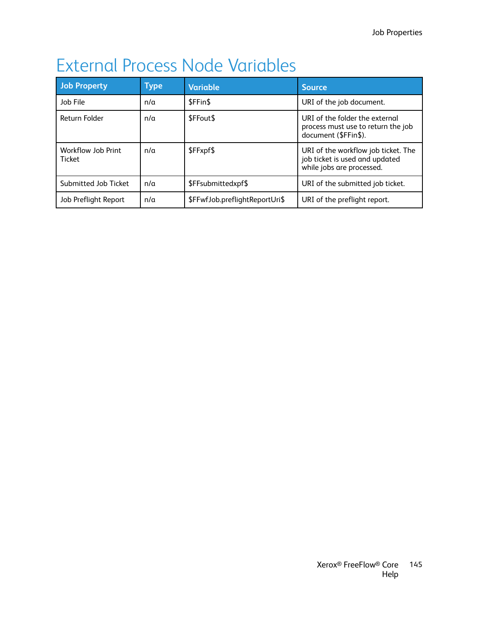## External Process Node Variables

| <b>Job Property</b>          | <b>Type</b> | <b>Variable</b>                | <b>Source</b>                                                                                      |  |
|------------------------------|-------------|--------------------------------|----------------------------------------------------------------------------------------------------|--|
| Job File                     | n/a         | \$FFin\$                       | URI of the job document.                                                                           |  |
| Return Folder                | n/a         | \$FFout\$                      | URI of the folder the external<br>process must use to return the job<br>document (\$FFin\$).       |  |
| Workflow Job Print<br>Ticket | n/a         | \$FFxpf\$                      | URI of the workflow job ticket. The<br>job ticket is used and updated<br>while jobs are processed. |  |
| Submitted Job Ticket         | n/a         | \$FFsubmittedxpf\$             | URI of the submitted job ticket.                                                                   |  |
| Job Preflight Report         | n/a         | \$FFwfJob.preflightReportUri\$ | URI of the preflight report.                                                                       |  |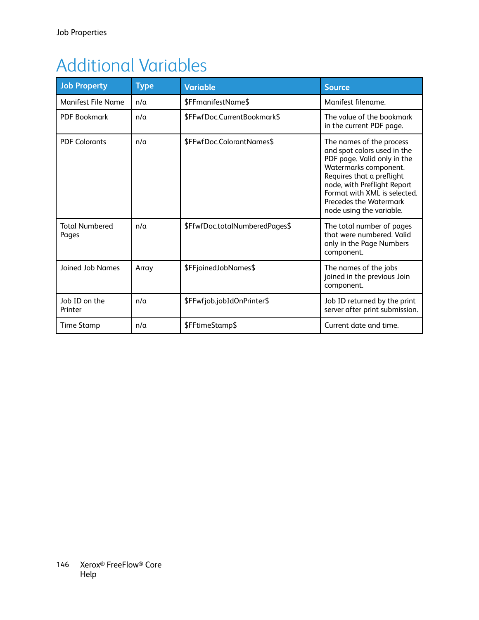## Additional Variables

| <b>Job Property</b>            | <b>Type</b> | <b>Variable</b>                | <b>Source</b>                                                                                                                                                                                                                                                     |
|--------------------------------|-------------|--------------------------------|-------------------------------------------------------------------------------------------------------------------------------------------------------------------------------------------------------------------------------------------------------------------|
| <b>Manifest File Name</b>      | n/a         | \$FFmanifestName\$             | Manifest filename.                                                                                                                                                                                                                                                |
| <b>PDF Bookmark</b>            | n/a         | \$FFwfDoc.CurrentBookmark\$    | The value of the bookmark<br>in the current PDF page.                                                                                                                                                                                                             |
| <b>PDF Colorants</b>           | n/a         | \$FFwfDoc.ColorantNames\$      | The names of the process<br>and spot colors used in the<br>PDF page. Valid only in the<br>Watermarks component.<br>Requires that a preflight<br>node, with Preflight Report<br>Format with XML is selected.<br>Precedes the Watermark<br>node using the variable. |
| <b>Total Numbered</b><br>Pages | n/a         | \$FfwfDoc.totalNumberedPages\$ | The total number of pages<br>that were numbered. Valid<br>only in the Page Numbers<br>component.                                                                                                                                                                  |
| Joined Job Names               | Array       | \$FFjoinedJobNames\$           | The names of the jobs<br>joined in the previous Join<br>component.                                                                                                                                                                                                |
| Job ID on the<br>Printer       | n/a         | \$FFwfjob.jobIdOnPrinter\$     | Job ID returned by the print<br>server after print submission.                                                                                                                                                                                                    |
| <b>Time Stamp</b>              | n/a         | \$FFtimeStamp\$                | Current date and time.                                                                                                                                                                                                                                            |